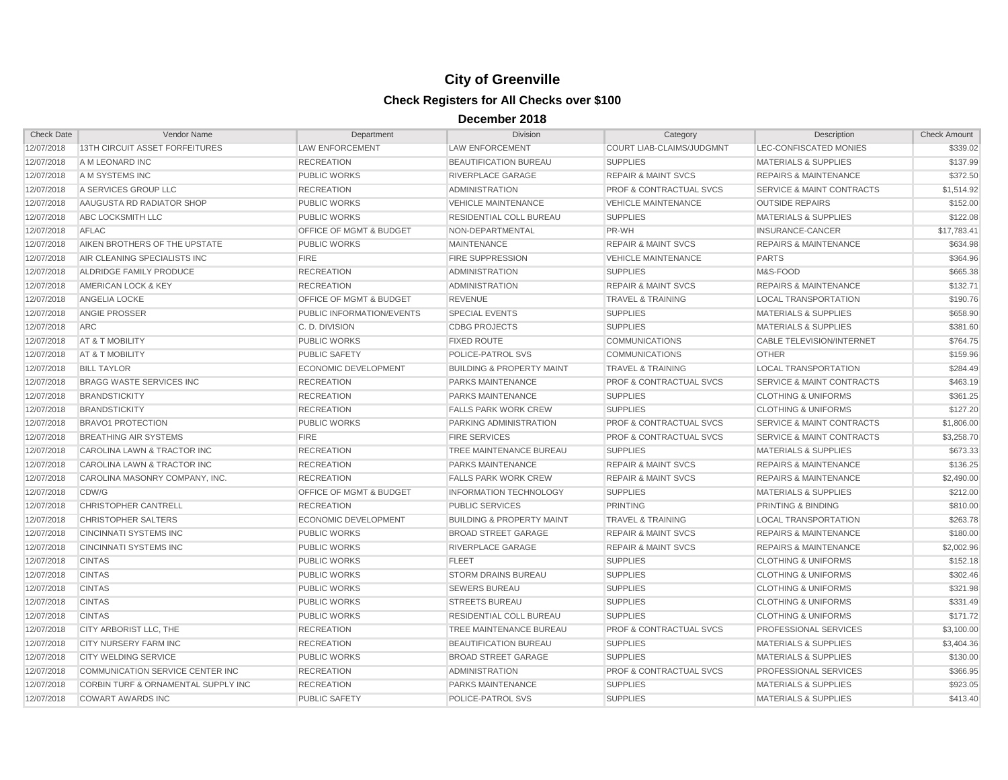| <b>Check Date</b> | Vendor Name                                    | Department                         | <b>Division</b>                      | Category                           | Description                          | <b>Check Amount</b> |
|-------------------|------------------------------------------------|------------------------------------|--------------------------------------|------------------------------------|--------------------------------------|---------------------|
| 12/07/2018        | 13TH CIRCUIT ASSET FORFEITURES                 | <b>LAW ENFORCEMENT</b>             | <b>LAW ENFORCEMENT</b>               | COURT LIAB-CLAIMS/JUDGMNT          | LEC-CONFISCATED MONIES               | \$339.02            |
| 12/07/2018        | A M LEONARD INC                                | <b>RECREATION</b>                  | <b>BEAUTIFICATION BUREAU</b>         | <b>SUPPLIES</b>                    | <b>MATERIALS &amp; SUPPLIES</b>      | \$137.99            |
| 12/07/2018        | A M SYSTEMS INC                                | <b>PUBLIC WORKS</b>                | <b>RIVERPLACE GARAGE</b>             | <b>REPAIR &amp; MAINT SVCS</b>     | <b>REPAIRS &amp; MAINTENANCE</b>     | \$372.50            |
| 12/07/2018        | A SERVICES GROUP LLC                           | <b>RECREATION</b>                  | <b>ADMINISTRATION</b>                | <b>PROF &amp; CONTRACTUAL SVCS</b> | SERVICE & MAINT CONTRACTS            | \$1,514.92          |
| 12/07/2018        | AAUGUSTA RD RADIATOR SHOP                      | <b>PUBLIC WORKS</b>                | <b>VEHICLE MAINTENANCE</b>           | <b>VEHICLE MAINTENANCE</b>         | <b>OUTSIDE REPAIRS</b>               | \$152.00            |
| 12/07/2018        | ABC LOCKSMITH LLC                              | PUBLIC WORKS                       | <b>RESIDENTIAL COLL BUREAU</b>       | <b>SUPPLIES</b>                    | <b>MATERIALS &amp; SUPPLIES</b>      | \$122.08            |
| 12/07/2018        | <b>AFLAC</b>                                   | <b>OFFICE OF MGMT &amp; BUDGET</b> | NON-DEPARTMENTAL                     | PR-WH                              | INSURANCE-CANCER                     | \$17,783.41         |
| 12/07/2018        | AIKEN BROTHERS OF THE UPSTATE                  | <b>PUBLIC WORKS</b>                | <b>MAINTENANCE</b>                   | <b>REPAIR &amp; MAINT SVCS</b>     | <b>REPAIRS &amp; MAINTENANCE</b>     | \$634.98            |
| 12/07/2018        | AIR CLEANING SPECIALISTS INC                   | <b>FIRE</b>                        | <b>FIRE SUPPRESSION</b>              | <b>VEHICLE MAINTENANCE</b>         | <b>PARTS</b>                         | \$364.96            |
| 12/07/2018        | ALDRIDGE FAMILY PRODUCE                        | <b>RECREATION</b>                  | <b>ADMINISTRATION</b>                | <b>SUPPLIES</b>                    | M&S-FOOD                             | \$665.38            |
| 12/07/2018        | AMERICAN LOCK & KEY                            | <b>RECREATION</b>                  | <b>ADMINISTRATION</b>                | <b>REPAIR &amp; MAINT SVCS</b>     | <b>REPAIRS &amp; MAINTENANCE</b>     | \$132.71            |
| 12/07/2018        | ANGELIA LOCKE                                  | OFFICE OF MGMT & BUDGET            | <b>REVENUE</b>                       | <b>TRAVEL &amp; TRAINING</b>       | <b>LOCAL TRANSPORTATION</b>          | \$190.76            |
| 12/07/2018        | <b>ANGIE PROSSER</b>                           | PUBLIC INFORMATION/EVENTS          | <b>SPECIAL EVENTS</b>                | <b>SUPPLIES</b>                    | <b>MATERIALS &amp; SUPPLIES</b>      | \$658.90            |
| 12/07/2018        | <b>ARC</b>                                     | C. D. DIVISION                     | <b>CDBG PROJECTS</b>                 | <b>SUPPLIES</b>                    | <b>MATERIALS &amp; SUPPLIES</b>      | \$381.60            |
| 12/07/2018        | AT & T MOBILITY                                | <b>PUBLIC WORKS</b>                | <b>FIXED ROUTE</b>                   | <b>COMMUNICATIONS</b>              | <b>CABLE TELEVISION/INTERNET</b>     | \$764.75            |
| 12/07/2018        | AT & T MOBILITY                                | PUBLIC SAFETY                      | POLICE-PATROL SVS                    | <b>COMMUNICATIONS</b>              | <b>OTHER</b>                         | \$159.96            |
| 12/07/2018        | <b>BILL TAYLOR</b>                             | <b>ECONOMIC DEVELOPMENT</b>        | <b>BUILDING &amp; PROPERTY MAINT</b> | <b>TRAVEL &amp; TRAINING</b>       | <b>LOCAL TRANSPORTATION</b>          | \$284.49            |
| 12/07/2018        | <b>BRAGG WASTE SERVICES INC</b>                | <b>RECREATION</b>                  | <b>PARKS MAINTENANCE</b>             | <b>PROF &amp; CONTRACTUAL SVCS</b> | <b>SERVICE &amp; MAINT CONTRACTS</b> | \$463.19            |
| 12/07/2018        | <b>BRANDSTICKITY</b>                           | <b>RECREATION</b>                  | PARKS MAINTENANCE                    | <b>SUPPLIES</b>                    | <b>CLOTHING &amp; UNIFORMS</b>       | \$361.25            |
| 12/07/2018        | <b>BRANDSTICKITY</b>                           | <b>RECREATION</b>                  | <b>FALLS PARK WORK CREW</b>          | <b>SUPPLIES</b>                    | <b>CLOTHING &amp; UNIFORMS</b>       | \$127.20            |
| 12/07/2018        | <b>BRAVO1 PROTECTION</b>                       | <b>PUBLIC WORKS</b>                | PARKING ADMINISTRATION               | <b>PROF &amp; CONTRACTUAL SVCS</b> | <b>SERVICE &amp; MAINT CONTRACTS</b> | \$1,806.00          |
| 12/07/2018        | <b>BREATHING AIR SYSTEMS</b>                   | <b>FIRE</b>                        | <b>FIRE SERVICES</b>                 | <b>PROF &amp; CONTRACTUAL SVCS</b> | SERVICE & MAINT CONTRACTS            | \$3,258.70          |
| 12/07/2018        | CAROLINA LAWN & TRACTOR INC                    | <b>RECREATION</b>                  | <b>TREE MAINTENANCE BUREAU</b>       | <b>SUPPLIES</b>                    | <b>MATERIALS &amp; SUPPLIES</b>      | \$673.33            |
| 12/07/2018        | CAROLINA LAWN & TRACTOR INC                    | <b>RECREATION</b>                  | PARKS MAINTENANCE                    | <b>REPAIR &amp; MAINT SVCS</b>     | <b>REPAIRS &amp; MAINTENANCE</b>     | \$136.25            |
| 12/07/2018        | CAROLINA MASONRY COMPANY, INC.                 | <b>RECREATION</b>                  | <b>FALLS PARK WORK CREW</b>          | <b>REPAIR &amp; MAINT SVCS</b>     | <b>REPAIRS &amp; MAINTENANCE</b>     | \$2,490.00          |
| 12/07/2018        | CDW/G                                          | OFFICE OF MGMT & BUDGET            | <b>INFORMATION TECHNOLOGY</b>        | <b>SUPPLIES</b>                    | <b>MATERIALS &amp; SUPPLIES</b>      | \$212.00            |
| 12/07/2018        | <b>CHRISTOPHER CANTRELL</b>                    | <b>RECREATION</b>                  | PUBLIC SERVICES                      | <b>PRINTING</b>                    | PRINTING & BINDING                   | \$810.00            |
| 12/07/2018        | <b>CHRISTOPHER SALTERS</b>                     | <b>ECONOMIC DEVELOPMENT</b>        | <b>BUILDING &amp; PROPERTY MAINT</b> | <b>TRAVEL &amp; TRAINING</b>       | <b>LOCAL TRANSPORTATION</b>          | \$263.78            |
| 12/07/2018        | <b>CINCINNATI SYSTEMS INC</b>                  | <b>PUBLIC WORKS</b>                | <b>BROAD STREET GARAGE</b>           | <b>REPAIR &amp; MAINT SVCS</b>     | <b>REPAIRS &amp; MAINTENANCE</b>     | \$180.00            |
| 12/07/2018        | <b>CINCINNATI SYSTEMS INC</b>                  | <b>PUBLIC WORKS</b>                | RIVERPLACE GARAGE                    | <b>REPAIR &amp; MAINT SVCS</b>     | <b>REPAIRS &amp; MAINTENANCE</b>     | \$2,002.96          |
| 12/07/2018        | <b>CINTAS</b>                                  | PUBLIC WORKS                       | <b>FLEET</b>                         | <b>SUPPLIES</b>                    | <b>CLOTHING &amp; UNIFORMS</b>       | \$152.18            |
| 12/07/2018        | <b>CINTAS</b>                                  | <b>PUBLIC WORKS</b>                | <b>STORM DRAINS BUREAU</b>           | <b>SUPPLIES</b>                    | <b>CLOTHING &amp; UNIFORMS</b>       | \$302.46            |
| 12/07/2018        | <b>CINTAS</b>                                  | <b>PUBLIC WORKS</b>                | <b>SEWERS BUREAU</b>                 | <b>SUPPLIES</b>                    | <b>CLOTHING &amp; UNIFORMS</b>       | \$321.98            |
| 12/07/2018        | <b>CINTAS</b>                                  | PUBLIC WORKS                       | <b>STREETS BUREAU</b>                | <b>SUPPLIES</b>                    | <b>CLOTHING &amp; UNIFORMS</b>       | \$331.49            |
| 12/07/2018        | <b>CINTAS</b>                                  | <b>PUBLIC WORKS</b>                | <b>RESIDENTIAL COLL BUREAU</b>       | <b>SUPPLIES</b>                    | <b>CLOTHING &amp; UNIFORMS</b>       | \$171.72            |
| 12/07/2018        | <b>CITY ARBORIST LLC. THE</b>                  | <b>RECREATION</b>                  | TREE MAINTENANCE BUREAU              | <b>PROF &amp; CONTRACTUAL SVCS</b> | PROFESSIONAL SERVICES                | \$3,100.00          |
| 12/07/2018        | <b>CITY NURSERY FARM INC</b>                   | <b>RECREATION</b>                  | <b>BEAUTIFICATION BUREAU</b>         | <b>SUPPLIES</b>                    | <b>MATERIALS &amp; SUPPLIES</b>      | \$3,404.36          |
| 12/07/2018        | <b>CITY WELDING SERVICE</b>                    | <b>PUBLIC WORKS</b>                | <b>BROAD STREET GARAGE</b>           | <b>SUPPLIES</b>                    | <b>MATERIALS &amp; SUPPLIES</b>      | \$130.00            |
| 12/07/2018        | COMMUNICATION SERVICE CENTER INC               | <b>RECREATION</b>                  | <b>ADMINISTRATION</b>                | <b>PROF &amp; CONTRACTUAL SVCS</b> | PROFESSIONAL SERVICES                | \$366.95            |
| 12/07/2018        | <b>CORBIN TURF &amp; ORNAMENTAL SUPPLY INC</b> | <b>RECREATION</b>                  | PARKS MAINTENANCE                    | <b>SUPPLIES</b>                    | <b>MATERIALS &amp; SUPPLIES</b>      | \$923.05            |
| 12/07/2018        | <b>COWART AWARDS INC</b>                       | <b>PUBLIC SAFETY</b>               | POLICE-PATROL SVS                    | <b>SUPPLIES</b>                    | <b>MATERIALS &amp; SUPPLIES</b>      | \$413.40            |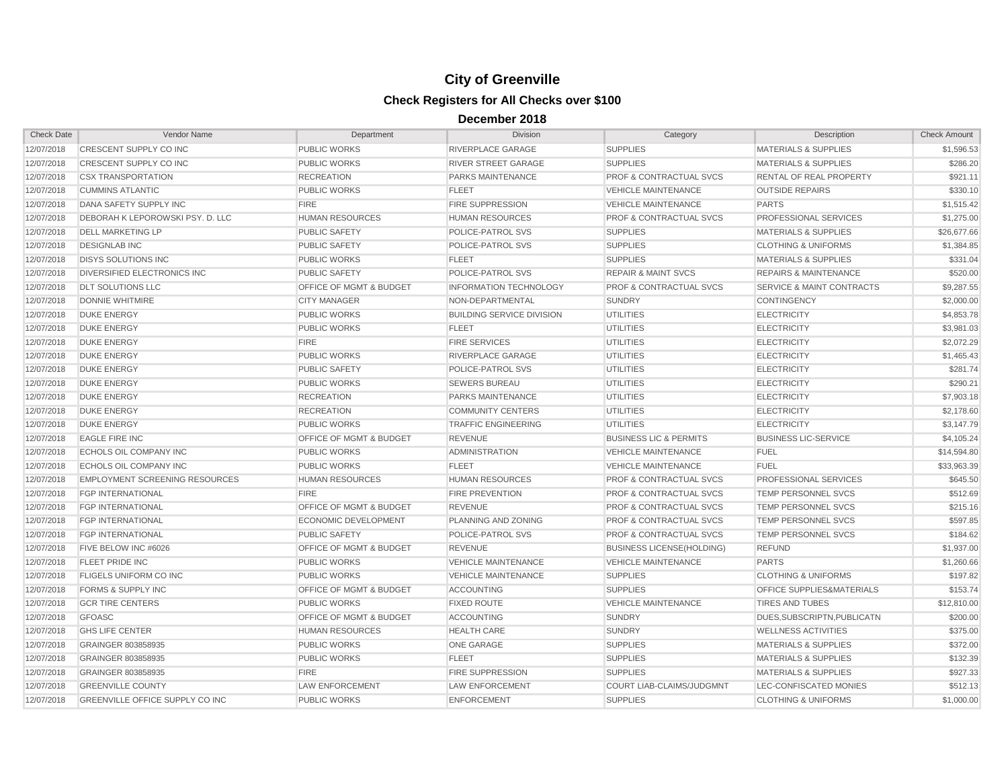| <b>Check Date</b> | Vendor Name                            | Department                         | <b>Division</b>                  | Category                           | Description                          | <b>Check Amount</b> |
|-------------------|----------------------------------------|------------------------------------|----------------------------------|------------------------------------|--------------------------------------|---------------------|
| 12/07/2018        | CRESCENT SUPPLY CO INC                 | PUBLIC WORKS                       | RIVERPLACE GARAGE                | <b>SUPPLIES</b>                    | <b>MATERIALS &amp; SUPPLIES</b>      | \$1,596.53          |
| 12/07/2018        | CRESCENT SUPPLY CO INC                 | PUBLIC WORKS                       | <b>RIVER STREET GARAGE</b>       | <b>SUPPLIES</b>                    | <b>MATERIALS &amp; SUPPLIES</b>      | \$286.20            |
| 12/07/2018        | <b>CSX TRANSPORTATION</b>              | <b>RECREATION</b>                  | <b>PARKS MAINTENANCE</b>         | <b>PROF &amp; CONTRACTUAL SVCS</b> | <b>RENTAL OF REAL PROPERTY</b>       | \$921.11            |
| 12/07/2018        | <b>CUMMINS ATLANTIC</b>                | <b>PUBLIC WORKS</b>                | <b>FLEET</b>                     | <b>VEHICLE MAINTENANCE</b>         | <b>OUTSIDE REPAIRS</b>               | \$330.10            |
| 12/07/2018        | DANA SAFETY SUPPLY INC                 | <b>FIRE</b>                        | FIRE SUPPRESSION                 | <b>VEHICLE MAINTENANCE</b>         | <b>PARTS</b>                         | \$1,515.42          |
| 12/07/2018        | DEBORAH K LEPOROWSKI PSY. D. LLC       | <b>HUMAN RESOURCES</b>             | <b>HUMAN RESOURCES</b>           | <b>PROF &amp; CONTRACTUAL SVCS</b> | PROFESSIONAL SERVICES                | \$1,275.00          |
| 12/07/2018        | <b>DELL MARKETING LP</b>               | <b>PUBLIC SAFETY</b>               | POLICE-PATROL SVS                | <b>SUPPLIES</b>                    | <b>MATERIALS &amp; SUPPLIES</b>      | \$26,677.66         |
| 12/07/2018        | <b>DESIGNLAB INC</b>                   | PUBLIC SAFETY                      | <b>POLICE-PATROL SVS</b>         | <b>SUPPLIES</b>                    | <b>CLOTHING &amp; UNIFORMS</b>       | \$1,384.85          |
| 12/07/2018        | <b>DISYS SOLUTIONS INC</b>             | <b>PUBLIC WORKS</b>                | <b>FLEET</b>                     | <b>SUPPLIES</b>                    | <b>MATERIALS &amp; SUPPLIES</b>      | \$331.04            |
| 12/07/2018        | DIVERSIFIED ELECTRONICS INC            | <b>PUBLIC SAFETY</b>               | POLICE-PATROL SVS                | <b>REPAIR &amp; MAINT SVCS</b>     | <b>REPAIRS &amp; MAINTENANCE</b>     | \$520.00            |
| 12/07/2018        | <b>DLT SOLUTIONS LLC</b>               | OFFICE OF MGMT & BUDGET            | <b>INFORMATION TECHNOLOGY</b>    | PROF & CONTRACTUAL SVCS            | <b>SERVICE &amp; MAINT CONTRACTS</b> | \$9,287.55          |
| 12/07/2018        | <b>DONNIE WHITMIRE</b>                 | <b>CITY MANAGER</b>                | NON-DEPARTMENTAL                 | <b>SUNDRY</b>                      | <b>CONTINGENCY</b>                   | \$2,000.00          |
| 12/07/2018        | <b>DUKE ENERGY</b>                     | PUBLIC WORKS                       | <b>BUILDING SERVICE DIVISION</b> | <b>UTILITIES</b>                   | <b>ELECTRICITY</b>                   | \$4,853.78          |
| 12/07/2018        | <b>DUKE ENERGY</b>                     | <b>PUBLIC WORKS</b>                | <b>FLEET</b>                     | <b>UTILITIES</b>                   | <b>ELECTRICITY</b>                   | \$3.981.03          |
| 12/07/2018        | <b>DUKE ENERGY</b>                     | <b>FIRE</b>                        | <b>FIRE SERVICES</b>             | <b>UTILITIES</b>                   | <b>ELECTRICITY</b>                   | \$2,072.29          |
| 12/07/2018        | <b>DUKE ENERGY</b>                     | <b>PUBLIC WORKS</b>                | RIVERPLACE GARAGE                | <b>UTILITIES</b>                   | <b>ELECTRICITY</b>                   | \$1,465.43          |
| 12/07/2018        | <b>DUKE ENERGY</b>                     | <b>PUBLIC SAFETY</b>               | <b>POLICE-PATROL SVS</b>         | <b>UTILITIES</b>                   | <b>ELECTRICITY</b>                   | \$281.74            |
| 12/07/2018        | <b>DUKE ENERGY</b>                     | <b>PUBLIC WORKS</b>                | <b>SEWERS BUREAU</b>             | <b>UTILITIES</b>                   | <b>ELECTRICITY</b>                   | \$290.21            |
| 12/07/2018        | <b>DUKE ENERGY</b>                     | <b>RECREATION</b>                  | PARKS MAINTENANCE                | <b>UTILITIES</b>                   | <b>ELECTRICITY</b>                   | \$7,903.18          |
| 12/07/2018        | <b>DUKE ENERGY</b>                     | <b>RECREATION</b>                  | <b>COMMUNITY CENTERS</b>         | <b>UTILITIES</b>                   | <b>ELECTRICITY</b>                   | \$2,178.60          |
| 12/07/2018        | <b>DUKE ENERGY</b>                     | <b>PUBLIC WORKS</b>                | <b>TRAFFIC ENGINEERING</b>       | <b>UTILITIES</b>                   | <b>ELECTRICITY</b>                   | \$3,147.79          |
| 12/07/2018        | <b>EAGLE FIRE INC</b>                  | <b>OFFICE OF MGMT &amp; BUDGET</b> | <b>REVENUE</b>                   | <b>BUSINESS LIC &amp; PERMITS</b>  | <b>BUSINESS LIC-SERVICE</b>          | \$4,105.24          |
| 12/07/2018        | <b>ECHOLS OIL COMPANY INC</b>          | PUBLIC WORKS                       | <b>ADMINISTRATION</b>            | <b>VEHICLE MAINTENANCE</b>         | <b>FUEL</b>                          | \$14,594.80         |
| 12/07/2018        | <b>ECHOLS OIL COMPANY INC</b>          | <b>PUBLIC WORKS</b>                | <b>FLEET</b>                     | <b>VEHICLE MAINTENANCE</b>         | <b>FUEL</b>                          | \$33,963.39         |
| 12/07/2018        | <b>EMPLOYMENT SCREENING RESOURCES</b>  | <b>HUMAN RESOURCES</b>             | <b>HUMAN RESOURCES</b>           | <b>PROF &amp; CONTRACTUAL SVCS</b> | PROFESSIONAL SERVICES                | \$645.50            |
| 12/07/2018        | <b>FGP INTERNATIONAL</b>               | <b>FIRE</b>                        | <b>FIRE PREVENTION</b>           | <b>PROF &amp; CONTRACTUAL SVCS</b> | TEMP PERSONNEL SVCS                  | \$512.69            |
| 12/07/2018        | <b>FGP INTERNATIONAL</b>               | <b>OFFICE OF MGMT &amp; BUDGET</b> | <b>REVENUE</b>                   | <b>PROF &amp; CONTRACTUAL SVCS</b> | <b>TEMP PERSONNEL SVCS</b>           | \$215.16            |
| 12/07/2018        | <b>FGP INTERNATIONAL</b>               | <b>ECONOMIC DEVELOPMENT</b>        | PLANNING AND ZONING              | <b>PROF &amp; CONTRACTUAL SVCS</b> | <b>TEMP PERSONNEL SVCS</b>           | \$597.85            |
| 12/07/2018        | <b>FGP INTERNATIONAL</b>               | PUBLIC SAFETY                      | POLICE-PATROL SVS                | <b>PROF &amp; CONTRACTUAL SVCS</b> | TEMP PERSONNEL SVCS                  | \$184.62            |
| 12/07/2018        | FIVE BELOW INC #6026                   | <b>OFFICE OF MGMT &amp; BUDGET</b> | <b>REVENUE</b>                   | <b>BUSINESS LICENSE(HOLDING)</b>   | <b>REFUND</b>                        | \$1,937.00          |
| 12/07/2018        | <b>FLEET PRIDE INC</b>                 | <b>PUBLIC WORKS</b>                | <b>VEHICLE MAINTENANCE</b>       | <b>VEHICLE MAINTENANCE</b>         | <b>PARTS</b>                         | \$1,260.66          |
| 12/07/2018        | <b>FLIGELS UNIFORM CO INC</b>          | <b>PUBLIC WORKS</b>                | <b>VEHICLE MAINTENANCE</b>       | <b>SUPPLIES</b>                    | <b>CLOTHING &amp; UNIFORMS</b>       | \$197.82            |
| 12/07/2018        | <b>FORMS &amp; SUPPLY INC</b>          | <b>OFFICE OF MGMT &amp; BUDGET</b> | <b>ACCOUNTING</b>                | <b>SUPPLIES</b>                    | <b>OFFICE SUPPLIES&amp;MATERIALS</b> | \$153.74            |
| 12/07/2018        | <b>GCR TIRE CENTERS</b>                | <b>PUBLIC WORKS</b>                | <b>FIXED ROUTE</b>               | <b>VEHICLE MAINTENANCE</b>         | <b>TIRES AND TUBES</b>               | \$12,810.00         |
| 12/07/2018        | <b>GFOASC</b>                          | <b>OFFICE OF MGMT &amp; BUDGET</b> | <b>ACCOUNTING</b>                | <b>SUNDRY</b>                      | DUES, SUBSCRIPTN, PUBLICATN          | \$200.00            |
| 12/07/2018        | <b>GHS LIFE CENTER</b>                 | <b>HUMAN RESOURCES</b>             | <b>HEALTH CARE</b>               | <b>SUNDRY</b>                      | <b>WELLNESS ACTIVITIES</b>           | \$375.00            |
| 12/07/2018        | GRAINGER 803858935                     | <b>PUBLIC WORKS</b>                | <b>ONE GARAGE</b>                | <b>SUPPLIES</b>                    | <b>MATERIALS &amp; SUPPLIES</b>      | \$372.00            |
| 12/07/2018        | GRAINGER 803858935                     | PUBLIC WORKS                       | <b>FLEET</b>                     | <b>SUPPLIES</b>                    | <b>MATERIALS &amp; SUPPLIES</b>      | \$132.39            |
| 12/07/2018        | GRAINGER 803858935                     | <b>FIRE</b>                        | FIRE SUPPRESSION                 | <b>SUPPLIES</b>                    | <b>MATERIALS &amp; SUPPLIES</b>      | \$927.33            |
| 12/07/2018        | <b>GREENVILLE COUNTY</b>               | <b>LAW ENFORCEMENT</b>             | <b>LAW ENFORCEMENT</b>           | COURT LIAB-CLAIMS/JUDGMNT          | LEC-CONFISCATED MONIES               | \$512.13            |
| 12/07/2018        | <b>GREENVILLE OFFICE SUPPLY CO INC</b> | <b>PUBLIC WORKS</b>                | <b>ENFORCEMENT</b>               | <b>SUPPLIES</b>                    | <b>CLOTHING &amp; UNIFORMS</b>       | \$1,000.00          |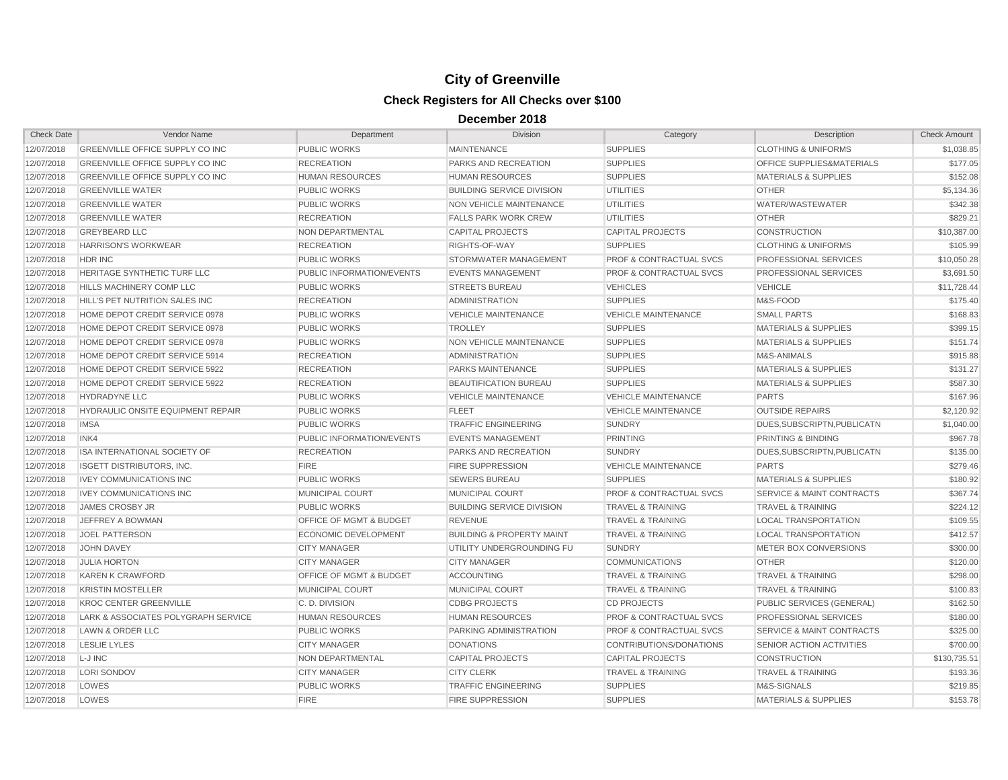| <b>Check Date</b> | Vendor Name                              | Department                         | <b>Division</b>                      | Category                           | Description                          | <b>Check Amount</b> |
|-------------------|------------------------------------------|------------------------------------|--------------------------------------|------------------------------------|--------------------------------------|---------------------|
| 12/07/2018        | GREENVILLE OFFICE SUPPLY CO INC          | <b>PUBLIC WORKS</b>                | <b>MAINTENANCE</b>                   | <b>SUPPLIES</b>                    | <b>CLOTHING &amp; UNIFORMS</b>       | \$1,038.85          |
| 12/07/2018        | <b>GREENVILLE OFFICE SUPPLY CO INC</b>   | <b>RECREATION</b>                  | <b>PARKS AND RECREATION</b>          | <b>SUPPLIES</b>                    | <b>OFFICE SUPPLIES&amp;MATERIALS</b> | \$177.05            |
| 12/07/2018        | GREENVILLE OFFICE SUPPLY CO INC          | <b>HUMAN RESOURCES</b>             | <b>HUMAN RESOURCES</b>               | <b>SUPPLIES</b>                    | <b>MATERIALS &amp; SUPPLIES</b>      | \$152.08            |
| 12/07/2018        | <b>GREENVILLE WATER</b>                  | <b>PUBLIC WORKS</b>                | <b>BUILDING SERVICE DIVISION</b>     | <b>UTILITIES</b>                   | <b>OTHER</b>                         | \$5,134.36          |
| 12/07/2018        | <b>GREENVILLE WATER</b>                  | <b>PUBLIC WORKS</b>                | NON VEHICLE MAINTENANCE              | <b>UTILITIES</b>                   | WATER/WASTEWATER                     | \$342.38            |
| 12/07/2018        | <b>GREENVILLE WATER</b>                  | <b>RECREATION</b>                  | <b>FALLS PARK WORK CREW</b>          | <b>UTILITIES</b>                   | <b>OTHER</b>                         | \$829.21            |
| 12/07/2018        | <b>GREYBEARD LLC</b>                     | NON DEPARTMENTAL                   | <b>CAPITAL PROJECTS</b>              | <b>CAPITAL PROJECTS</b>            | <b>CONSTRUCTION</b>                  | \$10,387.00         |
| 12/07/2018        | <b>HARRISON'S WORKWEAR</b>               | <b>RECREATION</b>                  | RIGHTS-OF-WAY                        | <b>SUPPLIES</b>                    | <b>CLOTHING &amp; UNIFORMS</b>       | \$105.99            |
| 12/07/2018        | <b>HDR INC</b>                           | <b>PUBLIC WORKS</b>                | STORMWATER MANAGEMENT                | <b>PROF &amp; CONTRACTUAL SVCS</b> | PROFESSIONAL SERVICES                | \$10,050.28         |
| 12/07/2018        | HERITAGE SYNTHETIC TURF LLC              | PUBLIC INFORMATION/EVENTS          | <b>EVENTS MANAGEMENT</b>             | <b>PROF &amp; CONTRACTUAL SVCS</b> | PROFESSIONAL SERVICES                | \$3,691.50          |
| 12/07/2018        | <b>HILLS MACHINERY COMP LLC</b>          | <b>PUBLIC WORKS</b>                | <b>STREETS BUREAU</b>                | <b>VEHICLES</b>                    | <b>VEHICLE</b>                       | \$11,728.44         |
| 12/07/2018        | HILL'S PET NUTRITION SALES INC           | <b>RECREATION</b>                  | <b>ADMINISTRATION</b>                | <b>SUPPLIES</b>                    | M&S-FOOD                             | \$175.40            |
| 12/07/2018        | HOME DEPOT CREDIT SERVICE 0978           | PUBLIC WORKS                       | <b>VEHICLE MAINTENANCE</b>           | <b>VEHICLE MAINTENANCE</b>         | <b>SMALL PARTS</b>                   | \$168.83            |
| 12/07/2018        | HOME DEPOT CREDIT SERVICE 0978           | <b>PUBLIC WORKS</b>                | <b>TROLLEY</b>                       | <b>SUPPLIES</b>                    | <b>MATERIALS &amp; SUPPLIES</b>      | \$399.15            |
| 12/07/2018        | HOME DEPOT CREDIT SERVICE 0978           | <b>PUBLIC WORKS</b>                | NON VEHICLE MAINTENANCE              | <b>SUPPLIES</b>                    | <b>MATERIALS &amp; SUPPLIES</b>      | \$151.74            |
| 12/07/2018        | HOME DEPOT CREDIT SERVICE 5914           | <b>RECREATION</b>                  | <b>ADMINISTRATION</b>                | <b>SUPPLIES</b>                    | <b>M&amp;S-ANIMALS</b>               | \$915.88            |
| 12/07/2018        | HOME DEPOT CREDIT SERVICE 5922           | <b>RECREATION</b>                  | <b>PARKS MAINTENANCE</b>             | <b>SUPPLIES</b>                    | <b>MATERIALS &amp; SUPPLIES</b>      | \$131.27            |
| 12/07/2018        | HOME DEPOT CREDIT SERVICE 5922           | <b>RECREATION</b>                  | BEAUTIFICATION BUREAU                | <b>SUPPLIES</b>                    | <b>MATERIALS &amp; SUPPLIES</b>      | \$587.30            |
| 12/07/2018        | <b>HYDRADYNE LLC</b>                     | <b>PUBLIC WORKS</b>                | <b>VEHICLE MAINTENANCE</b>           | <b>VEHICLE MAINTENANCE</b>         | <b>PARTS</b>                         | \$167.96            |
| 12/07/2018        | <b>HYDRAULIC ONSITE EQUIPMENT REPAIR</b> | <b>PUBLIC WORKS</b>                | <b>FLEET</b>                         | <b>VEHICLE MAINTENANCE</b>         | <b>OUTSIDE REPAIRS</b>               | \$2,120.92          |
| 12/07/2018        | <b>IMSA</b>                              | PUBLIC WORKS                       | <b>TRAFFIC ENGINEERING</b>           | <b>SUNDRY</b>                      | DUES, SUBSCRIPTN, PUBLICATN          | \$1,040.00          |
| 12/07/2018        | INK4                                     | PUBLIC INFORMATION/EVENTS          | <b>EVENTS MANAGEMENT</b>             | <b>PRINTING</b>                    | PRINTING & BINDING                   | \$967.78            |
| 12/07/2018        | ISA INTERNATIONAL SOCIETY OF             | <b>RECREATION</b>                  | <b>PARKS AND RECREATION</b>          | <b>SUNDRY</b>                      | DUES.SUBSCRIPTN.PUBLICATN            | \$135.00            |
| 12/07/2018        | <b>ISGETT DISTRIBUTORS, INC.</b>         | <b>FIRE</b>                        | <b>FIRE SUPPRESSION</b>              | <b>VEHICLE MAINTENANCE</b>         | <b>PARTS</b>                         | \$279.46            |
| 12/07/2018        | <b>IVEY COMMUNICATIONS INC</b>           | <b>PUBLIC WORKS</b>                | <b>SEWERS BUREAU</b>                 | <b>SUPPLIES</b>                    | <b>MATERIALS &amp; SUPPLIES</b>      | \$180.92            |
| 12/07/2018        | <b>IVEY COMMUNICATIONS INC</b>           | MUNICIPAL COURT                    | <b>MUNICIPAL COURT</b>               | <b>PROF &amp; CONTRACTUAL SVCS</b> | <b>SERVICE &amp; MAINT CONTRACTS</b> | \$367.74            |
| 12/07/2018        | <b>JAMES CROSBY JR</b>                   | PUBLIC WORKS                       | <b>BUILDING SERVICE DIVISION</b>     | <b>TRAVEL &amp; TRAINING</b>       | <b>TRAVEL &amp; TRAINING</b>         | \$224.12            |
| 12/07/2018        | <b>JEFFREY A BOWMAN</b>                  | OFFICE OF MGMT & BUDGET            | <b>REVENUE</b>                       | <b>TRAVEL &amp; TRAINING</b>       | <b>LOCAL TRANSPORTATION</b>          | \$109.55            |
| 12/07/2018        | <b>JOEL PATTERSON</b>                    | <b>ECONOMIC DEVELOPMENT</b>        | <b>BUILDING &amp; PROPERTY MAINT</b> | <b>TRAVEL &amp; TRAINING</b>       | <b>LOCAL TRANSPORTATION</b>          | \$412.57            |
| 12/07/2018        | <b>JOHN DAVEY</b>                        | <b>CITY MANAGER</b>                | UTILITY UNDERGROUNDING FU            | <b>SUNDRY</b>                      | METER BOX CONVERSIONS                | \$300.00            |
| 12/07/2018        | <b>JULIA HORTON</b>                      | <b>CITY MANAGER</b>                | <b>CITY MANAGER</b>                  | <b>COMMUNICATIONS</b>              | <b>OTHER</b>                         | \$120.00            |
| 12/07/2018        | <b>KAREN K CRAWFORD</b>                  | <b>OFFICE OF MGMT &amp; BUDGET</b> | <b>ACCOUNTING</b>                    | <b>TRAVEL &amp; TRAINING</b>       | <b>TRAVEL &amp; TRAINING</b>         | \$298.00            |
| 12/07/2018        | <b>KRISTIN MOSTELLER</b>                 | MUNICIPAL COURT                    | MUNICIPAL COURT                      | <b>TRAVEL &amp; TRAINING</b>       | <b>TRAVEL &amp; TRAINING</b>         | \$100.83            |
| 12/07/2018        | <b>KROC CENTER GREENVILLE</b>            | C. D. DIVISION                     | <b>CDBG PROJECTS</b>                 | <b>CD PROJECTS</b>                 | PUBLIC SERVICES (GENERAL)            | \$162.50            |
| 12/07/2018        | LARK & ASSOCIATES POLYGRAPH SERVICE      | <b>HUMAN RESOURCES</b>             | <b>HUMAN RESOURCES</b>               | <b>PROF &amp; CONTRACTUAL SVCS</b> | PROFESSIONAL SERVICES                | \$180.00            |
| 12/07/2018        | LAWN & ORDER LLC                         | <b>PUBLIC WORKS</b>                | PARKING ADMINISTRATION               | <b>PROF &amp; CONTRACTUAL SVCS</b> | SERVICE & MAINT CONTRACTS            | \$325.00            |
| 12/07/2018        | <b>LESLIE LYLES</b>                      | <b>CITY MANAGER</b>                | <b>DONATIONS</b>                     | CONTRIBUTIONS/DONATIONS            | SENIOR ACTION ACTIVITIES             | \$700.00            |
| 12/07/2018        | L-J INC                                  | NON DEPARTMENTAL                   | <b>CAPITAL PROJECTS</b>              | <b>CAPITAL PROJECTS</b>            | <b>CONSTRUCTION</b>                  | \$130,735.51        |
| 12/07/2018        | <b>LORI SONDOV</b>                       | <b>CITY MANAGER</b>                | <b>CITY CLERK</b>                    | <b>TRAVEL &amp; TRAINING</b>       | <b>TRAVEL &amp; TRAINING</b>         | \$193.36            |
| 12/07/2018        | LOWES                                    | <b>PUBLIC WORKS</b>                | <b>TRAFFIC ENGINEERING</b>           | <b>SUPPLIES</b>                    | M&S-SIGNALS                          | \$219.85            |
| 12/07/2018        | LOWES                                    | <b>FIRE</b>                        | <b>FIRE SUPPRESSION</b>              | <b>SUPPLIES</b>                    | <b>MATERIALS &amp; SUPPLIES</b>      | \$153.78            |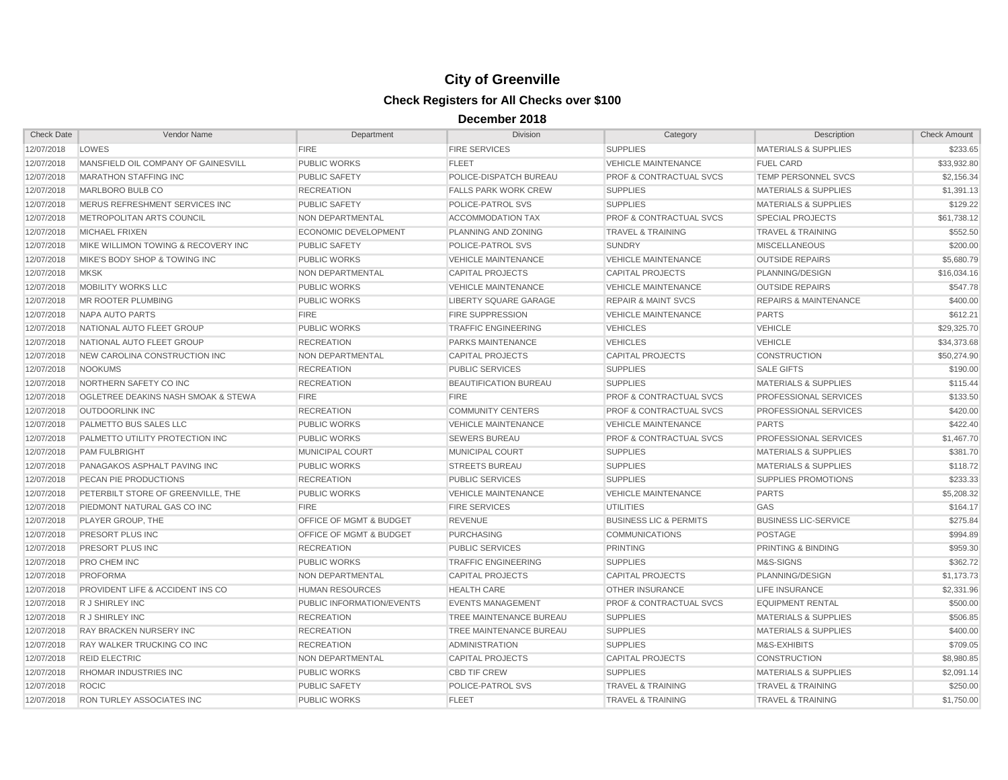| <b>Check Date</b> | Vendor Name                         | Department                         | <b>Division</b>             | Category                           | Description                      | <b>Check Amount</b> |
|-------------------|-------------------------------------|------------------------------------|-----------------------------|------------------------------------|----------------------------------|---------------------|
| 12/07/2018        | LOWES                               | <b>FIRE</b>                        | <b>FIRE SERVICES</b>        | <b>SUPPLIES</b>                    | <b>MATERIALS &amp; SUPPLIES</b>  | \$233.65            |
| 12/07/2018        | MANSFIELD OIL COMPANY OF GAINESVILL | <b>PUBLIC WORKS</b>                | <b>FLEET</b>                | <b>VEHICLE MAINTENANCE</b>         | <b>FUEL CARD</b>                 | \$33,932.80         |
| 12/07/2018        | <b>MARATHON STAFFING INC</b>        | <b>PUBLIC SAFETY</b>               | POLICE-DISPATCH BUREAU      | <b>PROF &amp; CONTRACTUAL SVCS</b> | <b>TEMP PERSONNEL SVCS</b>       | \$2.156.34          |
| 12/07/2018        | MARLBORO BULB CO                    | <b>RECREATION</b>                  | <b>FALLS PARK WORK CREW</b> | <b>SUPPLIES</b>                    | <b>MATERIALS &amp; SUPPLIES</b>  | \$1,391.13          |
| 12/07/2018        | MERUS REFRESHMENT SERVICES INC      | <b>PUBLIC SAFETY</b>               | POLICE-PATROL SVS           | <b>SUPPLIES</b>                    | <b>MATERIALS &amp; SUPPLIES</b>  | \$129.22            |
| 12/07/2018        | METROPOLITAN ARTS COUNCIL           | NON DEPARTMENTAL                   | <b>ACCOMMODATION TAX</b>    | <b>PROF &amp; CONTRACTUAL SVCS</b> | <b>SPECIAL PROJECTS</b>          | \$61,738.12         |
| 12/07/2018        | <b>MICHAEL FRIXEN</b>               | <b>ECONOMIC DEVELOPMENT</b>        | PLANNING AND ZONING         | <b>TRAVEL &amp; TRAINING</b>       | <b>TRAVEL &amp; TRAINING</b>     | \$552.50            |
| 12/07/2018        | MIKE WILLIMON TOWING & RECOVERY INC | <b>PUBLIC SAFETY</b>               | <b>POLICE-PATROL SVS</b>    | <b>SUNDRY</b>                      | <b>MISCELLANEOUS</b>             | \$200.00            |
| 12/07/2018        | MIKE'S BODY SHOP & TOWING INC       | <b>PUBLIC WORKS</b>                | <b>VEHICLE MAINTENANCE</b>  | <b>VEHICLE MAINTENANCE</b>         | <b>OUTSIDE REPAIRS</b>           | \$5,680.79          |
| 12/07/2018        | <b>MKSK</b>                         | NON DEPARTMENTAL                   | <b>CAPITAL PROJECTS</b>     | <b>CAPITAL PROJECTS</b>            | PLANNING/DESIGN                  | \$16,034.16         |
| 12/07/2018        | MOBILITY WORKS LLC                  | <b>PUBLIC WORKS</b>                | <b>VEHICLE MAINTENANCE</b>  | <b>VEHICLE MAINTENANCE</b>         | <b>OUTSIDE REPAIRS</b>           | \$547.78            |
| 12/07/2018        | MR ROOTER PLUMBING                  | <b>PUBLIC WORKS</b>                | LIBERTY SQUARE GARAGE       | <b>REPAIR &amp; MAINT SVCS</b>     | <b>REPAIRS &amp; MAINTENANCE</b> | \$400.00            |
| 12/07/2018        | NAPA AUTO PARTS                     | <b>FIRE</b>                        | <b>FIRE SUPPRESSION</b>     | <b>VEHICLE MAINTENANCE</b>         | <b>PARTS</b>                     | \$612.21            |
| 12/07/2018        | NATIONAL AUTO FLEET GROUP           | <b>PUBLIC WORKS</b>                | <b>TRAFFIC ENGINEERING</b>  | <b>VEHICLES</b>                    | <b>VEHICLE</b>                   | \$29,325.70         |
| 12/07/2018        | NATIONAL AUTO FLEET GROUP           | <b>RECREATION</b>                  | <b>PARKS MAINTENANCE</b>    | <b>VEHICLES</b>                    | <b>VEHICLE</b>                   | \$34,373,68         |
| 12/07/2018        | NEW CAROLINA CONSTRUCTION INC       | NON DEPARTMENTAL                   | <b>CAPITAL PROJECTS</b>     | <b>CAPITAL PROJECTS</b>            | <b>CONSTRUCTION</b>              | \$50,274.90         |
| 12/07/2018        | <b>NOOKUMS</b>                      | <b>RECREATION</b>                  | <b>PUBLIC SERVICES</b>      | <b>SUPPLIES</b>                    | <b>SALE GIFTS</b>                | \$190.00            |
| 12/07/2018        | NORTHERN SAFETY CO INC              | <b>RECREATION</b>                  | BEAUTIFICATION BUREAU       | <b>SUPPLIES</b>                    | <b>MATERIALS &amp; SUPPLIES</b>  | \$115.44            |
| 12/07/2018        | OGLETREE DEAKINS NASH SMOAK & STEWA | <b>FIRE</b>                        | <b>FIRE</b>                 | <b>PROF &amp; CONTRACTUAL SVCS</b> | PROFESSIONAL SERVICES            | \$133.50            |
| 12/07/2018        | <b>OUTDOORLINK INC</b>              | <b>RECREATION</b>                  | <b>COMMUNITY CENTERS</b>    | <b>PROF &amp; CONTRACTUAL SVCS</b> | PROFESSIONAL SERVICES            | \$420.00            |
| 12/07/2018        | PALMETTO BUS SALES LLC              | <b>PUBLIC WORKS</b>                | <b>VEHICLE MAINTENANCE</b>  | <b>VEHICLE MAINTENANCE</b>         | <b>PARTS</b>                     | \$422.40            |
| 12/07/2018        | PALMETTO UTILITY PROTECTION INC     | PUBLIC WORKS                       | <b>SEWERS BUREAU</b>        | <b>PROF &amp; CONTRACTUAL SVCS</b> | <b>PROFESSIONAL SERVICES</b>     | \$1,467.70          |
| 12/07/2018        | <b>PAM FULBRIGHT</b>                | <b>MUNICIPAL COURT</b>             | MUNICIPAL COURT             | <b>SUPPLIES</b>                    | <b>MATERIALS &amp; SUPPLIES</b>  | \$381.70            |
| 12/07/2018        | PANAGAKOS ASPHALT PAVING INC        | <b>PUBLIC WORKS</b>                | <b>STREETS BUREAU</b>       | <b>SUPPLIES</b>                    | <b>MATERIALS &amp; SUPPLIES</b>  | \$118.72            |
| 12/07/2018        | PECAN PIE PRODUCTIONS               | <b>RECREATION</b>                  | <b>PUBLIC SERVICES</b>      | <b>SUPPLIES</b>                    | <b>SUPPLIES PROMOTIONS</b>       | \$233.33            |
| 12/07/2018        | PETERBILT STORE OF GREENVILLE, THE  | <b>PUBLIC WORKS</b>                | <b>VEHICLE MAINTENANCE</b>  | <b>VEHICLE MAINTENANCE</b>         | <b>PARTS</b>                     | \$5,208.32          |
| 12/07/2018        | PIEDMONT NATURAL GAS CO INC         | <b>FIRE</b>                        | <b>FIRE SERVICES</b>        | <b>UTILITIES</b>                   | <b>GAS</b>                       | \$164.17            |
| 12/07/2018        | <b>PLAYER GROUP. THE</b>            | <b>OFFICE OF MGMT &amp; BUDGET</b> | <b>REVENUE</b>              | <b>BUSINESS LIC &amp; PERMITS</b>  | <b>BUSINESS LIC-SERVICE</b>      | \$275.84            |
| 12/07/2018        | <b>PRESORT PLUS INC</b>             | OFFICE OF MGMT & BUDGET            | <b>PURCHASING</b>           | <b>COMMUNICATIONS</b>              | <b>POSTAGE</b>                   | \$994.89            |
| 12/07/2018        | PRESORT PLUS INC                    | <b>RECREATION</b>                  | <b>PUBLIC SERVICES</b>      | <b>PRINTING</b>                    | PRINTING & BINDING               | \$959.30            |
| 12/07/2018        | PRO CHEM INC                        | <b>PUBLIC WORKS</b>                | <b>TRAFFIC ENGINEERING</b>  | <b>SUPPLIES</b>                    | M&S-SIGNS                        | \$362.72            |
| 12/07/2018        | <b>PROFORMA</b>                     | NON DEPARTMENTAL                   | <b>CAPITAL PROJECTS</b>     | <b>CAPITAL PROJECTS</b>            | PLANNING/DESIGN                  | \$1,173.73          |
| 12/07/2018        | PROVIDENT LIFE & ACCIDENT INS CO    | <b>HUMAN RESOURCES</b>             | <b>HEALTH CARE</b>          | <b>OTHER INSURANCE</b>             | <b>LIFE INSURANCE</b>            | \$2,331.96          |
| 12/07/2018        | R J SHIRLEY INC                     | PUBLIC INFORMATION/EVENTS          | <b>EVENTS MANAGEMENT</b>    | PROF & CONTRACTUAL SVCS            | <b>EQUIPMENT RENTAL</b>          | \$500.00            |
| 12/07/2018        | R J SHIRLEY INC                     | <b>RECREATION</b>                  | TREE MAINTENANCE BUREAU     | <b>SUPPLIES</b>                    | <b>MATERIALS &amp; SUPPLIES</b>  | \$506.85            |
| 12/07/2018        | <b>RAY BRACKEN NURSERY INC</b>      | <b>RECREATION</b>                  | TREE MAINTENANCE BUREAU     | <b>SUPPLIES</b>                    | <b>MATERIALS &amp; SUPPLIES</b>  | \$400.00            |
| 12/07/2018        | RAY WALKER TRUCKING CO INC          | <b>RECREATION</b>                  | <b>ADMINISTRATION</b>       | <b>SUPPLIES</b>                    | M&S-EXHIBITS                     | \$709.05            |
| 12/07/2018        | <b>REID ELECTRIC</b>                | NON DEPARTMENTAL                   | <b>CAPITAL PROJECTS</b>     | CAPITAL PROJECTS                   | <b>CONSTRUCTION</b>              | \$8,980.85          |
| 12/07/2018        | RHOMAR INDUSTRIES INC               | <b>PUBLIC WORKS</b>                | <b>CBD TIF CREW</b>         | <b>SUPPLIES</b>                    | <b>MATERIALS &amp; SUPPLIES</b>  | \$2,091.14          |
| 12/07/2018        | <b>ROCIC</b>                        | <b>PUBLIC SAFETY</b>               | POLICE-PATROL SVS           | <b>TRAVEL &amp; TRAINING</b>       | <b>TRAVEL &amp; TRAINING</b>     | \$250.00            |
| 12/07/2018        | <b>RON TURLEY ASSOCIATES INC</b>    | <b>PUBLIC WORKS</b>                | <b>FLEET</b>                | <b>TRAVEL &amp; TRAINING</b>       | <b>TRAVEL &amp; TRAINING</b>     | \$1,750.00          |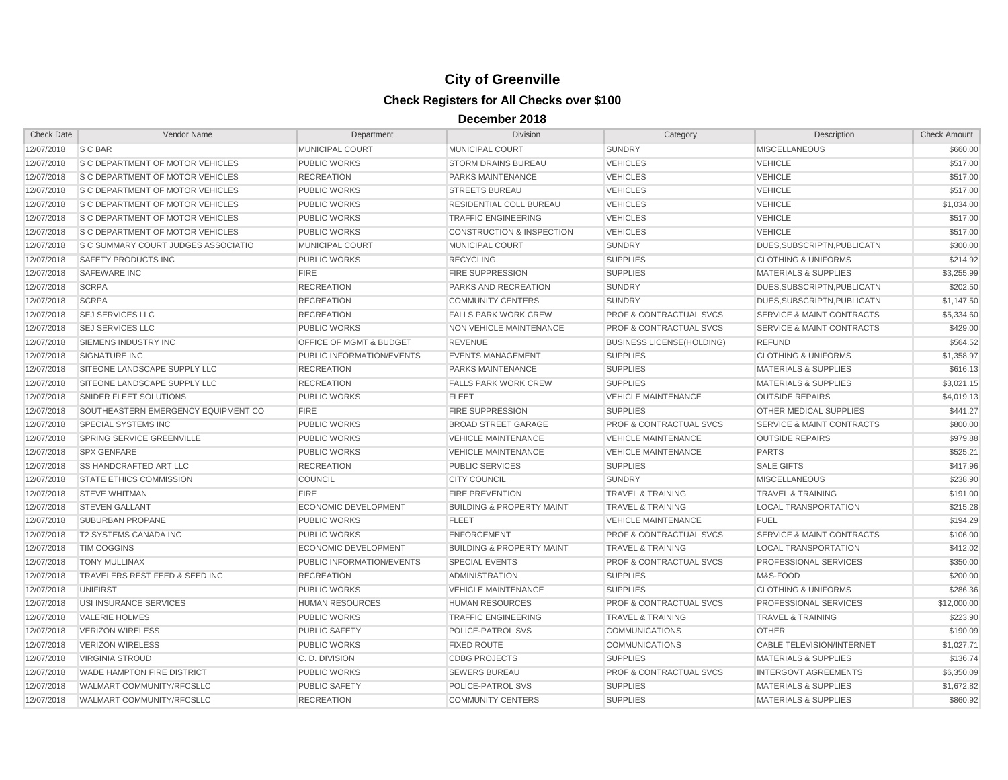| <b>Check Date</b> | Vendor Name                                 | Department                | <b>Division</b>                      | Category                           | Description                          | <b>Check Amount</b> |
|-------------------|---------------------------------------------|---------------------------|--------------------------------------|------------------------------------|--------------------------------------|---------------------|
| 12/07/2018        | S C BAR                                     | MUNICIPAL COURT           | MUNICIPAL COURT                      | <b>SUNDRY</b>                      | <b>MISCELLANEOUS</b>                 | \$660.00            |
| 12/07/2018        | S C DEPARTMENT OF MOTOR VEHICLES            | PUBLIC WORKS              | <b>STORM DRAINS BUREAU</b>           | <b>VEHICLES</b>                    | <b>VEHICLE</b>                       | \$517.00            |
| 12/07/2018        | <b>S C DEPARTMENT OF MOTOR VEHICLES</b>     | <b>RECREATION</b>         | <b>PARKS MAINTENANCE</b>             | <b>VEHICLES</b>                    | <b>VEHICLE</b>                       | \$517.00            |
| 12/07/2018        | S C DEPARTMENT OF MOTOR VEHICLES            | <b>PUBLIC WORKS</b>       | <b>STREETS BUREAU</b>                | <b>VEHICLES</b>                    | <b>VEHICLE</b>                       | \$517.00            |
| 12/07/2018        | <b>S C DEPARTMENT OF MOTOR VEHICLES</b>     | <b>PUBLIC WORKS</b>       | RESIDENTIAL COLL BUREAU              | <b>VEHICLES</b>                    | <b>VEHICLE</b>                       | \$1,034.00          |
| 12/07/2018        | <b>S C DEPARTMENT OF MOTOR VEHICLES</b>     | PUBLIC WORKS              | <b>TRAFFIC ENGINEERING</b>           | <b>VEHICLES</b>                    | <b>VEHICLE</b>                       | \$517.00            |
| 12/07/2018        | S C DEPARTMENT OF MOTOR VEHICLES            | PUBLIC WORKS              | <b>CONSTRUCTION &amp; INSPECTION</b> | <b>VEHICLES</b>                    | <b>VEHICLE</b>                       | \$517.00            |
| 12/07/2018        | <b>IS C SUMMARY COURT JUDGES ASSOCIATIO</b> | MUNICIPAL COURT           | <b>MUNICIPAL COURT</b>               | <b>SUNDRY</b>                      | DUES, SUBSCRIPTN, PUBLICATN          | \$300.00            |
| 12/07/2018        | SAFETY PRODUCTS INC                         | <b>PUBLIC WORKS</b>       | <b>RECYCLING</b>                     | <b>SUPPLIES</b>                    | <b>CLOTHING &amp; UNIFORMS</b>       | \$214.92            |
| 12/07/2018        | <b>SAFEWARE INC</b>                         | <b>FIRE</b>               | <b>FIRE SUPPRESSION</b>              | <b>SUPPLIES</b>                    | <b>MATERIALS &amp; SUPPLIES</b>      | \$3,255.99          |
| 12/07/2018        | <b>SCRPA</b>                                | <b>RECREATION</b>         | PARKS AND RECREATION                 | <b>SUNDRY</b>                      | DUES, SUBSCRIPTN, PUBLICATN          | \$202.50            |
| 12/07/2018        | <b>SCRPA</b>                                | <b>RECREATION</b>         | <b>COMMUNITY CENTERS</b>             | SUNDRY                             | DUES.SUBSCRIPTN.PUBLICATN            | \$1,147.50          |
| 12/07/2018        | <b>SEJ SERVICES LLC</b>                     | <b>RECREATION</b>         | <b>FALLS PARK WORK CREW</b>          | <b>PROF &amp; CONTRACTUAL SVCS</b> | <b>SERVICE &amp; MAINT CONTRACTS</b> | \$5,334.60          |
| 12/07/2018        | <b>SEJ SERVICES LLC</b>                     | PUBLIC WORKS              | <b>NON VEHICLE MAINTENANCE</b>       | <b>PROF &amp; CONTRACTUAL SVCS</b> | <b>SERVICE &amp; MAINT CONTRACTS</b> | \$429.00            |
| 12/07/2018        | SIEMENS INDUSTRY INC                        | OFFICE OF MGMT & BUDGET   | <b>REVENUE</b>                       | <b>BUSINESS LICENSE(HOLDING)</b>   | <b>REFUND</b>                        | \$564.52            |
| 12/07/2018        | <b>SIGNATURE INC</b>                        | PUBLIC INFORMATION/EVENTS | <b>EVENTS MANAGEMENT</b>             | <b>SUPPLIES</b>                    | <b>CLOTHING &amp; UNIFORMS</b>       | \$1,358.97          |
| 12/07/2018        | SITEONE LANDSCAPE SUPPLY LLC                | <b>RECREATION</b>         | <b>PARKS MAINTENANCE</b>             | <b>SUPPLIES</b>                    | <b>MATERIALS &amp; SUPPLIES</b>      | \$616.13            |
| 12/07/2018        | SITEONE LANDSCAPE SUPPLY LLC                | <b>RECREATION</b>         | <b>FALLS PARK WORK CREW</b>          | <b>SUPPLIES</b>                    | <b>MATERIALS &amp; SUPPLIES</b>      | \$3,021.15          |
| 12/07/2018        | SNIDER FLEET SOLUTIONS                      | <b>PUBLIC WORKS</b>       | <b>FLEET</b>                         | <b>VEHICLE MAINTENANCE</b>         | <b>OUTSIDE REPAIRS</b>               | \$4,019.13          |
| 12/07/2018        | SOUTHEASTERN EMERGENCY EQUIPMENT CO         | <b>FIRE</b>               | <b>FIRE SUPPRESSION</b>              | <b>SUPPLIES</b>                    | <b>OTHER MEDICAL SUPPLIES</b>        | \$441.27            |
| 12/07/2018        | SPECIAL SYSTEMS INC                         | <b>PUBLIC WORKS</b>       | <b>BROAD STREET GARAGE</b>           | <b>PROF &amp; CONTRACTUAL SVCS</b> | <b>SERVICE &amp; MAINT CONTRACTS</b> | \$800.00            |
| 12/07/2018        | SPRING SERVICE GREENVILLE                   | PUBLIC WORKS              | <b>VEHICLE MAINTENANCE</b>           | <b>VEHICLE MAINTENANCE</b>         | <b>OUTSIDE REPAIRS</b>               | \$979.88            |
| 12/07/2018        | <b>SPX GENFARE</b>                          | PUBLIC WORKS              | <b>VEHICLE MAINTENANCE</b>           | <b>VEHICLE MAINTENANCE</b>         | <b>PARTS</b>                         | \$525.21            |
| 12/07/2018        | <b>SS HANDCRAFTED ART LLC</b>               | <b>RECREATION</b>         | <b>PUBLIC SERVICES</b>               | <b>SUPPLIES</b>                    | <b>SALE GIFTS</b>                    | \$417.96            |
| 12/07/2018        | <b>STATE ETHICS COMMISSION</b>              | <b>COUNCIL</b>            | <b>CITY COUNCIL</b>                  | <b>SUNDRY</b>                      | <b>MISCELLANEOUS</b>                 | \$238.90            |
| 12/07/2018        | <b>STEVE WHITMAN</b>                        | <b>FIRE</b>               | <b>FIRE PREVENTION</b>               | <b>TRAVEL &amp; TRAINING</b>       | <b>TRAVEL &amp; TRAINING</b>         | \$191.00            |
| 12/07/2018        | <b>STEVEN GALLANT</b>                       | ECONOMIC DEVELOPMENT      | <b>BUILDING &amp; PROPERTY MAINT</b> | TRAVEL & TRAINING                  | <b>LOCAL TRANSPORTATION</b>          | \$215.28            |
| 12/07/2018        | <b>SUBURBAN PROPANE</b>                     | <b>PUBLIC WORKS</b>       | <b>FLEET</b>                         | <b>VEHICLE MAINTENANCE</b>         | <b>FUEL</b>                          | \$194.29            |
| 12/07/2018        | <b>T2 SYSTEMS CANADA INC</b>                | <b>PUBLIC WORKS</b>       | <b>ENFORCEMENT</b>                   | <b>PROF &amp; CONTRACTUAL SVCS</b> | <b>SERVICE &amp; MAINT CONTRACTS</b> | \$106.00            |
| 12/07/2018        | <b>TIM COGGINS</b>                          | ECONOMIC DEVELOPMENT      | <b>BUILDING &amp; PROPERTY MAINT</b> | <b>TRAVEL &amp; TRAINING</b>       | <b>LOCAL TRANSPORTATION</b>          | \$412.02            |
| 12/07/2018        | <b>TONY MULLINAX</b>                        | PUBLIC INFORMATION/EVENTS | <b>SPECIAL EVENTS</b>                | PROF & CONTRACTUAL SVCS            | PROFESSIONAL SERVICES                | \$350.00            |
| 12/07/2018        | TRAVELERS REST FEED & SEED INC              | <b>RECREATION</b>         | <b>ADMINISTRATION</b>                | <b>SUPPLIES</b>                    | M&S-FOOD                             | \$200.00            |
| 12/07/2018        | <b>UNIFIRST</b>                             | <b>PUBLIC WORKS</b>       | <b>VEHICLE MAINTENANCE</b>           | <b>SUPPLIES</b>                    | <b>CLOTHING &amp; UNIFORMS</b>       | \$286.36            |
| 12/07/2018        | USI INSURANCE SERVICES                      | <b>HUMAN RESOURCES</b>    | <b>HUMAN RESOURCES</b>               | <b>PROF &amp; CONTRACTUAL SVCS</b> | PROFESSIONAL SERVICES                | \$12,000.00         |
| 12/07/2018        | <b>VALERIE HOLMES</b>                       | <b>PUBLIC WORKS</b>       | <b>TRAFFIC ENGINEERING</b>           | <b>TRAVEL &amp; TRAINING</b>       | <b>TRAVEL &amp; TRAINING</b>         | \$223.90            |
| 12/07/2018        | <b>VERIZON WIRELESS</b>                     | <b>PUBLIC SAFETY</b>      | POLICE-PATROL SVS                    | <b>COMMUNICATIONS</b>              | <b>OTHER</b>                         | \$190.09            |
| 12/07/2018        | <b>VERIZON WIRELESS</b>                     | <b>PUBLIC WORKS</b>       | <b>FIXED ROUTE</b>                   | <b>COMMUNICATIONS</b>              | CABLE TELEVISION/INTERNET            | \$1,027.71          |
| 12/07/2018        | <b>VIRGINIA STROUD</b>                      | C. D. DIVISION            | <b>CDBG PROJECTS</b>                 | <b>SUPPLIES</b>                    | <b>MATERIALS &amp; SUPPLIES</b>      | \$136.74            |
| 12/07/2018        | WADE HAMPTON FIRE DISTRICT                  | PUBLIC WORKS              | <b>SEWERS BUREAU</b>                 | PROF & CONTRACTUAL SVCS            | <b>INTERGOVT AGREEMENTS</b>          | \$6,350.09          |
| 12/07/2018        | WALMART COMMUNITY/RFCSLLC                   | PUBLIC SAFETY             | POLICE-PATROL SVS                    | <b>SUPPLIES</b>                    | <b>MATERIALS &amp; SUPPLIES</b>      | \$1,672.82          |
| 12/07/2018        | <b>WALMART COMMUNITY/RFCSLLC</b>            | <b>RECREATION</b>         | <b>COMMUNITY CENTERS</b>             | <b>SUPPLIES</b>                    | <b>MATERIALS &amp; SUPPLIES</b>      | \$860.92            |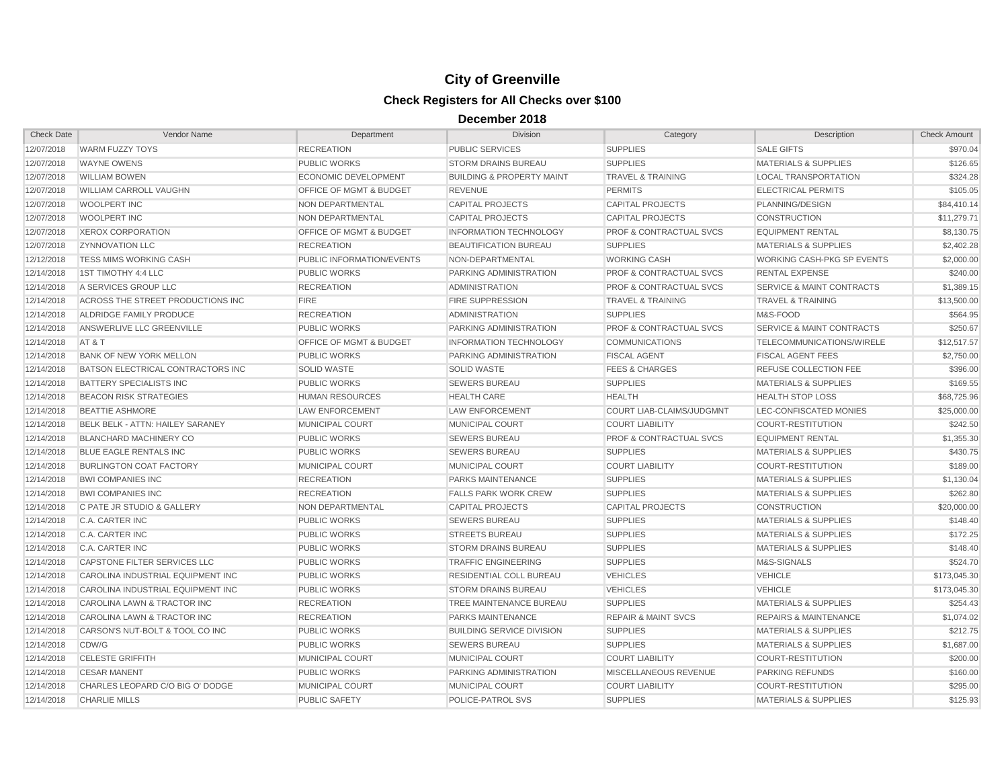| <b>Check Date</b> | Vendor Name                             | Department                         | <b>Division</b>                      | Category                           | Description                          | <b>Check Amount</b> |
|-------------------|-----------------------------------------|------------------------------------|--------------------------------------|------------------------------------|--------------------------------------|---------------------|
| 12/07/2018        | <b>WARM FUZZY TOYS</b>                  | <b>RECREATION</b>                  | PUBLIC SERVICES                      | <b>SUPPLIES</b>                    | <b>SALE GIFTS</b>                    | \$970.04            |
| 12/07/2018        | <b>WAYNE OWENS</b>                      | <b>PUBLIC WORKS</b>                | <b>STORM DRAINS BUREAU</b>           | <b>SUPPLIES</b>                    | <b>MATERIALS &amp; SUPPLIES</b>      | \$126.65            |
| 12/07/2018        | <b>WILLIAM BOWEN</b>                    | <b>ECONOMIC DEVELOPMENT</b>        | <b>BUILDING &amp; PROPERTY MAINT</b> | <b>TRAVEL &amp; TRAINING</b>       | <b>LOCAL TRANSPORTATION</b>          | \$324.28            |
| 12/07/2018        | <b>WILLIAM CARROLL VAUGHN</b>           | OFFICE OF MGMT & BUDGET            | <b>REVENUE</b>                       | <b>PERMITS</b>                     | <b>ELECTRICAL PERMITS</b>            | \$105.05            |
| 12/07/2018        | WOOLPERT INC                            | NON DEPARTMENTAL                   | <b>CAPITAL PROJECTS</b>              | <b>CAPITAL PROJECTS</b>            | PLANNING/DESIGN                      | \$84,410.14         |
| 12/07/2018        | <b>WOOLPERT INC</b>                     | NON DEPARTMENTAL                   | <b>CAPITAL PROJECTS</b>              | <b>CAPITAL PROJECTS</b>            | <b>CONSTRUCTION</b>                  | \$11,279.71         |
| 12/07/2018        | <b>XEROX CORPORATION</b>                | <b>OFFICE OF MGMT &amp; BUDGET</b> | <b>INFORMATION TECHNOLOGY</b>        | <b>PROF &amp; CONTRACTUAL SVCS</b> | <b>EQUIPMENT RENTAL</b>              | \$8,130.75          |
| 12/07/2018        | <b>ZYNNOVATION LLC</b>                  | <b>RECREATION</b>                  | <b>BEAUTIFICATION BUREAU</b>         | <b>SUPPLIES</b>                    | <b>MATERIALS &amp; SUPPLIES</b>      | \$2,402.28          |
| 12/12/2018        | TESS MIMS WORKING CASH                  | PUBLIC INFORMATION/EVENTS          | NON-DEPARTMENTAL                     | <b>WORKING CASH</b>                | <b>WORKING CASH-PKG SP EVENTS</b>    | \$2,000.00          |
| 12/14/2018        | 1ST TIMOTHY 4:4 LLC                     | <b>PUBLIC WORKS</b>                | PARKING ADMINISTRATION               | <b>PROF &amp; CONTRACTUAL SVCS</b> | <b>RENTAL EXPENSE</b>                | \$240.00            |
| 12/14/2018        | A SERVICES GROUP LLC                    | <b>RECREATION</b>                  | <b>ADMINISTRATION</b>                | <b>PROF &amp; CONTRACTUAL SVCS</b> | <b>SERVICE &amp; MAINT CONTRACTS</b> | \$1,389.15          |
| 12/14/2018        | ACROSS THE STREET PRODUCTIONS INC       | <b>FIRE</b>                        | <b>FIRE SUPPRESSION</b>              | <b>TRAVEL &amp; TRAINING</b>       | <b>TRAVEL &amp; TRAINING</b>         | \$13,500.00         |
| 12/14/2018        | ALDRIDGE FAMILY PRODUCE                 | <b>RECREATION</b>                  | <b>ADMINISTRATION</b>                | <b>SUPPLIES</b>                    | M&S-FOOD                             | \$564.95            |
| 12/14/2018        | ANSWERLIVE LLC GREENVILLE               | PUBLIC WORKS                       | PARKING ADMINISTRATION               | <b>PROF &amp; CONTRACTUAL SVCS</b> | SERVICE & MAINT CONTRACTS            | \$250.67            |
| 12/14/2018        | AT&T                                    | OFFICE OF MGMT & BUDGET            | <b>INFORMATION TECHNOLOGY</b>        | <b>COMMUNICATIONS</b>              | TELECOMMUNICATIONS/WIRELE            | \$12,517.57         |
| 12/14/2018        | <b>BANK OF NEW YORK MELLON</b>          | <b>PUBLIC WORKS</b>                | PARKING ADMINISTRATION               | <b>FISCAL AGENT</b>                | <b>FISCAL AGENT FEES</b>             | \$2,750.00          |
| 12/14/2018        | BATSON ELECTRICAL CONTRACTORS INC       | <b>SOLID WASTE</b>                 | <b>SOLID WASTE</b>                   | <b>FEES &amp; CHARGES</b>          | REFUSE COLLECTION FEE                | \$396.00            |
| 12/14/2018        | <b>BATTERY SPECIALISTS INC</b>          | PUBLIC WORKS                       | <b>SEWERS BUREAU</b>                 | <b>SUPPLIES</b>                    | <b>MATERIALS &amp; SUPPLIES</b>      | \$169.55            |
| 12/14/2018        | <b>BEACON RISK STRATEGIES</b>           | <b>HUMAN RESOURCES</b>             | <b>HEALTH CARE</b>                   | <b>HEALTH</b>                      | <b>HEALTH STOP LOSS</b>              | \$68,725.96         |
| 12/14/2018        | <b>BEATTIE ASHMORE</b>                  | <b>LAW ENFORCEMENT</b>             | <b>LAW ENFORCEMENT</b>               | <b>COURT LIAB-CLAIMS/JUDGMNT</b>   | LEC-CONFISCATED MONIES               | \$25,000.00         |
| 12/14/2018        | <b>BELK BELK - ATTN: HAILEY SARANEY</b> | MUNICIPAL COURT                    | <b>MUNICIPAL COURT</b>               | <b>COURT LIABILITY</b>             | <b>COURT-RESTITUTION</b>             | \$242.50            |
| 12/14/2018        | <b>BLANCHARD MACHINERY CO</b>           | <b>PUBLIC WORKS</b>                | <b>SEWERS BUREAU</b>                 | <b>PROF &amp; CONTRACTUAL SVCS</b> | <b>EQUIPMENT RENTAL</b>              | \$1,355.30          |
| 12/14/2018        | BLUE EAGLE RENTALS INC                  | PUBLIC WORKS                       | <b>SEWERS BUREAU</b>                 | <b>SUPPLIES</b>                    | <b>MATERIALS &amp; SUPPLIES</b>      | \$430.75            |
| 12/14/2018        | <b>BURLINGTON COAT FACTORY</b>          | MUNICIPAL COURT                    | <b>MUNICIPAL COURT</b>               | <b>COURT LIABILITY</b>             | <b>COURT-RESTITUTION</b>             | \$189.00            |
| 12/14/2018        | <b>BWI COMPANIES INC</b>                | <b>RECREATION</b>                  | <b>PARKS MAINTENANCE</b>             | <b>SUPPLIES</b>                    | <b>MATERIALS &amp; SUPPLIES</b>      | \$1,130.04          |
| 12/14/2018        | <b>BWI COMPANIES INC</b>                | <b>RECREATION</b>                  | <b>FALLS PARK WORK CREW</b>          | <b>SUPPLIES</b>                    | <b>MATERIALS &amp; SUPPLIES</b>      | \$262.80            |
| 12/14/2018        | C PATE JR STUDIO & GALLERY              | NON DEPARTMENTAL                   | <b>CAPITAL PROJECTS</b>              | <b>CAPITAL PROJECTS</b>            | <b>CONSTRUCTION</b>                  | \$20,000.00         |
| 12/14/2018        | C.A. CARTER INC                         | <b>PUBLIC WORKS</b>                | <b>SEWERS BUREAU</b>                 | <b>SUPPLIES</b>                    | <b>MATERIALS &amp; SUPPLIES</b>      | \$148.40            |
| 12/14/2018        | C.A. CARTER INC                         | PUBLIC WORKS                       | <b>STREETS BUREAU</b>                | <b>SUPPLIES</b>                    | MATERIALS & SUPPLIES                 | \$172.25            |
| 12/14/2018        | C.A. CARTER INC                         | PUBLIC WORKS                       | <b>STORM DRAINS BUREAU</b>           | <b>SUPPLIES</b>                    | <b>MATERIALS &amp; SUPPLIES</b>      | \$148.40            |
| 12/14/2018        | CAPSTONE FILTER SERVICES LLC            | <b>PUBLIC WORKS</b>                | <b>TRAFFIC ENGINEERING</b>           | <b>SUPPLIES</b>                    | M&S-SIGNALS                          | \$524.70            |
| 12/14/2018        | CAROLINA INDUSTRIAL EQUIPMENT INC       | PUBLIC WORKS                       | <b>RESIDENTIAL COLL BUREAU</b>       | <b>VEHICLES</b>                    | <b>VEHICLE</b>                       | \$173,045.30        |
| 12/14/2018        | CAROLINA INDUSTRIAL EQUIPMENT INC       | <b>PUBLIC WORKS</b>                | <b>STORM DRAINS BUREAU</b>           | <b>VEHICLES</b>                    | <b>VEHICLE</b>                       | \$173,045.30        |
| 12/14/2018        | CAROLINA LAWN & TRACTOR INC             | <b>RECREATION</b>                  | TREE MAINTENANCE BUREAU              | <b>SUPPLIES</b>                    | <b>MATERIALS &amp; SUPPLIES</b>      | \$254.43            |
| 12/14/2018        | CAROLINA LAWN & TRACTOR INC             | <b>RECREATION</b>                  | <b>PARKS MAINTENANCE</b>             | <b>REPAIR &amp; MAINT SVCS</b>     | <b>REPAIRS &amp; MAINTENANCE</b>     | \$1,074.02          |
| 12/14/2018        | CARSON'S NUT-BOLT & TOOL CO INC         | <b>PUBLIC WORKS</b>                | <b>BUILDING SERVICE DIVISION</b>     | <b>SUPPLIES</b>                    | <b>MATERIALS &amp; SUPPLIES</b>      | \$212.75            |
| 12/14/2018        | CDW/G                                   | PUBLIC WORKS                       | <b>SEWERS BUREAU</b>                 | <b>SUPPLIES</b>                    | <b>MATERIALS &amp; SUPPLIES</b>      | \$1,687.00          |
| 12/14/2018        | <b>CELESTE GRIFFITH</b>                 | MUNICIPAL COURT                    | MUNICIPAL COURT                      | <b>COURT LIABILITY</b>             | <b>COURT-RESTITUTION</b>             | \$200.00            |
| 12/14/2018        | <b>CESAR MANENT</b>                     | <b>PUBLIC WORKS</b>                | PARKING ADMINISTRATION               | MISCELLANEOUS REVENUE              | <b>PARKING REFUNDS</b>               | \$160.00            |
| 12/14/2018        | CHARLES LEOPARD C/O BIG O' DODGE        | <b>MUNICIPAL COURT</b>             | MUNICIPAL COURT                      | <b>COURT LIABILITY</b>             | <b>COURT-RESTITUTION</b>             | \$295.00            |
| 12/14/2018        | <b>CHARLIE MILLS</b>                    | <b>PUBLIC SAFETY</b>               | POLICE-PATROL SVS                    | <b>SUPPLIES</b>                    | <b>MATERIALS &amp; SUPPLIES</b>      | \$125.93            |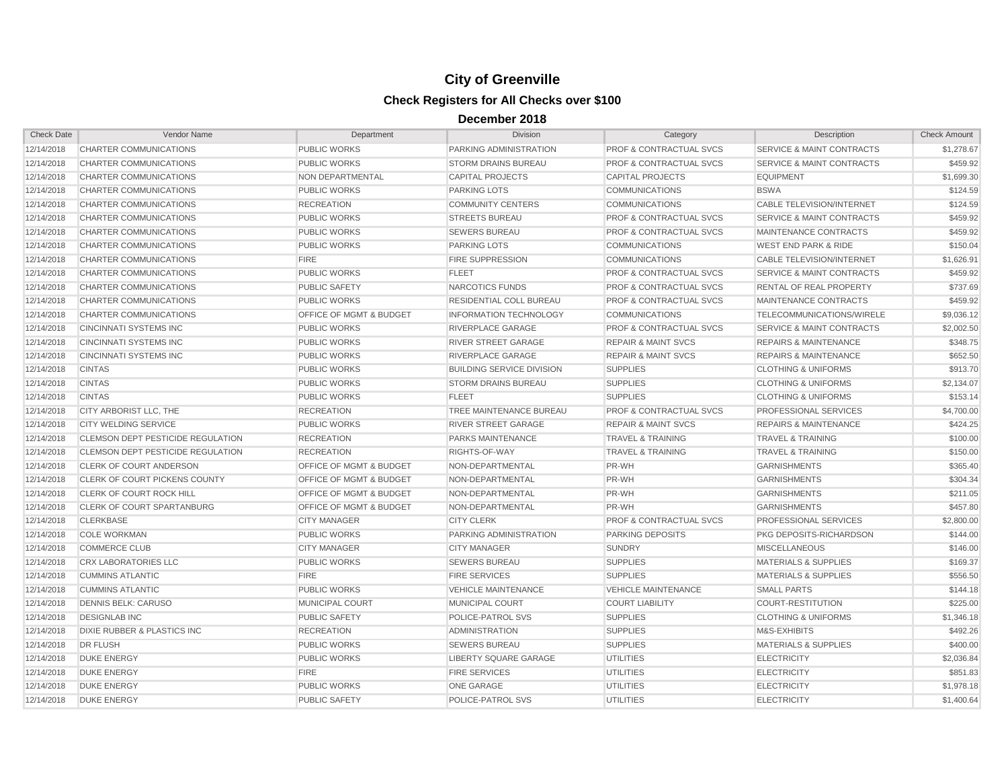| <b>Check Date</b> | Vendor Name                       | Department                         | Division                         | Category                           | Description                          | <b>Check Amount</b> |
|-------------------|-----------------------------------|------------------------------------|----------------------------------|------------------------------------|--------------------------------------|---------------------|
| 12/14/2018        | CHARTER COMMUNICATIONS            | <b>PUBLIC WORKS</b>                | PARKING ADMINISTRATION           | <b>PROF &amp; CONTRACTUAL SVCS</b> | SERVICE & MAINT CONTRACTS            | \$1,278.67          |
| 12/14/2018        | CHARTER COMMUNICATIONS            | <b>PUBLIC WORKS</b>                | <b>STORM DRAINS BUREAU</b>       | <b>PROF &amp; CONTRACTUAL SVCS</b> | SERVICE & MAINT CONTRACTS            | \$459.92            |
| 12/14/2018        | CHARTER COMMUNICATIONS            | NON DEPARTMENTAL                   | <b>CAPITAL PROJECTS</b>          | <b>CAPITAL PROJECTS</b>            | <b>EQUIPMENT</b>                     | \$1,699.30          |
| 12/14/2018        | CHARTER COMMUNICATIONS            | <b>PUBLIC WORKS</b>                | <b>PARKING LOTS</b>              | <b>COMMUNICATIONS</b>              | <b>BSWA</b>                          | \$124.59            |
| 12/14/2018        | <b>CHARTER COMMUNICATIONS</b>     | <b>RECREATION</b>                  | <b>COMMUNITY CENTERS</b>         | <b>COMMUNICATIONS</b>              | <b>CABLE TELEVISION/INTERNET</b>     | \$124.59            |
| 12/14/2018        | CHARTER COMMUNICATIONS            | PUBLIC WORKS                       | <b>STREETS BUREAU</b>            | PROF & CONTRACTUAL SVCS            | SERVICE & MAINT CONTRACTS            | \$459.92            |
| 12/14/2018        | CHARTER COMMUNICATIONS            | <b>PUBLIC WORKS</b>                | <b>SEWERS BUREAU</b>             | <b>PROF &amp; CONTRACTUAL SVCS</b> | MAINTENANCE CONTRACTS                | \$459.92            |
| 12/14/2018        | CHARTER COMMUNICATIONS            | <b>PUBLIC WORKS</b>                | <b>PARKING LOTS</b>              | <b>COMMUNICATIONS</b>              | <b>WEST END PARK &amp; RIDE</b>      | \$150.04            |
| 12/14/2018        | <b>CHARTER COMMUNICATIONS</b>     | <b>FIRE</b>                        | <b>FIRE SUPPRESSION</b>          | <b>COMMUNICATIONS</b>              | <b>CABLE TELEVISION/INTERNET</b>     | \$1,626.91          |
| 12/14/2018        | CHARTER COMMUNICATIONS            | <b>PUBLIC WORKS</b>                | <b>FLEET</b>                     | <b>PROF &amp; CONTRACTUAL SVCS</b> | SERVICE & MAINT CONTRACTS            | \$459.92            |
| 12/14/2018        | <b>CHARTER COMMUNICATIONS</b>     | <b>PUBLIC SAFETY</b>               | NARCOTICS FUNDS                  | <b>PROF &amp; CONTRACTUAL SVCS</b> | <b>RENTAL OF REAL PROPERTY</b>       | \$737.69            |
| 12/14/2018        | CHARTER COMMUNICATIONS            | <b>PUBLIC WORKS</b>                | <b>RESIDENTIAL COLL BUREAU</b>   | <b>PROF &amp; CONTRACTUAL SVCS</b> | MAINTENANCE CONTRACTS                | \$459.92            |
| 12/14/2018        | CHARTER COMMUNICATIONS            | <b>OFFICE OF MGMT &amp; BUDGET</b> | <b>INFORMATION TECHNOLOGY</b>    | <b>COMMUNICATIONS</b>              | TELECOMMUNICATIONS/WIRELE            | \$9,036.12          |
| 12/14/2018        | <b>CINCINNATI SYSTEMS INC</b>     | <b>PUBLIC WORKS</b>                | <b>RIVERPLACE GARAGE</b>         | <b>PROF &amp; CONTRACTUAL SVCS</b> | <b>SERVICE &amp; MAINT CONTRACTS</b> | \$2,002.50          |
| 12/14/2018        | <b>CINCINNATI SYSTEMS INC</b>     | <b>PUBLIC WORKS</b>                | <b>RIVER STREET GARAGE</b>       | <b>REPAIR &amp; MAINT SVCS</b>     | <b>REPAIRS &amp; MAINTENANCE</b>     | \$348.75            |
| 12/14/2018        | <b>CINCINNATI SYSTEMS INC</b>     | <b>PUBLIC WORKS</b>                | <b>RIVERPLACE GARAGE</b>         | <b>REPAIR &amp; MAINT SVCS</b>     | <b>REPAIRS &amp; MAINTENANCE</b>     | \$652.50            |
| 12/14/2018        | <b>CINTAS</b>                     | <b>PUBLIC WORKS</b>                | <b>BUILDING SERVICE DIVISION</b> | <b>SUPPLIES</b>                    | <b>CLOTHING &amp; UNIFORMS</b>       | \$913.70            |
| 12/14/2018        | <b>CINTAS</b>                     | <b>PUBLIC WORKS</b>                | <b>STORM DRAINS BUREAU</b>       | <b>SUPPLIES</b>                    | <b>CLOTHING &amp; UNIFORMS</b>       | \$2,134.07          |
| 12/14/2018        | <b>CINTAS</b>                     | <b>PUBLIC WORKS</b>                | <b>FLEET</b>                     | <b>SUPPLIES</b>                    | <b>CLOTHING &amp; UNIFORMS</b>       | \$153.14            |
| 12/14/2018        | CITY ARBORIST LLC, THE            | <b>RECREATION</b>                  | TREE MAINTENANCE BUREAU          | <b>PROF &amp; CONTRACTUAL SVCS</b> | PROFESSIONAL SERVICES                | \$4,700.00          |
| 12/14/2018        | <b>CITY WELDING SERVICE</b>       | <b>PUBLIC WORKS</b>                | <b>RIVER STREET GARAGE</b>       | <b>REPAIR &amp; MAINT SVCS</b>     | <b>REPAIRS &amp; MAINTENANCE</b>     | \$424.25            |
| 12/14/2018        | CLEMSON DEPT PESTICIDE REGULATION | <b>RECREATION</b>                  | PARKS MAINTENANCE                | <b>TRAVEL &amp; TRAINING</b>       | <b>TRAVEL &amp; TRAINING</b>         | \$100.00            |
| 12/14/2018        | CLEMSON DEPT PESTICIDE REGULATION | <b>RECREATION</b>                  | RIGHTS-OF-WAY                    | <b>TRAVEL &amp; TRAINING</b>       | <b>TRAVEL &amp; TRAINING</b>         | \$150.00            |
| 12/14/2018        | <b>CLERK OF COURT ANDERSON</b>    | <b>OFFICE OF MGMT &amp; BUDGET</b> | NON-DEPARTMENTAL                 | PR-WH                              | <b>GARNISHMENTS</b>                  | \$365.40            |
| 12/14/2018        | CLERK OF COURT PICKENS COUNTY     | OFFICE OF MGMT & BUDGET            | NON-DEPARTMENTAL                 | PR-WH                              | <b>GARNISHMENTS</b>                  | \$304.34            |
| 12/14/2018        | <b>CLERK OF COURT ROCK HILL</b>   | <b>OFFICE OF MGMT &amp; BUDGET</b> | NON-DEPARTMENTAL                 | PR-WH                              | <b>GARNISHMENTS</b>                  | \$211.05            |
| 12/14/2018        | <b>CLERK OF COURT SPARTANBURG</b> | <b>OFFICE OF MGMT &amp; BUDGET</b> | NON-DEPARTMENTAL                 | PR-WH                              | <b>GARNISHMENTS</b>                  | \$457.80            |
| 12/14/2018        | <b>CLERKBASE</b>                  | <b>CITY MANAGER</b>                | <b>CITY CLERK</b>                | <b>PROF &amp; CONTRACTUAL SVCS</b> | PROFESSIONAL SERVICES                | \$2,800.00          |
| 12/14/2018        | <b>COLE WORKMAN</b>               | PUBLIC WORKS                       | PARKING ADMINISTRATION           | PARKING DEPOSITS                   | PKG DEPOSITS-RICHARDSON              | \$144.00            |
| 12/14/2018        | <b>COMMERCE CLUB</b>              | <b>CITY MANAGER</b>                | <b>CITY MANAGER</b>              | <b>SUNDRY</b>                      | <b>MISCELLANEOUS</b>                 | \$146.00            |
| 12/14/2018        | <b>CRX LABORATORIES LLC</b>       | <b>PUBLIC WORKS</b>                | <b>SEWERS BUREAU</b>             | <b>SUPPLIES</b>                    | <b>MATERIALS &amp; SUPPLIES</b>      | \$169.37            |
| 12/14/2018        | <b>CUMMINS ATLANTIC</b>           | <b>FIRE</b>                        | <b>FIRE SERVICES</b>             | <b>SUPPLIES</b>                    | <b>MATERIALS &amp; SUPPLIES</b>      | \$556.50            |
| 12/14/2018        | <b>CUMMINS ATLANTIC</b>           | <b>PUBLIC WORKS</b>                | <b>VEHICLE MAINTENANCE</b>       | <b>VEHICLE MAINTENANCE</b>         | <b>SMALL PARTS</b>                   | \$144.18            |
| 12/14/2018        | <b>DENNIS BELK: CARUSO</b>        | <b>MUNICIPAL COURT</b>             | <b>MUNICIPAL COURT</b>           | <b>COURT LIABILITY</b>             | <b>COURT-RESTITUTION</b>             | \$225.00            |
| 12/14/2018        | <b>DESIGNLAB INC</b>              | <b>PUBLIC SAFETY</b>               | POLICE-PATROL SVS                | <b>SUPPLIES</b>                    | <b>CLOTHING &amp; UNIFORMS</b>       | \$1,346.18          |
| 12/14/2018        | DIXIE RUBBER & PLASTICS INC       | <b>RECREATION</b>                  | <b>ADMINISTRATION</b>            | <b>SUPPLIES</b>                    | M&S-EXHIBITS                         | \$492.26            |
| 12/14/2018        | <b>DR FLUSH</b>                   | <b>PUBLIC WORKS</b>                | <b>SEWERS BUREAU</b>             | <b>SUPPLIES</b>                    | <b>MATERIALS &amp; SUPPLIES</b>      | \$400.00            |
| 12/14/2018        | <b>DUKE ENERGY</b>                | PUBLIC WORKS                       | LIBERTY SQUARE GARAGE            | <b>UTILITIES</b>                   | <b>ELECTRICITY</b>                   | \$2,036.84          |
| 12/14/2018        | <b>DUKE ENERGY</b>                | <b>FIRE</b>                        | <b>FIRE SERVICES</b>             | <b>UTILITIES</b>                   | <b>ELECTRICITY</b>                   | \$851.83            |
| 12/14/2018        | <b>DUKE ENERGY</b>                | <b>PUBLIC WORKS</b>                | <b>ONE GARAGE</b>                | <b>UTILITIES</b>                   | <b>ELECTRICITY</b>                   | \$1,978.18          |
| 12/14/2018        | <b>DUKE ENERGY</b>                | <b>PUBLIC SAFETY</b>               | POLICE-PATROL SVS                | <b>UTILITIES</b>                   | <b>ELECTRICITY</b>                   | \$1,400.64          |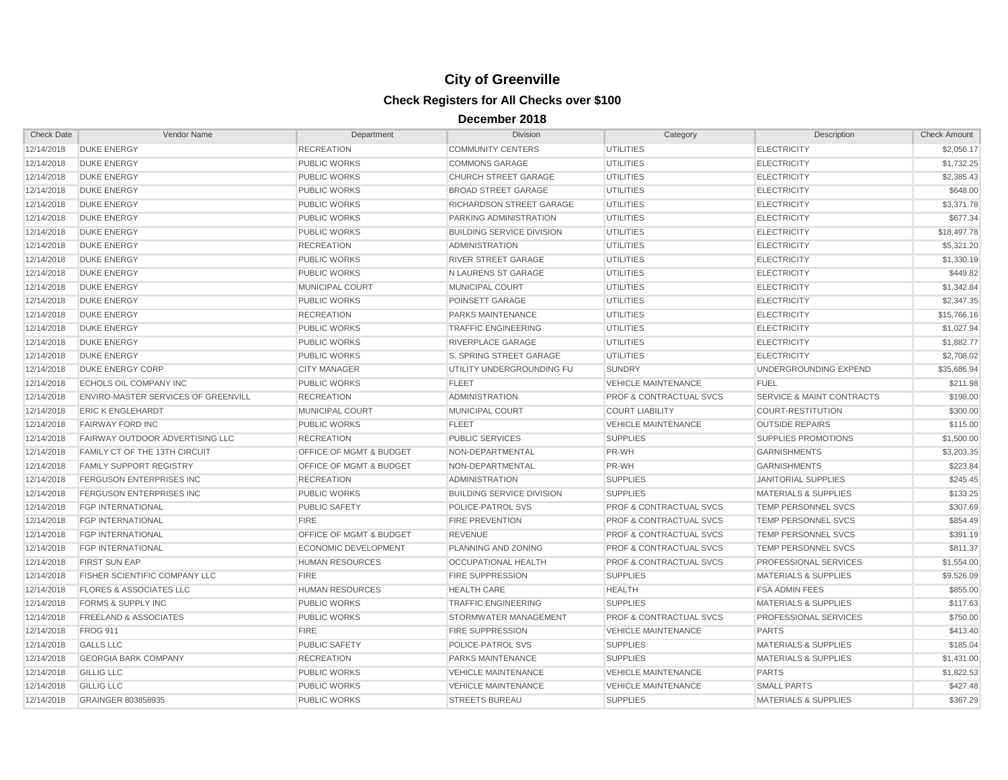| <b>Check Date</b> | Vendor Name                            | Department                         | <b>Division</b>                  | Category                           | Description                          | <b>Check Amount</b> |
|-------------------|----------------------------------------|------------------------------------|----------------------------------|------------------------------------|--------------------------------------|---------------------|
| 12/14/2018        | <b>DUKE ENERGY</b>                     | <b>RECREATION</b>                  | <b>COMMUNITY CENTERS</b>         | <b>UTILITIES</b>                   | <b>ELECTRICITY</b>                   | \$2,056.17          |
| 12/14/2018        | <b>DUKE ENERGY</b>                     | <b>PUBLIC WORKS</b>                | <b>COMMONS GARAGE</b>            | <b>UTILITIES</b>                   | <b>ELECTRICITY</b>                   | \$1,732.25          |
| 12/14/2018        | <b>DUKE ENERGY</b>                     | <b>PUBLIC WORKS</b>                | <b>CHURCH STREET GARAGE</b>      | <b>UTILITIES</b>                   | <b>ELECTRICITY</b>                   | \$2,385.43          |
| 12/14/2018        | <b>DUKE ENERGY</b>                     | <b>PUBLIC WORKS</b>                | <b>BROAD STREET GARAGE</b>       | <b>UTILITIES</b>                   | <b>ELECTRICITY</b>                   | \$648.00            |
| 12/14/2018        | <b>DUKE ENERGY</b>                     | <b>PUBLIC WORKS</b>                | RICHARDSON STREET GARAGE         | <b>UTILITIES</b>                   | <b>ELECTRICITY</b>                   | \$3.371.78          |
| 12/14/2018        | <b>DUKE ENERGY</b>                     | <b>PUBLIC WORKS</b>                | PARKING ADMINISTRATION           | <b>UTILITIES</b>                   | <b>ELECTRICITY</b>                   | \$677.34            |
| 12/14/2018        | <b>DUKE ENERGY</b>                     | <b>PUBLIC WORKS</b>                | <b>BUILDING SERVICE DIVISION</b> | <b>UTILITIES</b>                   | <b>ELECTRICITY</b>                   | \$18,497.78         |
| 12/14/2018        | <b>DUKE ENERGY</b>                     | <b>RECREATION</b>                  | <b>ADMINISTRATION</b>            | <b>UTILITIES</b>                   | <b>ELECTRICITY</b>                   | \$5,321.20          |
| 12/14/2018        | <b>DUKE ENERGY</b>                     | <b>PUBLIC WORKS</b>                | <b>RIVER STREET GARAGE</b>       | <b>UTILITIES</b>                   | <b>ELECTRICITY</b>                   | \$1,330.19          |
| 12/14/2018        | <b>DUKE ENERGY</b>                     | <b>PUBLIC WORKS</b>                | N LAURENS ST GARAGE              | <b>UTILITIES</b>                   | <b>ELECTRICITY</b>                   | \$449.82            |
| 12/14/2018        | <b>DUKE ENERGY</b>                     | <b>MUNICIPAL COURT</b>             | <b>MUNICIPAL COURT</b>           | <b>UTILITIES</b>                   | <b>ELECTRICITY</b>                   | \$1,342.84          |
| 12/14/2018        | <b>DUKE ENERGY</b>                     | <b>PUBLIC WORKS</b>                | POINSETT GARAGE                  | <b>UTILITIES</b>                   | <b>ELECTRICITY</b>                   | \$2,347.35          |
| 12/14/2018        | <b>DUKE ENERGY</b>                     | <b>RECREATION</b>                  | <b>PARKS MAINTENANCE</b>         | <b>UTILITIES</b>                   | <b>ELECTRICITY</b>                   | \$15,766,16         |
| 12/14/2018        | <b>DUKE ENERGY</b>                     | <b>PUBLIC WORKS</b>                | <b>TRAFFIC ENGINEERING</b>       | <b>UTILITIES</b>                   | <b>ELECTRICITY</b>                   | \$1,027.94          |
| 12/14/2018        | <b>DUKE ENERGY</b>                     | PUBLIC WORKS                       | RIVERPLACE GARAGE                | <b>UTILITIES</b>                   | <b>ELECTRICITY</b>                   | \$1,882.77          |
| 12/14/2018        | <b>DUKE ENERGY</b>                     | <b>PUBLIC WORKS</b>                | S. SPRING STREET GARAGE          | <b>UTILITIES</b>                   | <b>ELECTRICITY</b>                   | \$2,708.02          |
| 12/14/2018        | <b>DUKE ENERGY CORP</b>                | <b>CITY MANAGER</b>                | UTILITY UNDERGROUNDING FU        | <b>SUNDRY</b>                      | UNDERGROUNDING EXPEND                | \$35,686.94         |
| 12/14/2018        | ECHOLS OIL COMPANY INC                 | <b>PUBLIC WORKS</b>                | <b>FLEET</b>                     | <b>VEHICLE MAINTENANCE</b>         | <b>FUEL</b>                          | \$211.98            |
| 12/14/2018        | ENVIRO-MASTER SERVICES OF GREENVILL    | <b>RECREATION</b>                  | <b>ADMINISTRATION</b>            | <b>PROF &amp; CONTRACTUAL SVCS</b> | <b>SERVICE &amp; MAINT CONTRACTS</b> | \$198.00            |
| 12/14/2018        | <b>ERIC K ENGLEHARDT</b>               | <b>MUNICIPAL COURT</b>             | <b>MUNICIPAL COURT</b>           | <b>COURT LIABILITY</b>             | <b>COURT-RESTITUTION</b>             | \$300.00            |
| 12/14/2018        | <b>FAIRWAY FORD INC</b>                | <b>PUBLIC WORKS</b>                | <b>FLEET</b>                     | <b>VEHICLE MAINTENANCE</b>         | <b>OUTSIDE REPAIRS</b>               | \$115.00            |
| 12/14/2018        | <b>FAIRWAY OUTDOOR ADVERTISING LLC</b> | <b>RECREATION</b>                  | <b>PUBLIC SERVICES</b>           | <b>SUPPLIES</b>                    | <b>SUPPLIES PROMOTIONS</b>           | \$1,500.00          |
| 12/14/2018        | FAMILY CT OF THE 13TH CIRCUIT          | <b>OFFICE OF MGMT &amp; BUDGET</b> | NON-DEPARTMENTAL                 | PR-WH                              | <b>GARNISHMENTS</b>                  | \$3,203.35          |
| 12/14/2018        | <b>FAMILY SUPPORT REGISTRY</b>         | OFFICE OF MGMT & BUDGET            | NON-DEPARTMENTAL                 | PR-WH                              | <b>GARNISHMENTS</b>                  | \$223.84            |
| 12/14/2018        | <b>FERGUSON ENTERPRISES INC</b>        | <b>RECREATION</b>                  | <b>ADMINISTRATION</b>            | <b>SUPPLIES</b>                    | <b>JANITORIAL SUPPLIES</b>           | \$245.45            |
| 12/14/2018        | <b>FERGUSON ENTERPRISES INC</b>        | <b>PUBLIC WORKS</b>                | <b>BUILDING SERVICE DIVISION</b> | <b>SUPPLIES</b>                    | <b>MATERIALS &amp; SUPPLIES</b>      | \$133.25            |
| 12/14/2018        | <b>FGP INTERNATIONAL</b>               | <b>PUBLIC SAFETY</b>               | POLICE-PATROL SVS                | <b>PROF &amp; CONTRACTUAL SVCS</b> | TEMP PERSONNEL SVCS                  | \$307.69            |
| 12/14/2018        | FGP INTERNATIONAL                      | <b>FIRE</b>                        | <b>FIRE PREVENTION</b>           | <b>PROF &amp; CONTRACTUAL SVCS</b> | <b>TEMP PERSONNEL SVCS</b>           | \$854.49            |
| 12/14/2018        | <b>FGP INTERNATIONAL</b>               | <b>OFFICE OF MGMT &amp; BUDGET</b> | <b>REVENUE</b>                   | <b>PROF &amp; CONTRACTUAL SVCS</b> | <b>TEMP PERSONNEL SVCS</b>           | \$391.19            |
| 12/14/2018        | <b>FGP INTERNATIONAL</b>               | <b>ECONOMIC DEVELOPMENT</b>        | PLANNING AND ZONING              | <b>PROF &amp; CONTRACTUAL SVCS</b> | <b>TEMP PERSONNEL SVCS</b>           | \$811.37            |
| 12/14/2018        | <b>FIRST SUN EAP</b>                   | <b>HUMAN RESOURCES</b>             | OCCUPATIONAL HEALTH              | <b>PROF &amp; CONTRACTUAL SVCS</b> | PROFESSIONAL SERVICES                | \$1,554.00          |
| 12/14/2018        | FISHER SCIENTIFIC COMPANY LLC          | <b>FIRE</b>                        | <b>FIRE SUPPRESSION</b>          | <b>SUPPLIES</b>                    | <b>MATERIALS &amp; SUPPLIES</b>      | \$9,526.09          |
| 12/14/2018        | <b>FLORES &amp; ASSOCIATES LLC</b>     | <b>HUMAN RESOURCES</b>             | <b>HEALTH CARE</b>               | <b>HEALTH</b>                      | <b>FSA ADMIN FEES</b>                | \$855.00            |
| 12/14/2018        | <b>FORMS &amp; SUPPLY INC</b>          | <b>PUBLIC WORKS</b>                | <b>TRAFFIC ENGINEERING</b>       | <b>SUPPLIES</b>                    | <b>MATERIALS &amp; SUPPLIES</b>      | \$117.63            |
| 12/14/2018        | <b>FREELAND &amp; ASSOCIATES</b>       | <b>PUBLIC WORKS</b>                | STORMWATER MANAGEMENT            | <b>PROF &amp; CONTRACTUAL SVCS</b> | PROFESSIONAL SERVICES                | \$750.00            |
| 12/14/2018        | <b>FROG 911</b>                        | <b>FIRE</b>                        | <b>FIRE SUPPRESSION</b>          | <b>VEHICLE MAINTENANCE</b>         | <b>PARTS</b>                         | \$413.40            |
| 12/14/2018        | <b>GALLS LLC</b>                       | <b>PUBLIC SAFETY</b>               | POLICE-PATROL SVS                | <b>SUPPLIES</b>                    | <b>MATERIALS &amp; SUPPLIES</b>      | \$185.04            |
| 12/14/2018        | <b>GEORGIA BARK COMPANY</b>            | <b>RECREATION</b>                  | <b>PARKS MAINTENANCE</b>         | <b>SUPPLIES</b>                    | <b>MATERIALS &amp; SUPPLIES</b>      | \$1,431.00          |
| 12/14/2018        | <b>GILLIG LLC</b>                      | <b>PUBLIC WORKS</b>                | <b>VEHICLE MAINTENANCE</b>       | <b>VEHICLE MAINTENANCE</b>         | <b>PARTS</b>                         | \$1,822.53          |
| 12/14/2018        | <b>GILLIG LLC</b>                      | <b>PUBLIC WORKS</b>                | <b>VEHICLE MAINTENANCE</b>       | <b>VEHICLE MAINTENANCE</b>         | <b>SMALL PARTS</b>                   | \$427.48            |
| 12/14/2018        | GRAINGER 803858935                     | PUBLIC WORKS                       | <b>STREETS BUREAU</b>            | <b>SUPPLIES</b>                    | <b>MATERIALS &amp; SUPPLIES</b>      | \$367.29            |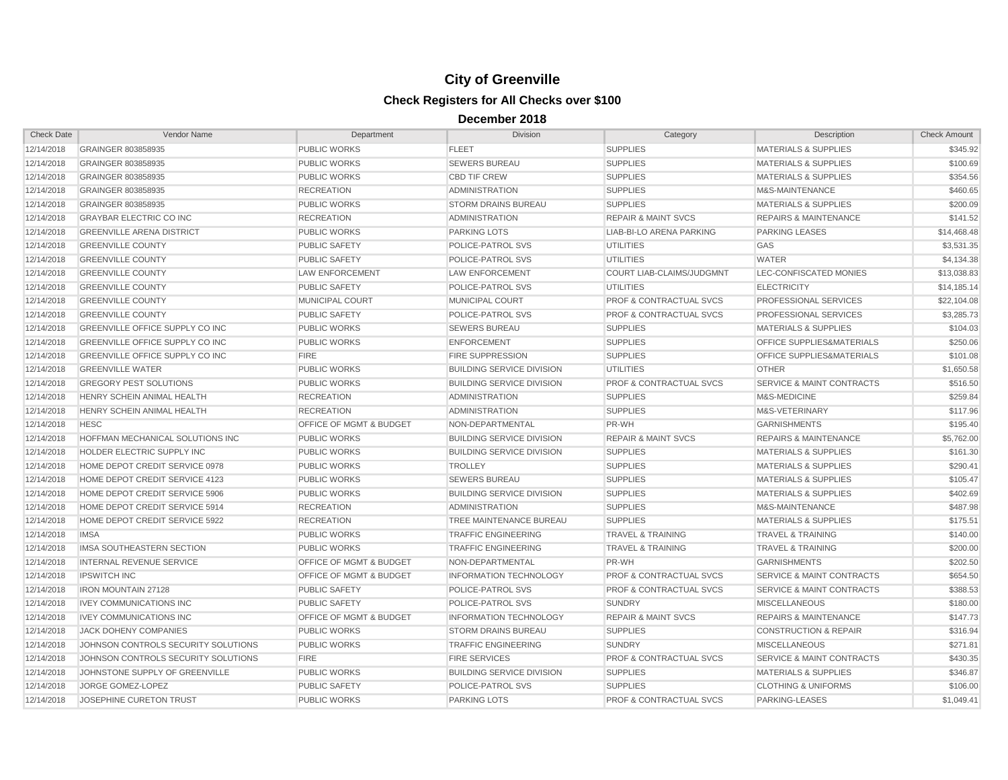| <b>Check Date</b> | Vendor Name                            | Department                         | <b>Division</b>                  | Category                           | Description                          | <b>Check Amount</b> |
|-------------------|----------------------------------------|------------------------------------|----------------------------------|------------------------------------|--------------------------------------|---------------------|
| 12/14/2018        | GRAINGER 803858935                     | PUBLIC WORKS                       | <b>FLEET</b>                     | <b>SUPPLIES</b>                    | <b>MATERIALS &amp; SUPPLIES</b>      | \$345.92            |
| 12/14/2018        | GRAINGER 803858935                     | <b>PUBLIC WORKS</b>                | <b>SEWERS BUREAU</b>             | <b>SUPPLIES</b>                    | <b>MATERIALS &amp; SUPPLIES</b>      | \$100.69            |
| 12/14/2018        | GRAINGER 803858935                     | <b>PUBLIC WORKS</b>                | <b>CBD TIF CREW</b>              | <b>SUPPLIES</b>                    | <b>MATERIALS &amp; SUPPLIES</b>      | \$354.56            |
| 12/14/2018        | GRAINGER 803858935                     | <b>RECREATION</b>                  | <b>ADMINISTRATION</b>            | <b>SUPPLIES</b>                    | M&S-MAINTENANCE                      | \$460.65            |
| 12/14/2018        | GRAINGER 803858935                     | <b>PUBLIC WORKS</b>                | <b>STORM DRAINS BUREAU</b>       | <b>SUPPLIES</b>                    | <b>MATERIALS &amp; SUPPLIES</b>      | \$200.09            |
| 12/14/2018        | <b>GRAYBAR ELECTRIC CO INC</b>         | <b>RECREATION</b>                  | <b>ADMINISTRATION</b>            | <b>REPAIR &amp; MAINT SVCS</b>     | <b>REPAIRS &amp; MAINTENANCE</b>     | \$141.52            |
| 12/14/2018        | <b>GREENVILLE ARENA DISTRICT</b>       | <b>PUBLIC WORKS</b>                | <b>PARKING LOTS</b>              | LIAB-BI-LO ARENA PARKING           | <b>PARKING LEASES</b>                | \$14,468.48         |
| 12/14/2018        | <b>GREENVILLE COUNTY</b>               | <b>PUBLIC SAFETY</b>               | POLICE-PATROL SVS                | UTILITIES                          | <b>GAS</b>                           | \$3.531.35          |
| 12/14/2018        | <b>GREENVILLE COUNTY</b>               | <b>PUBLIC SAFETY</b>               | POLICE-PATROL SVS                | <b>UTILITIES</b>                   | WATER                                | \$4,134.38          |
| 12/14/2018        | <b>GREENVILLE COUNTY</b>               | <b>LAW ENFORCEMENT</b>             | <b>LAW ENFORCEMENT</b>           | <b>COURT LIAB-CLAIMS/JUDGMNT</b>   | LEC-CONFISCATED MONIES               | \$13,038.83         |
| 12/14/2018        | <b>GREENVILLE COUNTY</b>               | <b>PUBLIC SAFETY</b>               | <b>POLICE-PATROL SVS</b>         | <b>UTILITIES</b>                   | <b>ELECTRICITY</b>                   | \$14,185.14         |
| 12/14/2018        | <b>GREENVILLE COUNTY</b>               | MUNICIPAL COURT                    | MUNICIPAL COURT                  | PROF & CONTRACTUAL SVCS            | PROFESSIONAL SERVICES                | \$22,104.08         |
| 12/14/2018        | <b>GREENVILLE COUNTY</b>               | <b>PUBLIC SAFETY</b>               | POLICE-PATROL SVS                | <b>PROF &amp; CONTRACTUAL SVCS</b> | PROFESSIONAL SERVICES                | \$3,285.73          |
| 12/14/2018        | <b>GREENVILLE OFFICE SUPPLY CO INC</b> | PUBLIC WORKS                       | <b>SEWERS BUREAU</b>             | <b>SUPPLIES</b>                    | <b>MATERIALS &amp; SUPPLIES</b>      | \$104.03            |
| 12/14/2018        | GREENVILLE OFFICE SUPPLY CO INC        | <b>PUBLIC WORKS</b>                | <b>ENFORCEMENT</b>               | <b>SUPPLIES</b>                    | OFFICE SUPPLIES&MATERIALS            | \$250.06            |
| 12/14/2018        | <b>GREENVILLE OFFICE SUPPLY CO INC</b> | <b>FIRE</b>                        | <b>FIRE SUPPRESSION</b>          | <b>SUPPLIES</b>                    | <b>OFFICE SUPPLIES&amp;MATERIALS</b> | \$101.08            |
| 12/14/2018        | <b>GREENVILLE WATER</b>                | <b>PUBLIC WORKS</b>                | <b>BUILDING SERVICE DIVISION</b> | <b>UTILITIES</b>                   | <b>OTHER</b>                         | \$1,650.58          |
| 12/14/2018        | <b>GREGORY PEST SOLUTIONS</b>          | <b>PUBLIC WORKS</b>                | <b>BUILDING SERVICE DIVISION</b> | <b>PROF &amp; CONTRACTUAL SVCS</b> | <b>SERVICE &amp; MAINT CONTRACTS</b> | \$516.50            |
| 12/14/2018        | HENRY SCHEIN ANIMAL HEALTH             | <b>RECREATION</b>                  | ADMINISTRATION                   | <b>SUPPLIES</b>                    | M&S-MEDICINE                         | \$259.84            |
| 12/14/2018        | HENRY SCHEIN ANIMAL HEALTH             | <b>RECREATION</b>                  | <b>ADMINISTRATION</b>            | <b>SUPPLIES</b>                    | M&S-VETERINARY                       | \$117.96            |
| 12/14/2018        | <b>HESC</b>                            | OFFICE OF MGMT & BUDGET            | NON-DEPARTMENTAL                 | PR-WH                              | <b>GARNISHMENTS</b>                  | \$195.40            |
| 12/14/2018        | HOFFMAN MECHANICAL SOLUTIONS INC       | <b>PUBLIC WORKS</b>                | <b>BUILDING SERVICE DIVISION</b> | <b>REPAIR &amp; MAINT SVCS</b>     | <b>REPAIRS &amp; MAINTENANCE</b>     | \$5,762.00          |
| 12/14/2018        | HOLDER ELECTRIC SUPPLY INC             | <b>PUBLIC WORKS</b>                | <b>BUILDING SERVICE DIVISION</b> | <b>SUPPLIES</b>                    | <b>MATERIALS &amp; SUPPLIES</b>      | \$161.30            |
| 12/14/2018        | HOME DEPOT CREDIT SERVICE 0978         | PUBLIC WORKS                       | <b>TROLLEY</b>                   | <b>SUPPLIES</b>                    | <b>MATERIALS &amp; SUPPLIES</b>      | \$290.41            |
| 12/14/2018        | HOME DEPOT CREDIT SERVICE 4123         | <b>PUBLIC WORKS</b>                | <b>SEWERS BUREAU</b>             | <b>SUPPLIES</b>                    | <b>MATERIALS &amp; SUPPLIES</b>      | \$105.47            |
| 12/14/2018        | HOME DEPOT CREDIT SERVICE 5906         | <b>PUBLIC WORKS</b>                | <b>BUILDING SERVICE DIVISION</b> | <b>SUPPLIES</b>                    | <b>MATERIALS &amp; SUPPLIES</b>      | \$402.69            |
| 12/14/2018        | HOME DEPOT CREDIT SERVICE 5914         | <b>RECREATION</b>                  | <b>ADMINISTRATION</b>            | <b>SUPPLIES</b>                    | M&S-MAINTENANCE                      | \$487.98            |
| 12/14/2018        | HOME DEPOT CREDIT SERVICE 5922         | <b>RECREATION</b>                  | TREE MAINTENANCE BUREAU          | <b>SUPPLIES</b>                    | <b>MATERIALS &amp; SUPPLIES</b>      | \$175.51            |
| 12/14/2018        | <b>IMSA</b>                            | <b>PUBLIC WORKS</b>                | <b>TRAFFIC ENGINEERING</b>       | <b>TRAVEL &amp; TRAINING</b>       | <b>TRAVEL &amp; TRAINING</b>         | \$140.00            |
| 12/14/2018        | IMSA SOUTHEASTERN SECTION              | <b>PUBLIC WORKS</b>                | <b>TRAFFIC ENGINEERING</b>       | <b>TRAVEL &amp; TRAINING</b>       | <b>TRAVEL &amp; TRAINING</b>         | \$200.00            |
| 12/14/2018        | <b>INTERNAL REVENUE SERVICE</b>        | OFFICE OF MGMT & BUDGET            | NON-DEPARTMENTAL                 | PR-WH                              | <b>GARNISHMENTS</b>                  | \$202.50            |
| 12/14/2018        | <b>IPSWITCH INC</b>                    | <b>OFFICE OF MGMT &amp; BUDGET</b> | <b>INFORMATION TECHNOLOGY</b>    | <b>PROF &amp; CONTRACTUAL SVCS</b> | <b>SERVICE &amp; MAINT CONTRACTS</b> | \$654.50            |
| 12/14/2018        | <b>IRON MOUNTAIN 27128</b>             | <b>PUBLIC SAFETY</b>               | POLICE-PATROL SVS                | <b>PROF &amp; CONTRACTUAL SVCS</b> | <b>SERVICE &amp; MAINT CONTRACTS</b> | \$388.53            |
| 12/14/2018        | <b>IVEY COMMUNICATIONS INC</b>         | <b>PUBLIC SAFETY</b>               | POLICE-PATROL SVS                | <b>SUNDRY</b>                      | <b>MISCELLANEOUS</b>                 | \$180.00            |
| 12/14/2018        | <b>IVEY COMMUNICATIONS INC</b>         | OFFICE OF MGMT & BUDGET            | INFORMATION TECHNOLOGY           | <b>REPAIR &amp; MAINT SVCS</b>     | <b>REPAIRS &amp; MAINTENANCE</b>     | \$147.73            |
| 12/14/2018        | <b>JACK DOHENY COMPANIES</b>           | <b>PUBLIC WORKS</b>                | <b>STORM DRAINS BUREAU</b>       | <b>SUPPLIES</b>                    | <b>CONSTRUCTION &amp; REPAIR</b>     | \$316.94            |
| 12/14/2018        | JOHNSON CONTROLS SECURITY SOLUTIONS    | <b>PUBLIC WORKS</b>                | <b>TRAFFIC ENGINEERING</b>       | <b>SUNDRY</b>                      | <b>MISCELLANEOUS</b>                 | \$271.81            |
| 12/14/2018        | JOHNSON CONTROLS SECURITY SOLUTIONS    | <b>FIRE</b>                        | <b>FIRE SERVICES</b>             | PROF & CONTRACTUAL SVCS            | <b>SERVICE &amp; MAINT CONTRACTS</b> | \$430.35            |
| 12/14/2018        | JOHNSTONE SUPPLY OF GREENVILLE         | <b>PUBLIC WORKS</b>                | <b>BUILDING SERVICE DIVISION</b> | <b>SUPPLIES</b>                    | <b>MATERIALS &amp; SUPPLIES</b>      | \$346.87            |
| 12/14/2018        | JORGE GOMEZ-LOPEZ                      | <b>PUBLIC SAFETY</b>               | POLICE-PATROL SVS                | <b>SUPPLIES</b>                    | <b>CLOTHING &amp; UNIFORMS</b>       | \$106.00            |
| 12/14/2018        | <b>JOSEPHINE CURETON TRUST</b>         | <b>PUBLIC WORKS</b>                | <b>PARKING LOTS</b>              | <b>PROF &amp; CONTRACTUAL SVCS</b> | PARKING-LEASES                       | \$1.049.41          |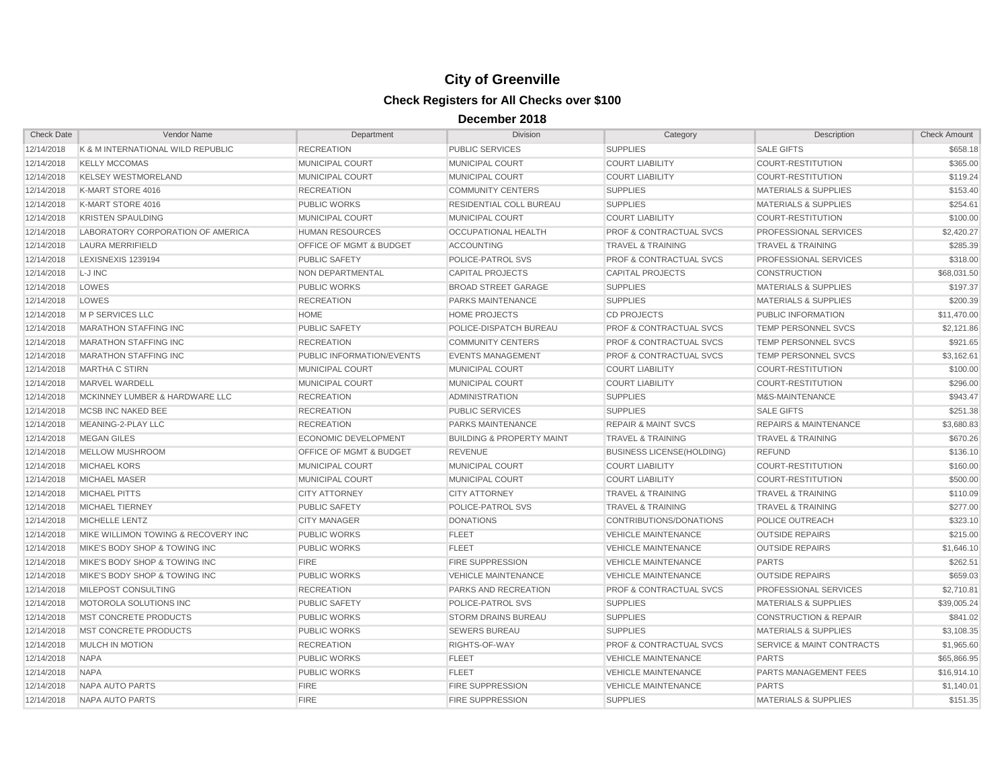| <b>Check Date</b> | Vendor Name                         | Department                         | <b>Division</b>                      | Category                           | Description                          | <b>Check Amount</b> |
|-------------------|-------------------------------------|------------------------------------|--------------------------------------|------------------------------------|--------------------------------------|---------------------|
| 12/14/2018        | K & M INTERNATIONAL WILD REPUBLIC   | <b>RECREATION</b>                  | <b>PUBLIC SERVICES</b>               | <b>SUPPLIES</b>                    | <b>SALE GIFTS</b>                    | \$658.18            |
| 12/14/2018        | <b>KELLY MCCOMAS</b>                | <b>MUNICIPAL COURT</b>             | <b>MUNICIPAL COURT</b>               | <b>COURT LIABILITY</b>             | COURT-RESTITUTION                    | \$365.00            |
| 12/14/2018        | <b>KELSEY WESTMORELAND</b>          | MUNICIPAL COURT                    | MUNICIPAL COURT                      | <b>COURT LIABILITY</b>             | COURT-RESTITUTION                    | \$119.24            |
| 12/14/2018        | K-MART STORE 4016                   | <b>RECREATION</b>                  | <b>COMMUNITY CENTERS</b>             | <b>SUPPLIES</b>                    | <b>MATERIALS &amp; SUPPLIES</b>      | \$153.40            |
| 12/14/2018        | K-MART STORE 4016                   | PUBLIC WORKS                       | RESIDENTIAL COLL BUREAU              | <b>SUPPLIES</b>                    | <b>MATERIALS &amp; SUPPLIES</b>      | \$254.61            |
| 12/14/2018        | <b>KRISTEN SPAULDING</b>            | MUNICIPAL COURT                    | MUNICIPAL COURT                      | <b>COURT LIABILITY</b>             | <b>COURT-RESTITUTION</b>             | \$100.00            |
| 12/14/2018        | LABORATORY CORPORATION OF AMERICA   | <b>HUMAN RESOURCES</b>             | <b>OCCUPATIONAL HEALTH</b>           | PROF & CONTRACTUAL SVCS            | PROFESSIONAL SERVICES                | \$2,420.27          |
| 12/14/2018        | <b>LAURA MERRIFIELD</b>             | <b>OFFICE OF MGMT &amp; BUDGET</b> | <b>ACCOUNTING</b>                    | <b>TRAVEL &amp; TRAINING</b>       | <b>TRAVEL &amp; TRAINING</b>         | \$285.39            |
| 12/14/2018        | <b>LEXISNEXIS 1239194</b>           | <b>PUBLIC SAFETY</b>               | POLICE-PATROL SVS                    | <b>PROF &amp; CONTRACTUAL SVCS</b> | PROFESSIONAL SERVICES                | \$318.00            |
| 12/14/2018        | L-J INC                             | NON DEPARTMENTAL                   | <b>CAPITAL PROJECTS</b>              | <b>CAPITAL PROJECTS</b>            | <b>CONSTRUCTION</b>                  | \$68,031.50         |
| 12/14/2018        | LOWES                               | <b>PUBLIC WORKS</b>                | <b>BROAD STREET GARAGE</b>           | <b>SUPPLIES</b>                    | <b>MATERIALS &amp; SUPPLIES</b>      | \$197.37            |
| 12/14/2018        | LOWES                               | <b>RECREATION</b>                  | PARKS MAINTENANCE                    | <b>SUPPLIES</b>                    | <b>MATERIALS &amp; SUPPLIES</b>      | \$200.39            |
| 12/14/2018        | <b>M P SERVICES LLC</b>             | <b>HOME</b>                        | <b>HOME PROJECTS</b>                 | <b>CD PROJECTS</b>                 | <b>PUBLIC INFORMATION</b>            | \$11,470.00         |
| 12/14/2018        | <b>MARATHON STAFFING INC</b>        | <b>PUBLIC SAFETY</b>               | POLICE-DISPATCH BUREAU               | <b>PROF &amp; CONTRACTUAL SVCS</b> | <b>TEMP PERSONNEL SVCS</b>           | \$2,121.86          |
| 12/14/2018        | <b>MARATHON STAFFING INC</b>        | <b>RECREATION</b>                  | <b>COMMUNITY CENTERS</b>             | <b>PROF &amp; CONTRACTUAL SVCS</b> | TEMP PERSONNEL SVCS                  | \$921.65            |
| 12/14/2018        | <b>MARATHON STAFFING INC</b>        | PUBLIC INFORMATION/EVENTS          | <b>EVENTS MANAGEMENT</b>             | <b>PROF &amp; CONTRACTUAL SVCS</b> | <b>TEMP PERSONNEL SVCS</b>           | \$3,162.61          |
| 12/14/2018        | <b>MARTHA C STIRN</b>               | <b>MUNICIPAL COURT</b>             | <b>MUNICIPAL COURT</b>               | <b>COURT LIABILITY</b>             | <b>COURT-RESTITUTION</b>             | \$100.00            |
| 12/14/2018        | MARVEL WARDELL                      | <b>MUNICIPAL COURT</b>             | <b>MUNICIPAL COURT</b>               | <b>COURT LIABILITY</b>             | <b>COURT-RESTITUTION</b>             | \$296.00            |
| 12/14/2018        | MCKINNEY LUMBER & HARDWARE LLC      | <b>RECREATION</b>                  | <b>ADMINISTRATION</b>                | <b>SUPPLIES</b>                    | M&S-MAINTENANCE                      | \$943.47            |
| 12/14/2018        | <b>MCSB INC NAKED BEE</b>           | <b>RECREATION</b>                  | <b>PUBLIC SERVICES</b>               | <b>SUPPLIES</b>                    | <b>SALE GIFTS</b>                    | \$251.38            |
| 12/14/2018        | MEANING-2-PLAY LLC                  | <b>RECREATION</b>                  | <b>PARKS MAINTENANCE</b>             | <b>REPAIR &amp; MAINT SVCS</b>     | <b>REPAIRS &amp; MAINTENANCE</b>     | \$3,680.83          |
| 12/14/2018        | <b>MEGAN GILES</b>                  | <b>ECONOMIC DEVELOPMENT</b>        | <b>BUILDING &amp; PROPERTY MAINT</b> | <b>TRAVEL &amp; TRAINING</b>       | <b>TRAVEL &amp; TRAINING</b>         | \$670.26            |
| 12/14/2018        | MELLOW MUSHROOM                     | <b>OFFICE OF MGMT &amp; BUDGET</b> | <b>REVENUE</b>                       | <b>BUSINESS LICENSE (HOLDING)</b>  | <b>REFUND</b>                        | \$136.10            |
| 12/14/2018        | <b>MICHAEL KORS</b>                 | <b>MUNICIPAL COURT</b>             | <b>MUNICIPAL COURT</b>               | <b>COURT LIABILITY</b>             | <b>COURT-RESTITUTION</b>             | \$160.00            |
| 12/14/2018        | <b>MICHAEL MASER</b>                | <b>MUNICIPAL COURT</b>             | MUNICIPAL COURT                      | <b>COURT LIABILITY</b>             | <b>COURT-RESTITUTION</b>             | \$500.00            |
| 12/14/2018        | <b>MICHAEL PITTS</b>                | <b>CITY ATTORNEY</b>               | <b>CITY ATTORNEY</b>                 | <b>TRAVEL &amp; TRAINING</b>       | <b>TRAVEL &amp; TRAINING</b>         | \$110.09            |
| 12/14/2018        | MICHAEL TIERNEY                     | PUBLIC SAFETY                      | POLICE-PATROL SVS                    | <b>TRAVEL &amp; TRAINING</b>       | <b>TRAVEL &amp; TRAINING</b>         | \$277.00            |
| 12/14/2018        | MICHELLE LENTZ                      | <b>CITY MANAGER</b>                | <b>DONATIONS</b>                     | CONTRIBUTIONS/DONATIONS            | POLICE OUTREACH                      | \$323.10            |
| 12/14/2018        | MIKE WILLIMON TOWING & RECOVERY INC | <b>PUBLIC WORKS</b>                | <b>FLEET</b>                         | <b>VEHICLE MAINTENANCE</b>         | <b>OUTSIDE REPAIRS</b>               | \$215.00            |
| 12/14/2018        | MIKE'S BODY SHOP & TOWING INC       | <b>PUBLIC WORKS</b>                | <b>FLEET</b>                         | <b>VEHICLE MAINTENANCE</b>         | <b>OUTSIDE REPAIRS</b>               | \$1,646.10          |
| 12/14/2018        | MIKE'S BODY SHOP & TOWING INC       | <b>FIRE</b>                        | <b>FIRE SUPPRESSION</b>              | <b>VEHICLE MAINTENANCE</b>         | <b>PARTS</b>                         | \$262.51            |
| 12/14/2018        | MIKE'S BODY SHOP & TOWING INC       | <b>PUBLIC WORKS</b>                | <b>VEHICLE MAINTENANCE</b>           | <b>VEHICLE MAINTENANCE</b>         | <b>OUTSIDE REPAIRS</b>               | \$659.03            |
| 12/14/2018        | MILEPOST CONSULTING                 | <b>RECREATION</b>                  | PARKS AND RECREATION                 | <b>PROF &amp; CONTRACTUAL SVCS</b> | PROFESSIONAL SERVICES                | \$2,710.81          |
| 12/14/2018        | MOTOROLA SOLUTIONS INC              | <b>PUBLIC SAFETY</b>               | POLICE-PATROL SVS                    | <b>SUPPLIES</b>                    | <b>MATERIALS &amp; SUPPLIES</b>      | \$39,005.24         |
| 12/14/2018        | <b>MST CONCRETE PRODUCTS</b>        | <b>PUBLIC WORKS</b>                | <b>STORM DRAINS BUREAU</b>           | <b>SUPPLIES</b>                    | <b>CONSTRUCTION &amp; REPAIR</b>     | \$841.02            |
| 12/14/2018        | <b>MST CONCRETE PRODUCTS</b>        | <b>PUBLIC WORKS</b>                | <b>SEWERS BUREAU</b>                 | <b>SUPPLIES</b>                    | <b>MATERIALS &amp; SUPPLIES</b>      | \$3,108.35          |
| 12/14/2018        | <b>MULCH IN MOTION</b>              | <b>RECREATION</b>                  | RIGHTS-OF-WAY                        | <b>PROF &amp; CONTRACTUAL SVCS</b> | <b>SERVICE &amp; MAINT CONTRACTS</b> | \$1,965.60          |
| 12/14/2018        | <b>NAPA</b>                         | <b>PUBLIC WORKS</b>                | <b>FLEET</b>                         | <b>VEHICLE MAINTENANCE</b>         | <b>PARTS</b>                         | \$65,866.95         |
| 12/14/2018        | <b>NAPA</b>                         | <b>PUBLIC WORKS</b>                | <b>FLEET</b>                         | <b>VEHICLE MAINTENANCE</b>         | PARTS MANAGEMENT FEES                | \$16,914.10         |
| 12/14/2018        | NAPA AUTO PARTS                     | <b>FIRE</b>                        | FIRE SUPPRESSION                     | <b>VEHICLE MAINTENANCE</b>         | <b>PARTS</b>                         | \$1,140.01          |
| 12/14/2018        | NAPA AUTO PARTS                     | <b>FIRE</b>                        | <b>FIRE SUPPRESSION</b>              | <b>SUPPLIES</b>                    | <b>MATERIALS &amp; SUPPLIES</b>      | \$151.35            |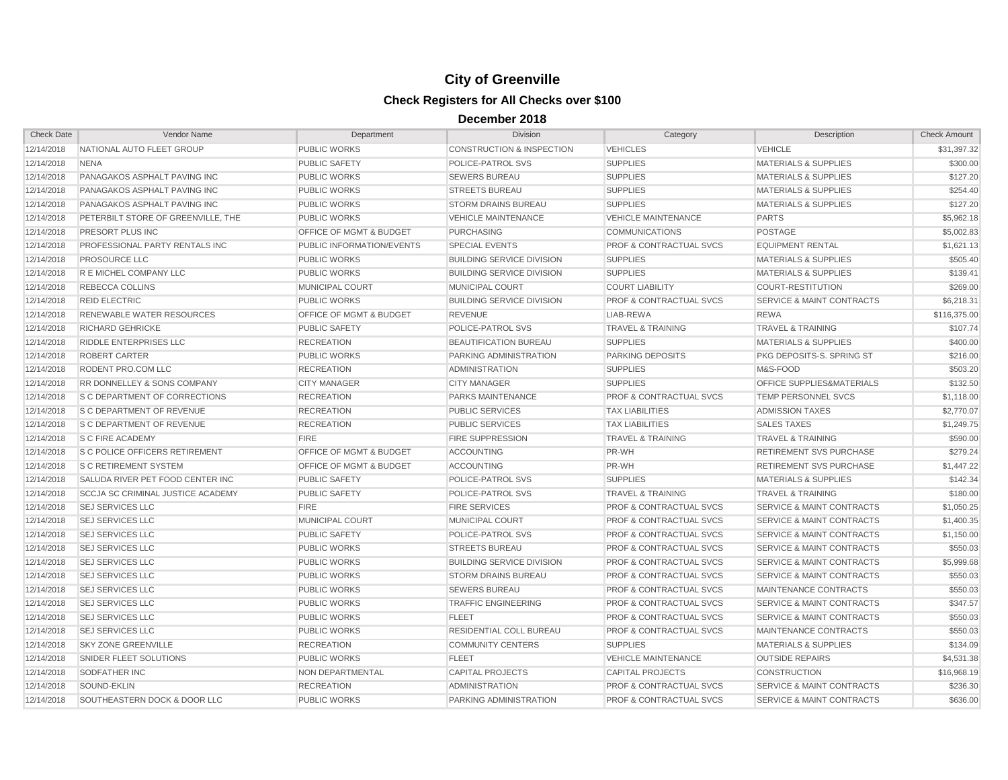| <b>Check Date</b> | Vendor Name                           | Department                         | <b>Division</b>                      | Category                           | Description                          | <b>Check Amount</b> |
|-------------------|---------------------------------------|------------------------------------|--------------------------------------|------------------------------------|--------------------------------------|---------------------|
| 12/14/2018        | NATIONAL AUTO FLEET GROUP             | <b>PUBLIC WORKS</b>                | <b>CONSTRUCTION &amp; INSPECTION</b> | <b>VEHICLES</b>                    | <b>VEHICLE</b>                       | \$31,397.32         |
| 12/14/2018        | <b>NENA</b>                           | <b>PUBLIC SAFETY</b>               | POLICE-PATROL SVS                    | <b>SUPPLIES</b>                    | <b>MATERIALS &amp; SUPPLIES</b>      | \$300.00            |
| 12/14/2018        | PANAGAKOS ASPHALT PAVING INC          | <b>PUBLIC WORKS</b>                | <b>SEWERS BUREAU</b>                 | <b>SUPPLIES</b>                    | <b>MATERIALS &amp; SUPPLIES</b>      | \$127.20            |
| 12/14/2018        | PANAGAKOS ASPHALT PAVING INC          | PUBLIC WORKS                       | <b>STREETS BUREAU</b>                | <b>SUPPLIES</b>                    | <b>MATERIALS &amp; SUPPLIES</b>      | \$254.40            |
| 12/14/2018        | PANAGAKOS ASPHALT PAVING INC          | PUBLIC WORKS                       | <b>STORM DRAINS BUREAU</b>           | <b>SUPPLIES</b>                    | <b>MATERIALS &amp; SUPPLIES</b>      | \$127.20            |
| 12/14/2018        | PETERBILT STORE OF GREENVILLE, THE    | <b>PUBLIC WORKS</b>                | <b>VEHICLE MAINTENANCE</b>           | <b>VEHICLE MAINTENANCE</b>         | <b>PARTS</b>                         | \$5,962.18          |
| 12/14/2018        | PRESORT PLUS INC                      | <b>OFFICE OF MGMT &amp; BUDGET</b> | <b>PURCHASING</b>                    | <b>COMMUNICATIONS</b>              | <b>POSTAGE</b>                       | \$5,002.83          |
| 12/14/2018        | PROFESSIONAL PARTY RENTALS INC        | PUBLIC INFORMATION/EVENTS          | <b>SPECIAL EVENTS</b>                | <b>PROF &amp; CONTRACTUAL SVCS</b> | <b>EQUIPMENT RENTAL</b>              | \$1,621.13          |
| 12/14/2018        | <b>PROSOURCE LLC</b>                  | <b>PUBLIC WORKS</b>                | <b>BUILDING SERVICE DIVISION</b>     | <b>SUPPLIES</b>                    | <b>MATERIALS &amp; SUPPLIES</b>      | \$505.40            |
| 12/14/2018        | <b>R E MICHEL COMPANY LLC</b>         | <b>PUBLIC WORKS</b>                | <b>BUILDING SERVICE DIVISION</b>     | <b>SUPPLIES</b>                    | <b>MATERIALS &amp; SUPPLIES</b>      | \$139.41            |
| 12/14/2018        | <b>REBECCA COLLINS</b>                | MUNICIPAL COURT                    | <b>MUNICIPAL COURT</b>               | <b>COURT LIABILITY</b>             | <b>COURT-RESTITUTION</b>             | \$269.00            |
| 12/14/2018        | <b>REID ELECTRIC</b>                  | PUBLIC WORKS                       | <b>BUILDING SERVICE DIVISION</b>     | <b>PROF &amp; CONTRACTUAL SVCS</b> | SERVICE & MAINT CONTRACTS            | \$6,218.31          |
| 12/14/2018        | RENEWABLE WATER RESOURCES             | OFFICE OF MGMT & BUDGET            | <b>REVENUE</b>                       | LIAB-REWA                          | <b>REWA</b>                          | \$116,375.00        |
| 12/14/2018        | <b>RICHARD GEHRICKE</b>               | <b>PUBLIC SAFETY</b>               | POLICE-PATROL SVS                    | <b>TRAVEL &amp; TRAINING</b>       | <b>TRAVEL &amp; TRAINING</b>         | \$107.74            |
| 12/14/2018        | <b>RIDDLE ENTERPRISES LLC</b>         | <b>RECREATION</b>                  | <b>BEAUTIFICATION BUREAU</b>         | <b>SUPPLIES</b>                    | <b>MATERIALS &amp; SUPPLIES</b>      | \$400.00            |
| 12/14/2018        | ROBERT CARTER                         | <b>PUBLIC WORKS</b>                | PARKING ADMINISTRATION               | PARKING DEPOSITS                   | PKG DEPOSITS-S. SPRING ST            | \$216.00            |
| 12/14/2018        | RODENT PRO.COM LLC                    | <b>RECREATION</b>                  | <b>ADMINISTRATION</b>                | <b>SUPPLIES</b>                    | M&S-FOOD                             | \$503.20            |
| 12/14/2018        | RR DONNELLEY & SONS COMPANY           | <b>CITY MANAGER</b>                | <b>CITY MANAGER</b>                  | <b>SUPPLIES</b>                    | OFFICE SUPPLIES&MATERIALS            | \$132.50            |
| 12/14/2018        | <b>S C DEPARTMENT OF CORRECTIONS</b>  | <b>RECREATION</b>                  | PARKS MAINTENANCE                    | <b>PROF &amp; CONTRACTUAL SVCS</b> | <b>TEMP PERSONNEL SVCS</b>           | \$1,118.00          |
| 12/14/2018        | <b>S C DEPARTMENT OF REVENUE</b>      | <b>RECREATION</b>                  | <b>PUBLIC SERVICES</b>               | <b>TAX LIABILITIES</b>             | <b>ADMISSION TAXES</b>               | \$2,770.07          |
| 12/14/2018        | <b>S C DEPARTMENT OF REVENUE</b>      | <b>RECREATION</b>                  | <b>PUBLIC SERVICES</b>               | <b>TAX LIABILITIES</b>             | <b>SALES TAXES</b>                   | \$1,249.75          |
| 12/14/2018        | <b>S C FIRE ACADEMY</b>               | <b>FIRE</b>                        | <b>FIRE SUPPRESSION</b>              | <b>TRAVEL &amp; TRAINING</b>       | <b>TRAVEL &amp; TRAINING</b>         | \$590.00            |
| 12/14/2018        | <b>S C POLICE OFFICERS RETIREMENT</b> | <b>OFFICE OF MGMT &amp; BUDGET</b> | <b>ACCOUNTING</b>                    | PR-WH                              | <b>RETIREMENT SVS PURCHASE</b>       | \$279.24            |
| 12/14/2018        | <b>S C RETIREMENT SYSTEM</b>          | <b>OFFICE OF MGMT &amp; BUDGET</b> | ACCOUNTING                           | PR-WH                              | RETIREMENT SVS PURCHASE              | \$1,447.22          |
| 12/14/2018        | SALUDA RIVER PET FOOD CENTER INC      | PUBLIC SAFETY                      | POLICE-PATROL SVS                    | <b>SUPPLIES</b>                    | <b>MATERIALS &amp; SUPPLIES</b>      | \$142.34            |
| 12/14/2018        | SCCJA SC CRIMINAL JUSTICE ACADEMY     | PUBLIC SAFETY                      | POLICE-PATROL SVS                    | <b>TRAVEL &amp; TRAINING</b>       | <b>TRAVEL &amp; TRAINING</b>         | \$180.00            |
| 12/14/2018        | <b>SEJ SERVICES LLC</b>               | <b>FIRE</b>                        | <b>FIRE SERVICES</b>                 | PROF & CONTRACTUAL SVCS            | SERVICE & MAINT CONTRACTS            | \$1,050.25          |
| 12/14/2018        | <b>SEJ SERVICES LLC</b>               | <b>MUNICIPAL COURT</b>             | <b>MUNICIPAL COURT</b>               | <b>PROF &amp; CONTRACTUAL SVCS</b> | <b>SERVICE &amp; MAINT CONTRACTS</b> | \$1,400.35          |
| 12/14/2018        | <b>SEJ SERVICES LLC</b>               | <b>PUBLIC SAFETY</b>               | POLICE-PATROL SVS                    | <b>PROF &amp; CONTRACTUAL SVCS</b> | SERVICE & MAINT CONTRACTS            | \$1,150.00          |
| 12/14/2018        | <b>SEJ SERVICES LLC</b>               | <b>PUBLIC WORKS</b>                | <b>STREETS BUREAU</b>                | <b>PROF &amp; CONTRACTUAL SVCS</b> | SERVICE & MAINT CONTRACTS            | \$550.03            |
| 12/14/2018        | <b>SEJ SERVICES LLC</b>               | <b>PUBLIC WORKS</b>                | <b>BUILDING SERVICE DIVISION</b>     | <b>PROF &amp; CONTRACTUAL SVCS</b> | SERVICE & MAINT CONTRACTS            | \$5,999.68          |
| 12/14/2018        | <b>SEJ SERVICES LLC</b>               | <b>PUBLIC WORKS</b>                | <b>STORM DRAINS BUREAU</b>           | <b>PROF &amp; CONTRACTUAL SVCS</b> | <b>SERVICE &amp; MAINT CONTRACTS</b> | \$550.03            |
| 12/14/2018        | <b>SEJ SERVICES LLC</b>               | PUBLIC WORKS                       | <b>SEWERS BUREAU</b>                 | <b>PROF &amp; CONTRACTUAL SVCS</b> | MAINTENANCE CONTRACTS                | \$550.03            |
| 12/14/2018        | <b>SEJ SERVICES LLC</b>               | PUBLIC WORKS                       | <b>TRAFFIC ENGINEERING</b>           | <b>PROF &amp; CONTRACTUAL SVCS</b> | <b>SERVICE &amp; MAINT CONTRACTS</b> | \$347.57            |
| 12/14/2018        | <b>SEJ SERVICES LLC</b>               | <b>PUBLIC WORKS</b>                | <b>FLEET</b>                         | <b>PROF &amp; CONTRACTUAL SVCS</b> | SERVICE & MAINT CONTRACTS            | \$550.03            |
| 12/14/2018        | <b>SEJ SERVICES LLC</b>               | <b>PUBLIC WORKS</b>                | <b>RESIDENTIAL COLL BUREAU</b>       | <b>PROF &amp; CONTRACTUAL SVCS</b> | MAINTENANCE CONTRACTS                | \$550.03            |
| 12/14/2018        | <b>SKY ZONE GREENVILLE</b>            | <b>RECREATION</b>                  | <b>COMMUNITY CENTERS</b>             | <b>SUPPLIES</b>                    | <b>MATERIALS &amp; SUPPLIES</b>      | \$134.09            |
| 12/14/2018        | SNIDER FLEET SOLUTIONS                | <b>PUBLIC WORKS</b>                | <b>FLEET</b>                         | <b>VEHICLE MAINTENANCE</b>         | <b>OUTSIDE REPAIRS</b>               | \$4,531.38          |
| 12/14/2018        | SODFATHER INC                         | NON DEPARTMENTAL                   | <b>CAPITAL PROJECTS</b>              | <b>CAPITAL PROJECTS</b>            | <b>CONSTRUCTION</b>                  | \$16,968.19         |
| 12/14/2018        | SOUND-EKLIN                           | <b>RECREATION</b>                  | <b>ADMINISTRATION</b>                | <b>PROF &amp; CONTRACTUAL SVCS</b> | <b>SERVICE &amp; MAINT CONTRACTS</b> | \$236.30            |
| 12/14/2018        | SOUTHEASTERN DOCK & DOOR LLC          | <b>PUBLIC WORKS</b>                | PARKING ADMINISTRATION               | <b>PROF &amp; CONTRACTUAL SVCS</b> | <b>SERVICE &amp; MAINT CONTRACTS</b> | \$636.00            |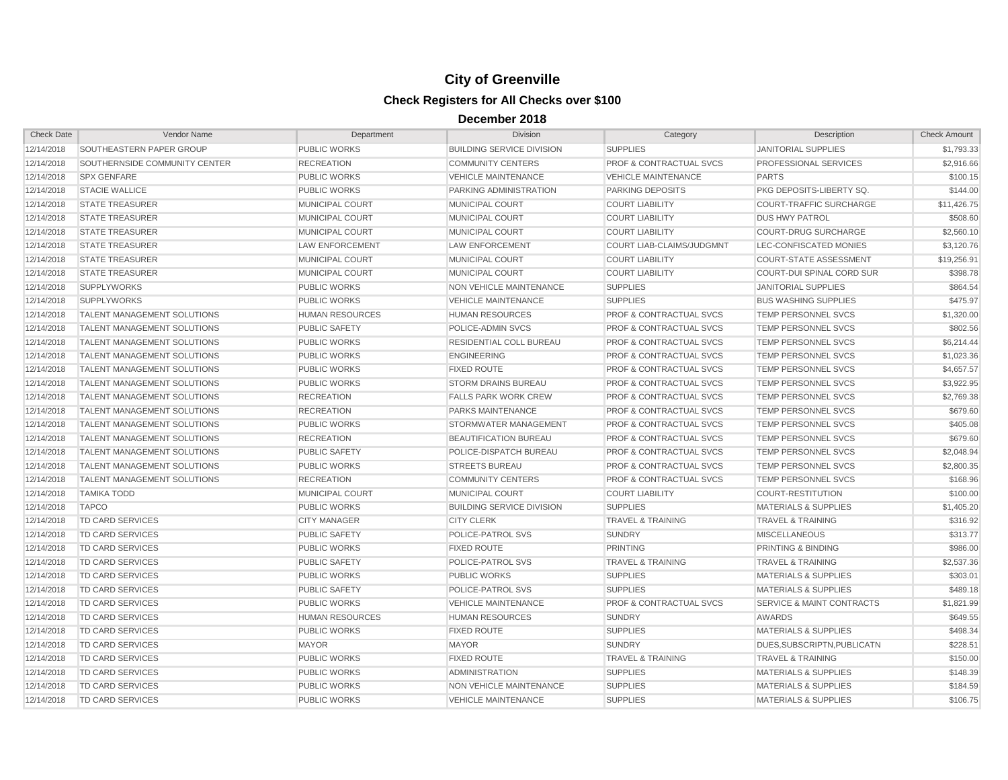| <b>Check Date</b> | Vendor Name                        | Department             | <b>Division</b>                  | Category                           | Description                          | <b>Check Amount</b> |
|-------------------|------------------------------------|------------------------|----------------------------------|------------------------------------|--------------------------------------|---------------------|
| 12/14/2018        | SOUTHEASTERN PAPER GROUP           | PUBLIC WORKS           | <b>BUILDING SERVICE DIVISION</b> | <b>SUPPLIES</b>                    | <b>JANITORIAL SUPPLIES</b>           | \$1,793.33          |
| 12/14/2018        | SOUTHERNSIDE COMMUNITY CENTER      | <b>RECREATION</b>      | <b>COMMUNITY CENTERS</b>         | <b>PROF &amp; CONTRACTUAL SVCS</b> | PROFESSIONAL SERVICES                | \$2,916.66          |
| 12/14/2018        | <b>SPX GENFARE</b>                 | <b>PUBLIC WORKS</b>    | <b>VEHICLE MAINTENANCE</b>       | <b>VEHICLE MAINTENANCE</b>         | <b>PARTS</b>                         | \$100.15            |
| 12/14/2018        | <b>STACIE WALLICE</b>              | <b>PUBLIC WORKS</b>    | PARKING ADMINISTRATION           | <b>PARKING DEPOSITS</b>            | PKG DEPOSITS-LIBERTY SQ.             | \$144.00            |
| 12/14/2018        | <b>STATE TREASURER</b>             | MUNICIPAL COURT        | MUNICIPAL COURT                  | <b>COURT LIABILITY</b>             | <b>COURT-TRAFFIC SURCHARGE</b>       | \$11,426.75         |
| 12/14/2018        | <b>STATE TREASURER</b>             | MUNICIPAL COURT        | MUNICIPAL COURT                  | <b>COURT LIABILITY</b>             | <b>DUS HWY PATROL</b>                | \$508.60            |
| 12/14/2018        | <b>STATE TREASURER</b>             | MUNICIPAL COURT        | MUNICIPAL COURT                  | <b>COURT LIABILITY</b>             | <b>COURT-DRUG SURCHARGE</b>          | \$2,560.10          |
| 12/14/2018        | <b>STATE TREASURER</b>             | <b>LAW ENFORCEMENT</b> | <b>LAW ENFORCEMENT</b>           | <b>COURT LIAB-CLAIMS/JUDGMNT</b>   | LEC-CONFISCATED MONIES               | \$3,120.76          |
| 12/14/2018        | <b>STATE TREASURER</b>             | <b>MUNICIPAL COURT</b> | <b>MUNICIPAL COURT</b>           | <b>COURT LIABILITY</b>             | <b>COURT-STATE ASSESSMENT</b>        | \$19,256.91         |
| 12/14/2018        | <b>STATE TREASURER</b>             | MUNICIPAL COURT        | <b>MUNICIPAL COURT</b>           | <b>COURT LIABILITY</b>             | COURT-DUI SPINAL CORD SUR            | \$398.78            |
| 12/14/2018        | <b>SUPPLYWORKS</b>                 | <b>PUBLIC WORKS</b>    | NON VEHICLE MAINTENANCE          | <b>SUPPLIES</b>                    | <b>JANITORIAL SUPPLIES</b>           | \$864.54            |
| 12/14/2018        | <b>SUPPLYWORKS</b>                 | <b>PUBLIC WORKS</b>    | <b>VEHICLE MAINTENANCE</b>       | <b>SUPPLIES</b>                    | <b>BUS WASHING SUPPLIES</b>          | \$475.97            |
| 12/14/2018        | <b>TALENT MANAGEMENT SOLUTIONS</b> | <b>HUMAN RESOURCES</b> | <b>HUMAN RESOURCES</b>           | <b>PROF &amp; CONTRACTUAL SVCS</b> | <b>TEMP PERSONNEL SVCS</b>           | \$1,320.00          |
| 12/14/2018        | <b>TALENT MANAGEMENT SOLUTIONS</b> | <b>PUBLIC SAFETY</b>   | POLICE-ADMIN SVCS                | PROF & CONTRACTUAL SVCS            | <b>TEMP PERSONNEL SVCS</b>           | \$802.56            |
| 12/14/2018        | TALENT MANAGEMENT SOLUTIONS        | <b>PUBLIC WORKS</b>    | RESIDENTIAL COLL BUREAU          | <b>PROF &amp; CONTRACTUAL SVCS</b> | TEMP PERSONNEL SVCS                  | \$6,214.44          |
| 12/14/2018        | <b>TALENT MANAGEMENT SOLUTIONS</b> | <b>PUBLIC WORKS</b>    | <b>ENGINEERING</b>               | <b>PROF &amp; CONTRACTUAL SVCS</b> | TEMP PERSONNEL SVCS                  | \$1,023.36          |
| 12/14/2018        | <b>TALENT MANAGEMENT SOLUTIONS</b> | <b>PUBLIC WORKS</b>    | <b>FIXED ROUTE</b>               | PROF & CONTRACTUAL SVCS            | <b>TEMP PERSONNEL SVCS</b>           | \$4,657.57          |
| 12/14/2018        | TALENT MANAGEMENT SOLUTIONS        | PUBLIC WORKS           | <b>STORM DRAINS BUREAU</b>       | PROF & CONTRACTUAL SVCS            | <b>TEMP PERSONNEL SVCS</b>           | \$3,922.95          |
| 12/14/2018        | <b>TALENT MANAGEMENT SOLUTIONS</b> | <b>RECREATION</b>      | <b>FALLS PARK WORK CREW</b>      | <b>PROF &amp; CONTRACTUAL SVCS</b> | <b>TEMP PERSONNEL SVCS</b>           | \$2,769.38          |
| 12/14/2018        | TALENT MANAGEMENT SOLUTIONS        | <b>RECREATION</b>      | <b>PARKS MAINTENANCE</b>         | <b>PROF &amp; CONTRACTUAL SVCS</b> | <b>TEMP PERSONNEL SVCS</b>           | \$679.60            |
| 12/14/2018        | <b>TALENT MANAGEMENT SOLUTIONS</b> | <b>PUBLIC WORKS</b>    | STORMWATER MANAGEMENT            | <b>PROF &amp; CONTRACTUAL SVCS</b> | <b>TEMP PERSONNEL SVCS</b>           | \$405.08            |
| 12/14/2018        | <b>TALENT MANAGEMENT SOLUTIONS</b> | <b>RECREATION</b>      | <b>BEAUTIFICATION BUREAU</b>     | <b>PROF &amp; CONTRACTUAL SVCS</b> | <b>TEMP PERSONNEL SVCS</b>           | \$679.60            |
| 12/14/2018        | TALENT MANAGEMENT SOLUTIONS        | <b>PUBLIC SAFETY</b>   | POLICE-DISPATCH BUREAU           | <b>PROF &amp; CONTRACTUAL SVCS</b> | TEMP PERSONNEL SVCS                  | \$2,048.94          |
| 12/14/2018        | <b>TALENT MANAGEMENT SOLUTIONS</b> | <b>PUBLIC WORKS</b>    | <b>STREETS BUREAU</b>            | <b>PROF &amp; CONTRACTUAL SVCS</b> | <b>TEMP PERSONNEL SVCS</b>           | \$2,800.35          |
| 12/14/2018        | <b>TALENT MANAGEMENT SOLUTIONS</b> | <b>RECREATION</b>      | <b>COMMUNITY CENTERS</b>         | <b>PROF &amp; CONTRACTUAL SVCS</b> | <b>TEMP PERSONNEL SVCS</b>           | \$168.96            |
| 12/14/2018        | <b>TAMIKA TODD</b>                 | MUNICIPAL COURT        | MUNICIPAL COURT                  | <b>COURT LIABILITY</b>             | <b>COURT-RESTITUTION</b>             | \$100.00            |
| 12/14/2018        | <b>TAPCO</b>                       | PUBLIC WORKS           | <b>BUILDING SERVICE DIVISION</b> | <b>SUPPLIES</b>                    | <b>MATERIALS &amp; SUPPLIES</b>      | \$1,405.20          |
| 12/14/2018        | <b>TD CARD SERVICES</b>            | <b>CITY MANAGER</b>    | <b>CITY CLERK</b>                | <b>TRAVEL &amp; TRAINING</b>       | <b>TRAVEL &amp; TRAINING</b>         | \$316.92            |
| 12/14/2018        | <b>TD CARD SERVICES</b>            | <b>PUBLIC SAFETY</b>   | POLICE-PATROL SVS                | <b>SUNDRY</b>                      | <b>MISCELLANEOUS</b>                 | \$313.77            |
| 12/14/2018        | TD CARD SERVICES                   | <b>PUBLIC WORKS</b>    | <b>FIXED ROUTE</b>               | <b>PRINTING</b>                    | <b>PRINTING &amp; BINDING</b>        | \$986.00            |
| 12/14/2018        | TD CARD SERVICES                   | <b>PUBLIC SAFETY</b>   | POLICE-PATROL SVS                | <b>TRAVEL &amp; TRAINING</b>       | <b>TRAVEL &amp; TRAINING</b>         | \$2,537.36          |
| 12/14/2018        | TD CARD SERVICES                   | <b>PUBLIC WORKS</b>    | <b>PUBLIC WORKS</b>              | <b>SUPPLIES</b>                    | <b>MATERIALS &amp; SUPPLIES</b>      | \$303.01            |
| 12/14/2018        | <b>TD CARD SERVICES</b>            | <b>PUBLIC SAFETY</b>   | POLICE-PATROL SVS                | <b>SUPPLIES</b>                    | <b>MATERIALS &amp; SUPPLIES</b>      | \$489.18            |
| 12/14/2018        | TD CARD SERVICES                   | <b>PUBLIC WORKS</b>    | <b>VEHICLE MAINTENANCE</b>       | <b>PROF &amp; CONTRACTUAL SVCS</b> | <b>SERVICE &amp; MAINT CONTRACTS</b> | \$1,821.99          |
| 12/14/2018        | TD CARD SERVICES                   | <b>HUMAN RESOURCES</b> | <b>HUMAN RESOURCES</b>           | <b>SUNDRY</b>                      | <b>AWARDS</b>                        | \$649.55            |
| 12/14/2018        | TD CARD SERVICES                   | PUBLIC WORKS           | <b>FIXED ROUTE</b>               | <b>SUPPLIES</b>                    | <b>MATERIALS &amp; SUPPLIES</b>      | \$498.34            |
| 12/14/2018        | TD CARD SERVICES                   | <b>MAYOR</b>           | <b>MAYOR</b>                     | <b>SUNDRY</b>                      | DUES, SUBSCRIPTN, PUBLICATN          | \$228.51            |
| 12/14/2018        | <b>TD CARD SERVICES</b>            | <b>PUBLIC WORKS</b>    | <b>FIXED ROUTE</b>               | <b>TRAVEL &amp; TRAINING</b>       | <b>TRAVEL &amp; TRAINING</b>         | \$150.00            |
| 12/14/2018        | TD CARD SERVICES                   | PUBLIC WORKS           | <b>ADMINISTRATION</b>            | <b>SUPPLIES</b>                    | <b>MATERIALS &amp; SUPPLIES</b>      | \$148.39            |
| 12/14/2018        | TD CARD SERVICES                   | <b>PUBLIC WORKS</b>    | <b>NON VEHICLE MAINTENANCE</b>   | <b>SUPPLIES</b>                    | <b>MATERIALS &amp; SUPPLIES</b>      | \$184.59            |
| 12/14/2018        | <b>TD CARD SERVICES</b>            | <b>PUBLIC WORKS</b>    | <b>VEHICLE MAINTENANCE</b>       | <b>SUPPLIES</b>                    | <b>MATERIALS &amp; SUPPLIES</b>      | \$106.75            |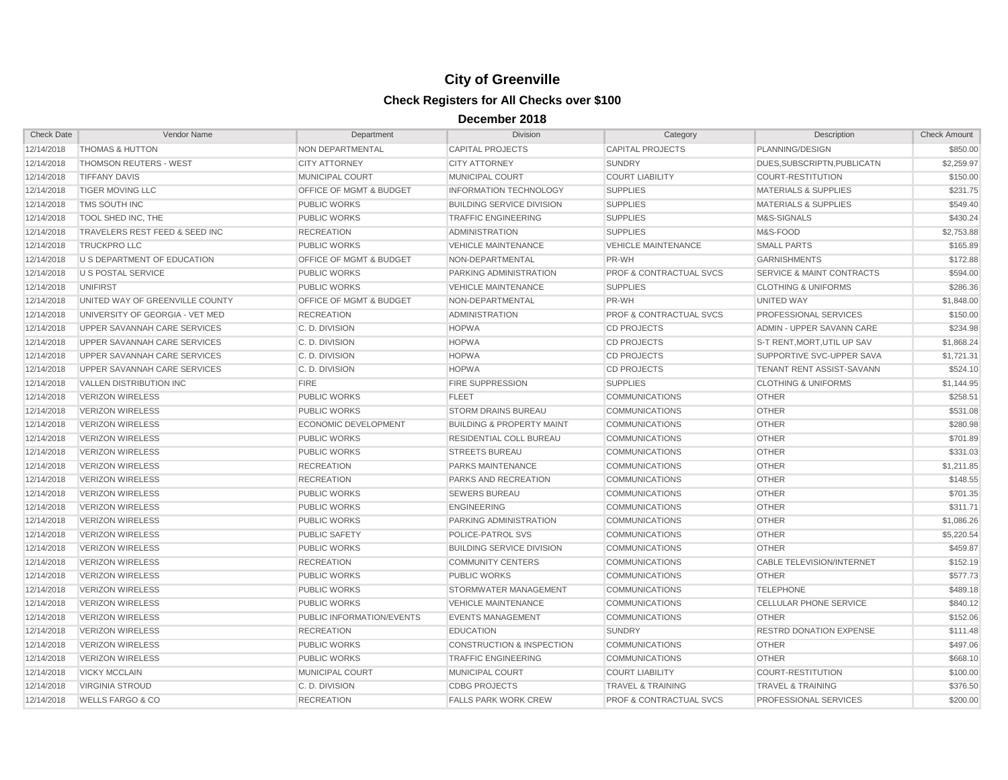| <b>Check Date</b> | Vendor Name                         | Department                  | <b>Division</b>                      | Category                           | Description                          | <b>Check Amount</b> |
|-------------------|-------------------------------------|-----------------------------|--------------------------------------|------------------------------------|--------------------------------------|---------------------|
| 12/14/2018        | <b>THOMAS &amp; HUTTON</b>          | NON DEPARTMENTAL            | <b>CAPITAL PROJECTS</b>              | <b>CAPITAL PROJECTS</b>            | PLANNING/DESIGN                      | \$850.00            |
| 12/14/2018        | <b>THOMSON REUTERS - WEST</b>       | <b>CITY ATTORNEY</b>        | <b>CITY ATTORNEY</b>                 | <b>SUNDRY</b>                      | DUES.SUBSCRIPTN.PUBLICATN            | \$2.259.97          |
| 12/14/2018        | <b>TIFFANY DAVIS</b>                | MUNICIPAL COURT             | MUNICIPAL COURT                      | <b>COURT LIABILITY</b>             | <b>COURT-RESTITUTION</b>             | \$150.00            |
| 12/14/2018        | <b>TIGER MOVING LLC</b>             | OFFICE OF MGMT & BUDGET     | <b>INFORMATION TECHNOLOGY</b>        | <b>SUPPLIES</b>                    | <b>MATERIALS &amp; SUPPLIES</b>      | \$231.75            |
| 12/14/2018        | TMS SOUTH INC                       | <b>PUBLIC WORKS</b>         | <b>BUILDING SERVICE DIVISION</b>     | <b>SUPPLIES</b>                    | <b>MATERIALS &amp; SUPPLIES</b>      | \$549.40            |
| 12/14/2018        | TOOL SHED INC, THE                  | <b>PUBLIC WORKS</b>         | <b>TRAFFIC ENGINEERING</b>           | <b>SUPPLIES</b>                    | M&S-SIGNALS                          | \$430.24            |
| 12/14/2018        | TRAVELERS REST FEED & SEED INC      | <b>RECREATION</b>           | <b>ADMINISTRATION</b>                | <b>SUPPLIES</b>                    | M&S-FOOD                             | \$2,753.88          |
| 12/14/2018        | <b>TRUCKPRO LLC</b>                 | <b>PUBLIC WORKS</b>         | <b>VEHICLE MAINTENANCE</b>           | <b>VEHICLE MAINTENANCE</b>         | <b>SMALL PARTS</b>                   | \$165.89            |
| 12/14/2018        | U S DEPARTMENT OF EDUCATION         | OFFICE OF MGMT & BUDGET     | NON-DEPARTMENTAL                     | PR-WH                              | <b>GARNISHMENTS</b>                  | \$172.88            |
| 12/14/2018        | <b>U S POSTAL SERVICE</b>           | <b>PUBLIC WORKS</b>         | PARKING ADMINISTRATION               | PROF & CONTRACTUAL SVCS            | <b>SERVICE &amp; MAINT CONTRACTS</b> | \$594.00            |
| 12/14/2018        | <b>UNIFIRST</b>                     | <b>PUBLIC WORKS</b>         | <b>VEHICLE MAINTENANCE</b>           | <b>SUPPLIES</b>                    | <b>CLOTHING &amp; UNIFORMS</b>       | \$286.36            |
| 12/14/2018        | UNITED WAY OF GREENVILLE COUNTY     | OFFICE OF MGMT & BUDGET     | NON-DEPARTMENTAL                     | PR-WH                              | <b>UNITED WAY</b>                    | \$1,848.00          |
| 12/14/2018        | UNIVERSITY OF GEORGIA - VET MED     | <b>RECREATION</b>           | <b>ADMINISTRATION</b>                | <b>PROF &amp; CONTRACTUAL SVCS</b> | PROFESSIONAL SERVICES                | \$150.00            |
| 12/14/2018        | UPPER SAVANNAH CARE SERVICES        | C. D. DIVISION              | <b>HOPWA</b>                         | <b>CD PROJECTS</b>                 | ADMIN - UPPER SAVANN CARE            | \$234.98            |
| 12/14/2018        | <b>UPPER SAVANNAH CARE SERVICES</b> | C. D. DIVISION              | <b>HOPWA</b>                         | <b>CD PROJECTS</b>                 | S-T RENT, MORT, UTIL UP SAV          | \$1,868.24          |
| 12/14/2018        | UPPER SAVANNAH CARE SERVICES        | C. D. DIVISION              | <b>HOPWA</b>                         | <b>CD PROJECTS</b>                 | SUPPORTIVE SVC-UPPER SAVA            | \$1,721.31          |
| 12/14/2018        | <b>UPPER SAVANNAH CARE SERVICES</b> | C. D. DIVISION              | <b>HOPWA</b>                         | <b>CD PROJECTS</b>                 | TENANT RENT ASSIST-SAVANN            | \$524.10            |
| 12/14/2018        | <b>VALLEN DISTRIBUTION INC</b>      | <b>FIRE</b>                 | <b>FIRE SUPPRESSION</b>              | <b>SUPPLIES</b>                    | <b>CLOTHING &amp; UNIFORMS</b>       | \$1,144.95          |
| 12/14/2018        | <b>VERIZON WIRELESS</b>             | <b>PUBLIC WORKS</b>         | <b>FLEET</b>                         | <b>COMMUNICATIONS</b>              | <b>OTHER</b>                         | \$258.51            |
| 12/14/2018        | <b>VERIZON WIRELESS</b>             | <b>PUBLIC WORKS</b>         | <b>STORM DRAINS BUREAU</b>           | <b>COMMUNICATIONS</b>              | <b>OTHER</b>                         | \$531.08            |
| 12/14/2018        | <b>VERIZON WIRELESS</b>             | <b>ECONOMIC DEVELOPMENT</b> | <b>BUILDING &amp; PROPERTY MAINT</b> | <b>COMMUNICATIONS</b>              | <b>OTHER</b>                         | \$280.98            |
| 12/14/2018        | <b>VERIZON WIRELESS</b>             | <b>PUBLIC WORKS</b>         | RESIDENTIAL COLL BUREAU              | <b>COMMUNICATIONS</b>              | <b>OTHER</b>                         | \$701.89            |
| 12/14/2018        | <b>VERIZON WIRELESS</b>             | <b>PUBLIC WORKS</b>         | <b>STREETS BUREAU</b>                | <b>COMMUNICATIONS</b>              | <b>OTHER</b>                         | \$331.03            |
| 12/14/2018        | <b>VERIZON WIRELESS</b>             | <b>RECREATION</b>           | PARKS MAINTENANCE                    | <b>COMMUNICATIONS</b>              | <b>OTHER</b>                         | \$1,211.85          |
| 12/14/2018        | <b>VERIZON WIRELESS</b>             | <b>RECREATION</b>           | PARKS AND RECREATION                 | <b>COMMUNICATIONS</b>              | <b>OTHER</b>                         | \$148.55            |
| 12/14/2018        | <b>VERIZON WIRELESS</b>             | <b>PUBLIC WORKS</b>         | <b>SEWERS BUREAU</b>                 | <b>COMMUNICATIONS</b>              | <b>OTHER</b>                         | \$701.35            |
| 12/14/2018        | <b>VERIZON WIRELESS</b>             | <b>PUBLIC WORKS</b>         | <b>ENGINEERING</b>                   | <b>COMMUNICATIONS</b>              | <b>OTHER</b>                         | \$311.71            |
| 12/14/2018        | <b>VERIZON WIRELESS</b>             | <b>PUBLIC WORKS</b>         | PARKING ADMINISTRATION               | <b>COMMUNICATIONS</b>              | <b>OTHER</b>                         | \$1,086.26          |
| 12/14/2018        | <b>VERIZON WIRELESS</b>             | <b>PUBLIC SAFETY</b>        | POLICE-PATROL SVS                    | <b>COMMUNICATIONS</b>              | <b>OTHER</b>                         | \$5,220.54          |
| 12/14/2018        | <b>VERIZON WIRELESS</b>             | <b>PUBLIC WORKS</b>         | <b>BUILDING SERVICE DIVISION</b>     | <b>COMMUNICATIONS</b>              | <b>OTHER</b>                         | \$459.87            |
| 12/14/2018        | <b>VERIZON WIRELESS</b>             | <b>RECREATION</b>           | <b>COMMUNITY CENTERS</b>             | <b>COMMUNICATIONS</b>              | <b>CABLE TELEVISION/INTERNET</b>     | \$152.19            |
| 12/14/2018        | <b>VERIZON WIRELESS</b>             | <b>PUBLIC WORKS</b>         | <b>PUBLIC WORKS</b>                  | <b>COMMUNICATIONS</b>              | <b>OTHER</b>                         | \$577.73            |
| 12/14/2018        | <b>VERIZON WIRELESS</b>             | <b>PUBLIC WORKS</b>         | STORMWATER MANAGEMENT                | <b>COMMUNICATIONS</b>              | <b>TELEPHONE</b>                     | \$489.18            |
| 12/14/2018        | <b>VERIZON WIRELESS</b>             | <b>PUBLIC WORKS</b>         | <b>VEHICLE MAINTENANCE</b>           | <b>COMMUNICATIONS</b>              | <b>CELLULAR PHONE SERVICE</b>        | \$840.12            |
| 12/14/2018        | <b>VERIZON WIRELESS</b>             | PUBLIC INFORMATION/EVENTS   | <b>EVENTS MANAGEMENT</b>             | <b>COMMUNICATIONS</b>              | <b>OTHER</b>                         | \$152.06            |
| 12/14/2018        | <b>VERIZON WIRELESS</b>             | <b>RECREATION</b>           | <b>EDUCATION</b>                     | <b>SUNDRY</b>                      | <b>RESTRD DONATION EXPENSE</b>       | \$111.48            |
| 12/14/2018        | <b>VERIZON WIRELESS</b>             | <b>PUBLIC WORKS</b>         | <b>CONSTRUCTION &amp; INSPECTION</b> | <b>COMMUNICATIONS</b>              | <b>OTHER</b>                         | \$497.06            |
| 12/14/2018        | <b>VERIZON WIRELESS</b>             | <b>PUBLIC WORKS</b>         | <b>TRAFFIC ENGINEERING</b>           | <b>COMMUNICATIONS</b>              | <b>OTHER</b>                         | \$668.10            |
| 12/14/2018        | <b>VICKY MCCLAIN</b>                | MUNICIPAL COURT             | MUNICIPAL COURT                      | <b>COURT LIABILITY</b>             | <b>COURT-RESTITUTION</b>             | \$100.00            |
| 12/14/2018        | <b>VIRGINIA STROUD</b>              | C. D. DIVISION              | <b>CDBG PROJECTS</b>                 | <b>TRAVEL &amp; TRAINING</b>       | <b>TRAVEL &amp; TRAINING</b>         | \$376.50            |
| 12/14/2018        | <b>WELLS FARGO &amp; CO</b>         | <b>RECREATION</b>           | <b>FALLS PARK WORK CREW</b>          | <b>PROF &amp; CONTRACTUAL SVCS</b> | PROFESSIONAL SERVICES                | \$200.00            |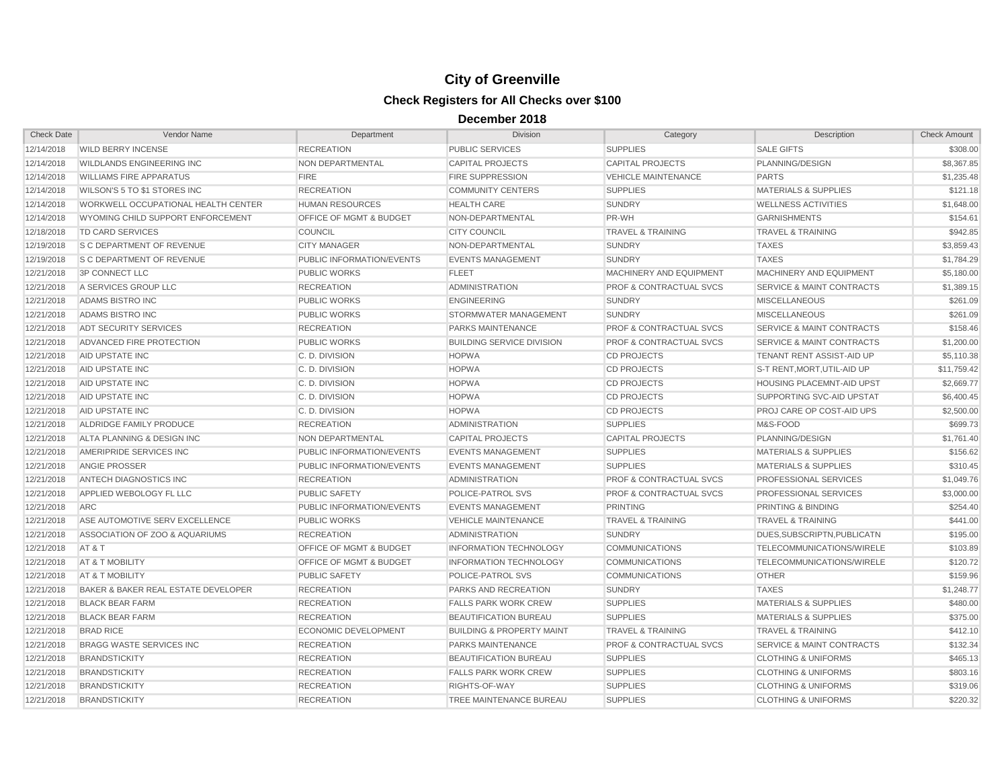| <b>Check Date</b> | Vendor Name                         | Department                  | <b>Division</b>                      | Category                           | Description                          | <b>Check Amount</b> |
|-------------------|-------------------------------------|-----------------------------|--------------------------------------|------------------------------------|--------------------------------------|---------------------|
| 12/14/2018        | <b>WILD BERRY INCENSE</b>           | <b>RECREATION</b>           | <b>PUBLIC SERVICES</b>               | <b>SUPPLIES</b>                    | <b>SALE GIFTS</b>                    | \$308.00            |
| 12/14/2018        | <b>WILDLANDS ENGINEERING INC</b>    | NON DEPARTMENTAL            | CAPITAL PROJECTS                     | <b>CAPITAL PROJECTS</b>            | PLANNING/DESIGN                      | \$8,367.85          |
| 12/14/2018        | <b>WILLIAMS FIRE APPARATUS</b>      | <b>FIRE</b>                 | <b>FIRE SUPPRESSION</b>              | <b>VEHICLE MAINTENANCE</b>         | <b>PARTS</b>                         | \$1,235.48          |
| 12/14/2018        | WILSON'S 5 TO \$1 STORES INC        | <b>RECREATION</b>           | <b>COMMUNITY CENTERS</b>             | <b>SUPPLIES</b>                    | <b>MATERIALS &amp; SUPPLIES</b>      | \$121.18            |
| 12/14/2018        | WORKWELL OCCUPATIONAL HEALTH CENTER | <b>HUMAN RESOURCES</b>      | <b>HEALTH CARE</b>                   | <b>SUNDRY</b>                      | <b>WELLNESS ACTIVITIES</b>           | \$1,648.00          |
| 12/14/2018        | WYOMING CHILD SUPPORT ENFORCEMENT   | OFFICE OF MGMT & BUDGET     | NON-DEPARTMENTAL                     | PR-WH                              | <b>GARNISHMENTS</b>                  | \$154.61            |
| 12/18/2018        | <b>TD CARD SERVICES</b>             | <b>COUNCIL</b>              | <b>CITY COUNCIL</b>                  | <b>TRAVEL &amp; TRAINING</b>       | <b>TRAVEL &amp; TRAINING</b>         | \$942.85            |
| 12/19/2018        | <b>S C DEPARTMENT OF REVENUE</b>    | <b>CITY MANAGER</b>         | NON-DEPARTMENTAL                     | <b>SUNDRY</b>                      | <b>TAXES</b>                         | \$3.859.43          |
| 12/19/2018        | <b>S C DEPARTMENT OF REVENUE</b>    | PUBLIC INFORMATION/EVENTS   | <b>EVENTS MANAGEMENT</b>             | <b>SUNDRY</b>                      | <b>TAXES</b>                         | \$1,784.29          |
| 12/21/2018        | <b>3P CONNECT LLC</b>               | <b>PUBLIC WORKS</b>         | <b>FLEET</b>                         | MACHINERY AND EQUIPMENT            | MACHINERY AND EQUIPMENT              | \$5,180.00          |
| 12/21/2018        | A SERVICES GROUP LLC                | <b>RECREATION</b>           | <b>ADMINISTRATION</b>                | <b>PROF &amp; CONTRACTUAL SVCS</b> | <b>SERVICE &amp; MAINT CONTRACTS</b> | \$1,389.15          |
| 12/21/2018        | ADAMS BISTRO INC                    | <b>PUBLIC WORKS</b>         | <b>ENGINEERING</b>                   | <b>SUNDRY</b>                      | <b>MISCELLANEOUS</b>                 | \$261.09            |
| 12/21/2018        | ADAMS BISTRO INC                    | <b>PUBLIC WORKS</b>         | STORMWATER MANAGEMENT                | <b>SUNDRY</b>                      | <b>MISCELLANEOUS</b>                 | \$261.09            |
| 12/21/2018        | ADT SECURITY SERVICES               | <b>RECREATION</b>           | <b>PARKS MAINTENANCE</b>             | <b>PROF &amp; CONTRACTUAL SVCS</b> | <b>SERVICE &amp; MAINT CONTRACTS</b> | \$158.46            |
| 12/21/2018        | ADVANCED FIRE PROTECTION            | <b>PUBLIC WORKS</b>         | <b>BUILDING SERVICE DIVISION</b>     | PROF & CONTRACTUAL SVCS            | <b>SERVICE &amp; MAINT CONTRACTS</b> | \$1,200.00          |
| 12/21/2018        | AID UPSTATE INC                     | C. D. DIVISION              | <b>HOPWA</b>                         | <b>CD PROJECTS</b>                 | TENANT RENT ASSIST-AID UP            | \$5,110.38          |
| 12/21/2018        | AID UPSTATE INC                     | C. D. DIVISION              | <b>HOPWA</b>                         | <b>CD PROJECTS</b>                 | S-T RENT.MORT.UTIL-AID UP            | \$11,759.42         |
| 12/21/2018        | AID UPSTATE INC                     | C. D. DIVISION              | <b>HOPWA</b>                         | <b>CD PROJECTS</b>                 | <b>HOUSING PLACEMNT-AID UPST</b>     | \$2,669.77          |
| 12/21/2018        | AID UPSTATE INC                     | C. D. DIVISION              | <b>HOPWA</b>                         | <b>CD PROJECTS</b>                 | SUPPORTING SVC-AID UPSTAT            | \$6,400.45          |
| 12/21/2018        | AID UPSTATE INC                     | C. D. DIVISION              | <b>HOPWA</b>                         | <b>CD PROJECTS</b>                 | PROJ CARE OP COST-AID UPS            | \$2,500.00          |
| 12/21/2018        | ALDRIDGE FAMILY PRODUCE             | <b>RECREATION</b>           | ADMINISTRATION                       | <b>SUPPLIES</b>                    | M&S-FOOD                             | \$699.73            |
| 12/21/2018        | ALTA PLANNING & DESIGN INC          | NON DEPARTMENTAL            | <b>CAPITAL PROJECTS</b>              | <b>CAPITAL PROJECTS</b>            | PLANNING/DESIGN                      | \$1,761.40          |
| 12/21/2018        | AMERIPRIDE SERVICES INC             | PUBLIC INFORMATION/EVENTS   | <b>EVENTS MANAGEMENT</b>             | <b>SUPPLIES</b>                    | <b>MATERIALS &amp; SUPPLIES</b>      | \$156.62            |
| 12/21/2018        | <b>ANGIE PROSSER</b>                | PUBLIC INFORMATION/EVENTS   | <b>EVENTS MANAGEMENT</b>             | <b>SUPPLIES</b>                    | <b>MATERIALS &amp; SUPPLIES</b>      | \$310.45            |
| 12/21/2018        | ANTECH DIAGNOSTICS INC              | <b>RECREATION</b>           | ADMINISTRATION                       | <b>PROF &amp; CONTRACTUAL SVCS</b> | PROFESSIONAL SERVICES                | \$1,049.76          |
| 12/21/2018        | APPLIED WEBOLOGY FL LLC             | <b>PUBLIC SAFETY</b>        | POLICE-PATROL SVS                    | <b>PROF &amp; CONTRACTUAL SVCS</b> | PROFESSIONAL SERVICES                | \$3,000.00          |
| 12/21/2018        | <b>ARC</b>                          | PUBLIC INFORMATION/EVENTS   | <b>EVENTS MANAGEMENT</b>             | <b>PRINTING</b>                    | <b>PRINTING &amp; BINDING</b>        | \$254.40            |
| 12/21/2018        | ASE AUTOMOTIVE SERV EXCELLENCE      | <b>PUBLIC WORKS</b>         | <b>VEHICLE MAINTENANCE</b>           | <b>TRAVEL &amp; TRAINING</b>       | <b>TRAVEL &amp; TRAINING</b>         | \$441.00            |
| 12/21/2018        | ASSOCIATION OF ZOO & AQUARIUMS      | <b>RECREATION</b>           | <b>ADMINISTRATION</b>                | <b>SUNDRY</b>                      | DUES.SUBSCRIPTN.PUBLICATN            | \$195.00            |
| 12/21/2018        | AT&T                                | OFFICE OF MGMT & BUDGET     | <b>INFORMATION TECHNOLOGY</b>        | <b>COMMUNICATIONS</b>              | TELECOMMUNICATIONS/WIRELE            | \$103.89            |
| 12/21/2018        | AT & T MOBILITY                     | OFFICE OF MGMT & BUDGET     | <b>INFORMATION TECHNOLOGY</b>        | <b>COMMUNICATIONS</b>              | TELECOMMUNICATIONS/WIRELE            | \$120.72            |
| 12/21/2018        | AT & T MOBILITY                     | <b>PUBLIC SAFETY</b>        | POLICE-PATROL SVS                    | <b>COMMUNICATIONS</b>              | <b>OTHER</b>                         | \$159.96            |
| 12/21/2018        | BAKER & BAKER REAL ESTATE DEVELOPER | <b>RECREATION</b>           | PARKS AND RECREATION                 | <b>SUNDRY</b>                      | <b>TAXES</b>                         | \$1,248.77          |
| 12/21/2018        | <b>BLACK BEAR FARM</b>              | <b>RECREATION</b>           | <b>FALLS PARK WORK CREW</b>          | <b>SUPPLIES</b>                    | <b>MATERIALS &amp; SUPPLIES</b>      | \$480.00            |
| 12/21/2018        | <b>BLACK BEAR FARM</b>              | <b>RECREATION</b>           | <b>BEAUTIFICATION BUREAU</b>         | <b>SUPPLIES</b>                    | <b>MATERIALS &amp; SUPPLIES</b>      | \$375.00            |
| 12/21/2018        | <b>BRAD RICE</b>                    | <b>ECONOMIC DEVELOPMENT</b> | <b>BUILDING &amp; PROPERTY MAINT</b> | <b>TRAVEL &amp; TRAINING</b>       | <b>TRAVEL &amp; TRAINING</b>         | \$412.10            |
| 12/21/2018        | BRAGG WASTE SERVICES INC            | <b>RECREATION</b>           | PARKS MAINTENANCE                    | PROF & CONTRACTUAL SVCS            | <b>SERVICE &amp; MAINT CONTRACTS</b> | \$132.34            |
| 12/21/2018        | <b>BRANDSTICKITY</b>                | <b>RECREATION</b>           | <b>BEAUTIFICATION BUREAU</b>         | <b>SUPPLIES</b>                    | <b>CLOTHING &amp; UNIFORMS</b>       | \$465.13            |
| 12/21/2018        | <b>BRANDSTICKITY</b>                | <b>RECREATION</b>           | <b>FALLS PARK WORK CREW</b>          | <b>SUPPLIES</b>                    | <b>CLOTHING &amp; UNIFORMS</b>       | \$803.16            |
| 12/21/2018        | <b>BRANDSTICKITY</b>                | <b>RECREATION</b>           | RIGHTS-OF-WAY                        | <b>SUPPLIES</b>                    | <b>CLOTHING &amp; UNIFORMS</b>       | \$319.06            |
| 12/21/2018        | <b>BRANDSTICKITY</b>                | <b>RECREATION</b>           | TREE MAINTENANCE BUREAU              | <b>SUPPLIES</b>                    | <b>CLOTHING &amp; UNIFORMS</b>       | \$220.32            |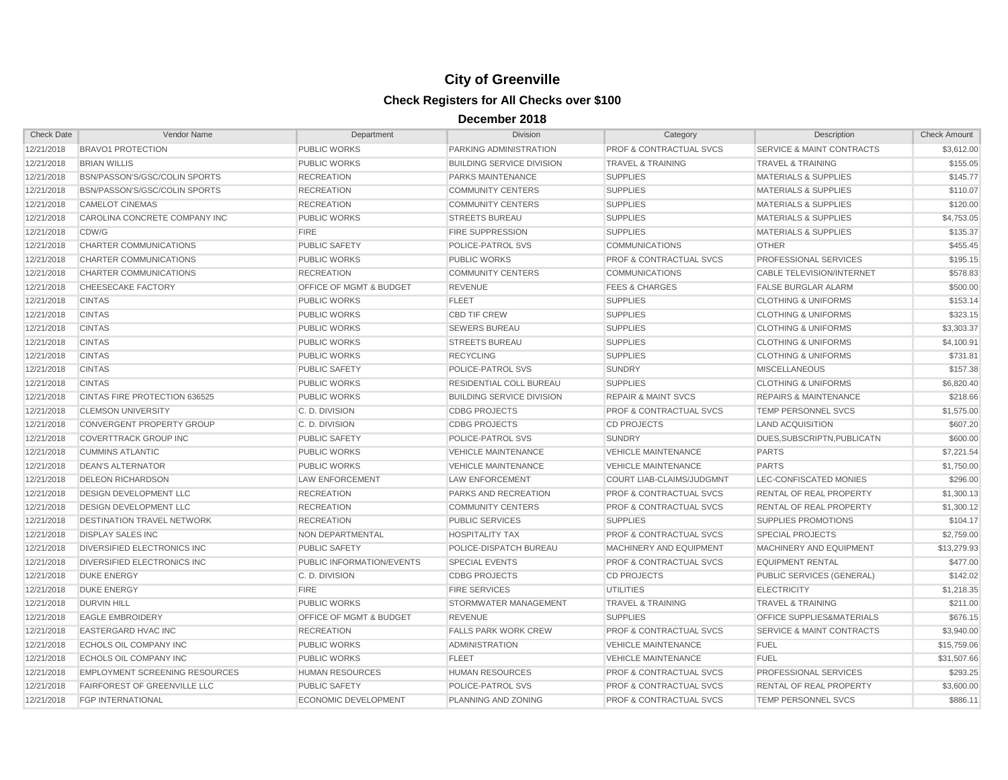| <b>Check Date</b> | Vendor Name                           | Department                         | <b>Division</b>                  | Category                           | Description                          | <b>Check Amount</b> |
|-------------------|---------------------------------------|------------------------------------|----------------------------------|------------------------------------|--------------------------------------|---------------------|
| 12/21/2018        | <b>BRAVO1 PROTECTION</b>              | PUBLIC WORKS                       | PARKING ADMINISTRATION           | <b>PROF &amp; CONTRACTUAL SVCS</b> | <b>SERVICE &amp; MAINT CONTRACTS</b> | \$3,612.00          |
| 12/21/2018        | <b>BRIAN WILLIS</b>                   | <b>PUBLIC WORKS</b>                | <b>BUILDING SERVICE DIVISION</b> | <b>TRAVEL &amp; TRAINING</b>       | <b>TRAVEL &amp; TRAINING</b>         | \$155.05            |
| 12/21/2018        | BSN/PASSON'S/GSC/COLIN SPORTS         | <b>RECREATION</b>                  | PARKS MAINTENANCE                | <b>SUPPLIES</b>                    | <b>MATERIALS &amp; SUPPLIES</b>      | \$145.77            |
| 12/21/2018        | BSN/PASSON'S/GSC/COLIN SPORTS         | <b>RECREATION</b>                  | <b>COMMUNITY CENTERS</b>         | <b>SUPPLIES</b>                    | <b>MATERIALS &amp; SUPPLIES</b>      | \$110.07            |
| 12/21/2018        | <b>CAMELOT CINEMAS</b>                | <b>RECREATION</b>                  | <b>COMMUNITY CENTERS</b>         | <b>SUPPLIES</b>                    | <b>MATERIALS &amp; SUPPLIES</b>      | \$120.00            |
| 12/21/2018        | CAROLINA CONCRETE COMPANY INC         | PUBLIC WORKS                       | <b>STREETS BUREAU</b>            | <b>SUPPLIES</b>                    | <b>MATERIALS &amp; SUPPLIES</b>      | \$4,753.05          |
| 12/21/2018        | CDW/G                                 | <b>FIRE</b>                        | <b>FIRE SUPPRESSION</b>          | <b>SUPPLIES</b>                    | <b>MATERIALS &amp; SUPPLIES</b>      | \$135.37            |
| 12/21/2018        | CHARTER COMMUNICATIONS                | <b>PUBLIC SAFETY</b>               | POLICE-PATROL SVS                | <b>COMMUNICATIONS</b>              | <b>OTHER</b>                         | \$455.45            |
| 12/21/2018        | CHARTER COMMUNICATIONS                | PUBLIC WORKS                       | <b>PUBLIC WORKS</b>              | <b>PROF &amp; CONTRACTUAL SVCS</b> | PROFESSIONAL SERVICES                | \$195.15            |
| 12/21/2018        | CHARTER COMMUNICATIONS                | <b>RECREATION</b>                  | <b>COMMUNITY CENTERS</b>         | <b>COMMUNICATIONS</b>              | CABLE TELEVISION/INTERNET            | \$578.83            |
| 12/21/2018        | <b>CHEESECAKE FACTORY</b>             | <b>OFFICE OF MGMT &amp; BUDGET</b> | <b>REVENUE</b>                   | <b>FEES &amp; CHARGES</b>          | <b>FALSE BURGLAR ALARM</b>           | \$500.00            |
| 12/21/2018        | <b>CINTAS</b>                         | <b>PUBLIC WORKS</b>                | <b>FLEET</b>                     | <b>SUPPLIES</b>                    | <b>CLOTHING &amp; UNIFORMS</b>       | \$153.14            |
| 12/21/2018        | <b>CINTAS</b>                         | <b>PUBLIC WORKS</b>                | <b>CBD TIF CREW</b>              | <b>SUPPLIES</b>                    | <b>CLOTHING &amp; UNIFORMS</b>       | \$323.15            |
| 12/21/2018        | <b>CINTAS</b>                         | PUBLIC WORKS                       | <b>SEWERS BUREAU</b>             | <b>SUPPLIES</b>                    | <b>CLOTHING &amp; UNIFORMS</b>       | \$3,303.37          |
| 12/21/2018        | <b>CINTAS</b>                         | <b>PUBLIC WORKS</b>                | <b>STREETS BUREAU</b>            | <b>SUPPLIES</b>                    | <b>CLOTHING &amp; UNIFORMS</b>       | \$4,100.91          |
| 12/21/2018        | <b>CINTAS</b>                         | <b>PUBLIC WORKS</b>                | <b>RECYCLING</b>                 | <b>SUPPLIES</b>                    | <b>CLOTHING &amp; UNIFORMS</b>       | \$731.81            |
| 12/21/2018        | <b>CINTAS</b>                         | PUBLIC SAFETY                      | POLICE-PATROL SVS                | <b>SUNDRY</b>                      | <b>MISCELLANEOUS</b>                 | \$157.38            |
| 12/21/2018        | <b>CINTAS</b>                         | PUBLIC WORKS                       | RESIDENTIAL COLL BUREAU          | <b>SUPPLIES</b>                    | <b>CLOTHING &amp; UNIFORMS</b>       | \$6,820.40          |
| 12/21/2018        | CINTAS FIRE PROTECTION 636525         | <b>PUBLIC WORKS</b>                | <b>BUILDING SERVICE DIVISION</b> | <b>REPAIR &amp; MAINT SVCS</b>     | <b>REPAIRS &amp; MAINTENANCE</b>     | \$218.66            |
| 12/21/2018        | <b>CLEMSON UNIVERSITY</b>             | C. D. DIVISION                     | <b>CDBG PROJECTS</b>             | <b>PROF &amp; CONTRACTUAL SVCS</b> | <b>TEMP PERSONNEL SVCS</b>           | \$1,575.00          |
| 12/21/2018        | <b>CONVERGENT PROPERTY GROUP</b>      | C. D. DIVISION                     | <b>CDBG PROJECTS</b>             | <b>CD PROJECTS</b>                 | <b>LAND ACQUISITION</b>              | \$607.20            |
| 12/21/2018        | <b>COVERTTRACK GROUP INC</b>          | PUBLIC SAFETY                      | POLICE-PATROL SVS                | <b>SUNDRY</b>                      | DUES, SUBSCRIPTN, PUBLICATN          | \$600.00            |
| 12/21/2018        | <b>CUMMINS ATLANTIC</b>               | <b>PUBLIC WORKS</b>                | <b>VEHICLE MAINTENANCE</b>       | <b>VEHICLE MAINTENANCE</b>         | <b>PARTS</b>                         | \$7,221.54          |
| 12/21/2018        | <b>DEAN'S ALTERNATOR</b>              | <b>PUBLIC WORKS</b>                | <b>VEHICLE MAINTENANCE</b>       | <b>VEHICLE MAINTENANCE</b>         | <b>PARTS</b>                         | \$1,750.00          |
| 12/21/2018        | <b>DELEON RICHARDSON</b>              | <b>LAW ENFORCEMENT</b>             | <b>LAW ENFORCEMENT</b>           | <b>COURT LIAB-CLAIMS/JUDGMNT</b>   | LEC-CONFISCATED MONIES               | \$296.00            |
| 12/21/2018        | DESIGN DEVELOPMENT LLC                | <b>RECREATION</b>                  | PARKS AND RECREATION             | <b>PROF &amp; CONTRACTUAL SVCS</b> | RENTAL OF REAL PROPERTY              | \$1,300.13          |
| 12/21/2018        | <b>DESIGN DEVELOPMENT LLC</b>         | <b>RECREATION</b>                  | <b>COMMUNITY CENTERS</b>         | <b>PROF &amp; CONTRACTUAL SVCS</b> | RENTAL OF REAL PROPERTY              | \$1,300.12          |
| 12/21/2018        | <b>DESTINATION TRAVEL NETWORK</b>     | <b>RECREATION</b>                  | PUBLIC SERVICES                  | <b>SUPPLIES</b>                    | <b>SUPPLIES PROMOTIONS</b>           | \$104.17            |
| 12/21/2018        | <b>DISPLAY SALES INC</b>              | NON DEPARTMENTAL                   | <b>HOSPITALITY TAX</b>           | <b>PROF &amp; CONTRACTUAL SVCS</b> | <b>SPECIAL PROJECTS</b>              | \$2,759.00          |
| 12/21/2018        | DIVERSIFIED ELECTRONICS INC           | <b>PUBLIC SAFETY</b>               | POLICE-DISPATCH BUREAU           | MACHINERY AND EQUIPMENT            | MACHINERY AND EQUIPMENT              | \$13,279.93         |
| 12/21/2018        | DIVERSIFIED ELECTRONICS INC           | PUBLIC INFORMATION/EVENTS          | <b>SPECIAL EVENTS</b>            | <b>PROF &amp; CONTRACTUAL SVCS</b> | <b>EQUIPMENT RENTAL</b>              | \$477.00            |
| 12/21/2018        | <b>DUKE ENERGY</b>                    | C. D. DIVISION                     | <b>CDBG PROJECTS</b>             | <b>CD PROJECTS</b>                 | PUBLIC SERVICES (GENERAL)            | \$142.02            |
| 12/21/2018        | <b>DUKE ENERGY</b>                    | <b>FIRE</b>                        | <b>FIRE SERVICES</b>             | <b>UTILITIES</b>                   | <b>ELECTRICITY</b>                   | \$1,218.35          |
| 12/21/2018        | <b>DURVIN HILL</b>                    | <b>PUBLIC WORKS</b>                | STORMWATER MANAGEMENT            | <b>TRAVEL &amp; TRAINING</b>       | <b>TRAVEL &amp; TRAINING</b>         | \$211.00            |
| 12/21/2018        | <b>EAGLE EMBROIDERY</b>               | OFFICE OF MGMT & BUDGET            | <b>REVENUE</b>                   | <b>SUPPLIES</b>                    | OFFICE SUPPLIES&MATERIALS            | \$676.15            |
| 12/21/2018        | EASTERGARD HVAC INC                   | <b>RECREATION</b>                  | <b>FALLS PARK WORK CREW</b>      | PROF & CONTRACTUAL SVCS            | <b>SERVICE &amp; MAINT CONTRACTS</b> | \$3,940.00          |
| 12/21/2018        | ECHOLS OIL COMPANY INC                | <b>PUBLIC WORKS</b>                | <b>ADMINISTRATION</b>            | <b>VEHICLE MAINTENANCE</b>         | <b>FUEL</b>                          | \$15,759.06         |
| 12/21/2018        | <b>ECHOLS OIL COMPANY INC</b>         | <b>PUBLIC WORKS</b>                | <b>FLEET</b>                     | <b>VEHICLE MAINTENANCE</b>         | <b>FUEL</b>                          | \$31,507.66         |
| 12/21/2018        | <b>EMPLOYMENT SCREENING RESOURCES</b> | <b>HUMAN RESOURCES</b>             | <b>HUMAN RESOURCES</b>           | <b>PROF &amp; CONTRACTUAL SVCS</b> | PROFESSIONAL SERVICES                | \$293.25            |
| 12/21/2018        | <b>FAIRFOREST OF GREENVILLE LLC</b>   | <b>PUBLIC SAFETY</b>               | POLICE-PATROL SVS                | <b>PROF &amp; CONTRACTUAL SVCS</b> | <b>RENTAL OF REAL PROPERTY</b>       | \$3,600.00          |
| 12/21/2018        | <b>FGP INTERNATIONAL</b>              | <b>ECONOMIC DEVELOPMENT</b>        | PLANNING AND ZONING              | <b>PROF &amp; CONTRACTUAL SVCS</b> | <b>TEMP PERSONNEL SVCS</b>           | \$886.11            |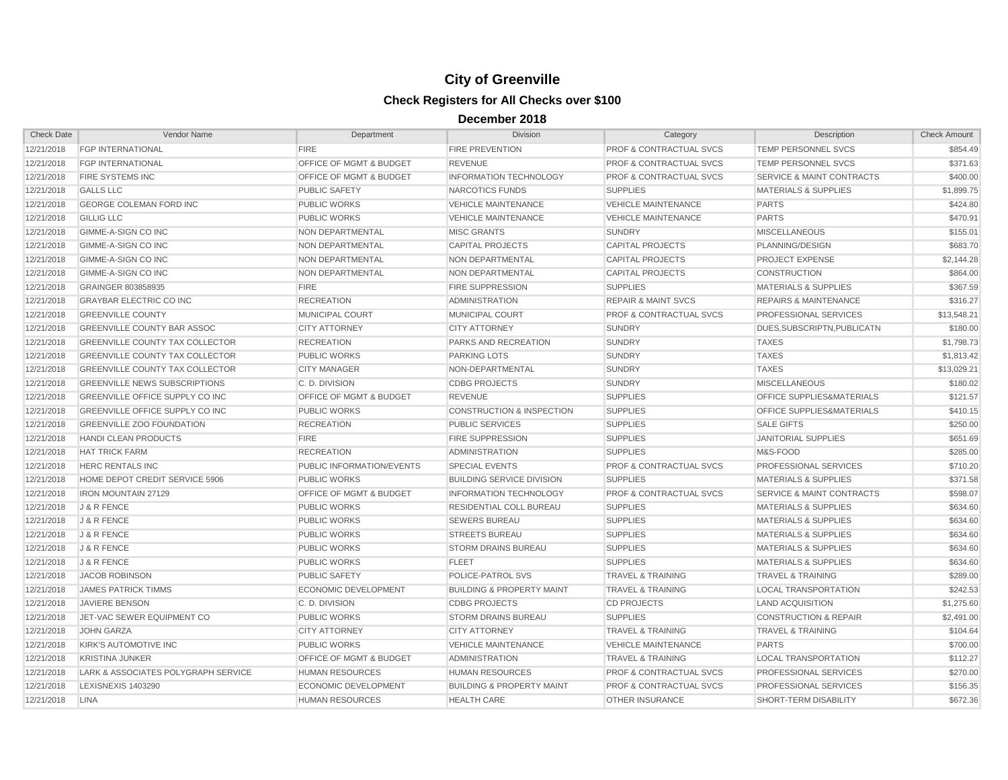| <b>Check Date</b> | Vendor Name                            | Department                         | <b>Division</b>                      | Category                           | Description                          | <b>Check Amount</b> |
|-------------------|----------------------------------------|------------------------------------|--------------------------------------|------------------------------------|--------------------------------------|---------------------|
| 12/21/2018        | <b>FGP INTERNATIONAL</b>               | <b>FIRE</b>                        | <b>FIRE PREVENTION</b>               | <b>PROF &amp; CONTRACTUAL SVCS</b> | TEMP PERSONNEL SVCS                  | \$854.49            |
| 12/21/2018        | <b>FGP INTERNATIONAL</b>               | <b>OFFICE OF MGMT &amp; BUDGET</b> | <b>REVENUE</b>                       | <b>PROF &amp; CONTRACTUAL SVCS</b> | <b>TEMP PERSONNEL SVCS</b>           | \$371.63            |
| 12/21/2018        | FIRE SYSTEMS INC                       | OFFICE OF MGMT & BUDGET            | INFORMATION TECHNOLOGY               | PROF & CONTRACTUAL SVCS            | <b>SERVICE &amp; MAINT CONTRACTS</b> | \$400.00            |
| 12/21/2018        | <b>GALLS LLC</b>                       | <b>PUBLIC SAFETY</b>               | NARCOTICS FUNDS                      | <b>SUPPLIES</b>                    | <b>MATERIALS &amp; SUPPLIES</b>      | \$1,899.75          |
| 12/21/2018        | <b>GEORGE COLEMAN FORD INC</b>         | <b>PUBLIC WORKS</b>                | <b>VEHICLE MAINTENANCE</b>           | <b>VEHICLE MAINTENANCE</b>         | <b>PARTS</b>                         | \$424.80            |
| 12/21/2018        | <b>GILLIG LLC</b>                      | <b>PUBLIC WORKS</b>                | <b>VEHICLE MAINTENANCE</b>           | <b>VEHICLE MAINTENANCE</b>         | <b>PARTS</b>                         | \$470.91            |
| 12/21/2018        | GIMME-A-SIGN CO INC                    | NON DEPARTMENTAL                   | <b>MISC GRANTS</b>                   | <b>SUNDRY</b>                      | <b>MISCELLANEOUS</b>                 | \$155.01            |
| 12/21/2018        | GIMME-A-SIGN CO INC                    | NON DEPARTMENTAL                   | <b>CAPITAL PROJECTS</b>              | <b>CAPITAL PROJECTS</b>            | PLANNING/DESIGN                      | \$683.70            |
| 12/21/2018        | <b>GIMME-A-SIGN CO INC</b>             | NON DEPARTMENTAL                   | NON DEPARTMENTAL                     | <b>CAPITAL PROJECTS</b>            | <b>PROJECT EXPENSE</b>               | \$2,144.28          |
| 12/21/2018        | GIMME-A-SIGN CO INC                    | NON DEPARTMENTAL                   | NON DEPARTMENTAL                     | <b>CAPITAL PROJECTS</b>            | CONSTRUCTION                         | \$864.00            |
| 12/21/2018        | GRAINGER 803858935                     | <b>FIRE</b>                        | <b>FIRE SUPPRESSION</b>              | <b>SUPPLIES</b>                    | <b>MATERIALS &amp; SUPPLIES</b>      | \$367.59            |
| 12/21/2018        | <b>GRAYBAR ELECTRIC CO INC</b>         | <b>RECREATION</b>                  | <b>ADMINISTRATION</b>                | <b>REPAIR &amp; MAINT SVCS</b>     | <b>REPAIRS &amp; MAINTENANCE</b>     | \$316.27            |
| 12/21/2018        | <b>GREENVILLE COUNTY</b>               | <b>MUNICIPAL COURT</b>             | MUNICIPAL COURT                      | <b>PROF &amp; CONTRACTUAL SVCS</b> | PROFESSIONAL SERVICES                | \$13,548.21         |
| 12/21/2018        | <b>GREENVILLE COUNTY BAR ASSOC</b>     | <b>CITY ATTORNEY</b>               | <b>CITY ATTORNEY</b>                 | <b>SUNDRY</b>                      | DUES.SUBSCRIPTN.PUBLICATN            | \$180.00            |
| 12/21/2018        | <b>GREENVILLE COUNTY TAX COLLECTOR</b> | <b>RECREATION</b>                  | PARKS AND RECREATION                 | <b>SUNDRY</b>                      | <b>TAXES</b>                         | \$1,798.73          |
| 12/21/2018        | <b>GREENVILLE COUNTY TAX COLLECTOR</b> | <b>PUBLIC WORKS</b>                | <b>PARKING LOTS</b>                  | <b>SUNDRY</b>                      | <b>TAXES</b>                         | \$1,813.42          |
| 12/21/2018        | <b>GREENVILLE COUNTY TAX COLLECTOR</b> | <b>CITY MANAGER</b>                | NON-DEPARTMENTAL                     | <b>SUNDRY</b>                      | <b>TAXES</b>                         | \$13,029.21         |
| 12/21/2018        | <b>GREENVILLE NEWS SUBSCRIPTIONS</b>   | C. D. DIVISION                     | <b>CDBG PROJECTS</b>                 | <b>SUNDRY</b>                      | <b>MISCELLANEOUS</b>                 | \$180.02            |
| 12/21/2018        | GREENVILLE OFFICE SUPPLY CO INC        | OFFICE OF MGMT & BUDGET            | <b>REVENUE</b>                       | <b>SUPPLIES</b>                    | OFFICE SUPPLIES&MATERIALS            | \$121.57            |
| 12/21/2018        | <b>GREENVILLE OFFICE SUPPLY CO INC</b> | <b>PUBLIC WORKS</b>                | <b>CONSTRUCTION &amp; INSPECTION</b> | <b>SUPPLIES</b>                    | <b>OFFICE SUPPLIES&amp;MATERIALS</b> | \$410.15            |
| 12/21/2018        | <b>GREENVILLE ZOO FOUNDATION</b>       | <b>RECREATION</b>                  | <b>PUBLIC SERVICES</b>               | <b>SUPPLIES</b>                    | <b>SALE GIFTS</b>                    | \$250.00            |
| 12/21/2018        | <b>HANDI CLEAN PRODUCTS</b>            | <b>FIRE</b>                        | <b>FIRE SUPPRESSION</b>              | <b>SUPPLIES</b>                    | <b>JANITORIAL SUPPLIES</b>           | \$651.69            |
| 12/21/2018        | <b>HAT TRICK FARM</b>                  | <b>RECREATION</b>                  | <b>ADMINISTRATION</b>                | <b>SUPPLIES</b>                    | M&S-FOOD                             | \$285.00            |
| 12/21/2018        | <b>HERC RENTALS INC</b>                | PUBLIC INFORMATION/EVENTS          | SPECIAL EVENTS                       | PROF & CONTRACTUAL SVCS            | PROFESSIONAL SERVICES                | \$710.20            |
| 12/21/2018        | HOME DEPOT CREDIT SERVICE 5906         | <b>PUBLIC WORKS</b>                | <b>BUILDING SERVICE DIVISION</b>     | <b>SUPPLIES</b>                    | <b>MATERIALS &amp; SUPPLIES</b>      | \$371.58            |
| 12/21/2018        | <b>IRON MOUNTAIN 27129</b>             | OFFICE OF MGMT & BUDGET            | <b>INFORMATION TECHNOLOGY</b>        | <b>PROF &amp; CONTRACTUAL SVCS</b> | <b>SERVICE &amp; MAINT CONTRACTS</b> | \$598.07            |
| 12/21/2018        | J & R FENCE                            | <b>PUBLIC WORKS</b>                | <b>RESIDENTIAL COLL BUREAU</b>       | <b>SUPPLIES</b>                    | <b>MATERIALS &amp; SUPPLIES</b>      | \$634.60            |
| 12/21/2018        | J & R FENCE                            | <b>PUBLIC WORKS</b>                | <b>SEWERS BUREAU</b>                 | <b>SUPPLIES</b>                    | <b>MATERIALS &amp; SUPPLIES</b>      | \$634.60            |
| 12/21/2018        | J & R FENCE                            | <b>PUBLIC WORKS</b>                | <b>STREETS BUREAU</b>                | <b>SUPPLIES</b>                    | <b>MATERIALS &amp; SUPPLIES</b>      | \$634.60            |
| 12/21/2018        | J & R FENCE                            | <b>PUBLIC WORKS</b>                | <b>STORM DRAINS BUREAU</b>           | <b>SUPPLIES</b>                    | <b>MATERIALS &amp; SUPPLIES</b>      | \$634.60            |
| 12/21/2018        | J & R FENCE                            | <b>PUBLIC WORKS</b>                | <b>FLEET</b>                         | <b>SUPPLIES</b>                    | <b>MATERIALS &amp; SUPPLIES</b>      | \$634.60            |
| 12/21/2018        | <b>JACOB ROBINSON</b>                  | <b>PUBLIC SAFETY</b>               | POLICE-PATROL SVS                    | <b>TRAVEL &amp; TRAINING</b>       | <b>TRAVEL &amp; TRAINING</b>         | \$289.00            |
| 12/21/2018        | <b>JAMES PATRICK TIMMS</b>             | <b>ECONOMIC DEVELOPMENT</b>        | <b>BUILDING &amp; PROPERTY MAINT</b> | <b>TRAVEL &amp; TRAINING</b>       | <b>LOCAL TRANSPORTATION</b>          | \$242.53            |
| 12/21/2018        | <b>JAVIERE BENSON</b>                  | C. D. DIVISION                     | <b>CDBG PROJECTS</b>                 | <b>CD PROJECTS</b>                 | <b>LAND ACQUISITION</b>              | \$1,275.60          |
| 12/21/2018        | JET-VAC SEWER EQUIPMENT CO             | <b>PUBLIC WORKS</b>                | <b>STORM DRAINS BUREAU</b>           | <b>SUPPLIES</b>                    | <b>CONSTRUCTION &amp; REPAIR</b>     | \$2,491.00          |
| 12/21/2018        | <b>JOHN GARZA</b>                      | <b>CITY ATTORNEY</b>               | <b>CITY ATTORNEY</b>                 | <b>TRAVEL &amp; TRAINING</b>       | <b>TRAVEL &amp; TRAINING</b>         | \$104.64            |
| 12/21/2018        | <b>KIRK'S AUTOMOTIVE INC</b>           | <b>PUBLIC WORKS</b>                | <b>VEHICLE MAINTENANCE</b>           | <b>VEHICLE MAINTENANCE</b>         | <b>PARTS</b>                         | \$700.00            |
| 12/21/2018        | <b>KRISTINA JUNKER</b>                 | OFFICE OF MGMT & BUDGET            | <b>ADMINISTRATION</b>                | <b>TRAVEL &amp; TRAINING</b>       | <b>LOCAL TRANSPORTATION</b>          | \$112.27            |
| 12/21/2018        | LARK & ASSOCIATES POLYGRAPH SERVICE    | <b>HUMAN RESOURCES</b>             | <b>HUMAN RESOURCES</b>               | <b>PROF &amp; CONTRACTUAL SVCS</b> | <b>PROFESSIONAL SERVICES</b>         | \$270.00            |
| 12/21/2018        | <b>LEXISNEXIS 1403290</b>              | <b>ECONOMIC DEVELOPMENT</b>        | <b>BUILDING &amp; PROPERTY MAINT</b> | <b>PROF &amp; CONTRACTUAL SVCS</b> | PROFESSIONAL SERVICES                | \$156.35            |
| 12/21/2018        | <b>LINA</b>                            | <b>HUMAN RESOURCES</b>             | <b>HEALTH CARE</b>                   | <b>OTHER INSURANCE</b>             | SHORT-TERM DISABILITY                | \$672.36            |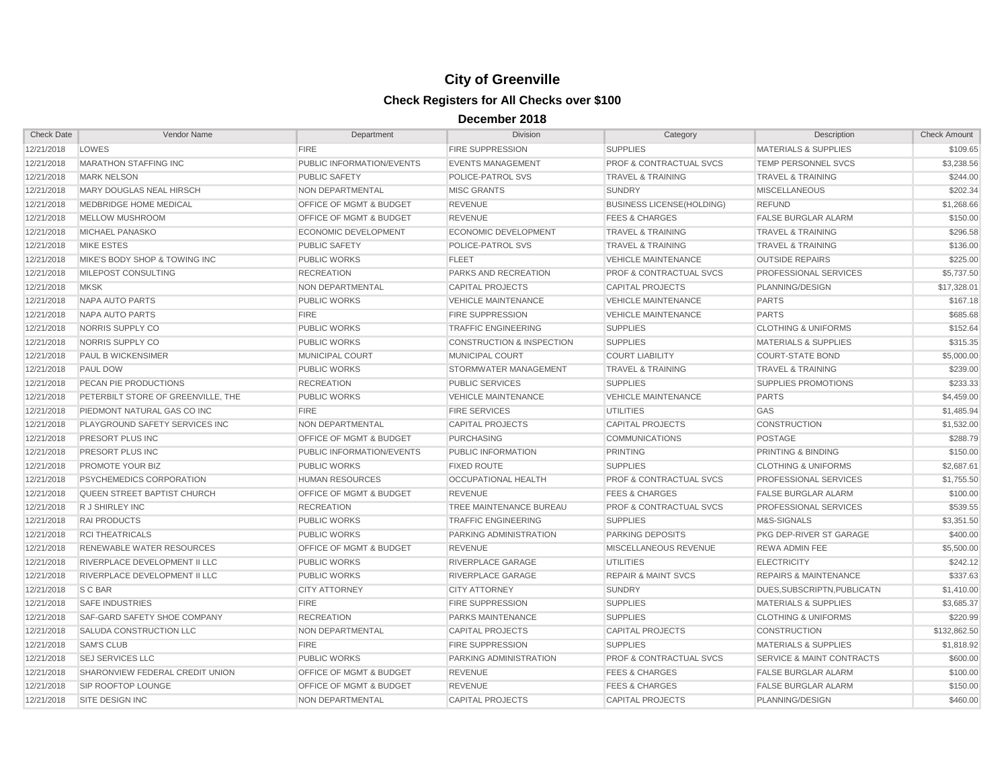| <b>Check Date</b> | Vendor Name                        | Department                         | <b>Division</b>                      | Category                           | Description                          | <b>Check Amount</b> |
|-------------------|------------------------------------|------------------------------------|--------------------------------------|------------------------------------|--------------------------------------|---------------------|
| 12/21/2018        | LOWES                              | <b>FIRE</b>                        | FIRE SUPPRESSION                     | <b>SUPPLIES</b>                    | <b>MATERIALS &amp; SUPPLIES</b>      | \$109.65            |
| 12/21/2018        | <b>MARATHON STAFFING INC</b>       | PUBLIC INFORMATION/EVENTS          | <b>EVENTS MANAGEMENT</b>             | <b>PROF &amp; CONTRACTUAL SVCS</b> | <b>TEMP PERSONNEL SVCS</b>           | \$3,238.56          |
| 12/21/2018        | <b>MARK NELSON</b>                 | <b>PUBLIC SAFETY</b>               | POLICE-PATROL SVS                    | <b>TRAVEL &amp; TRAINING</b>       | <b>TRAVEL &amp; TRAINING</b>         | \$244.00            |
| 12/21/2018        | MARY DOUGLAS NEAL HIRSCH           | NON DEPARTMENTAL                   | <b>MISC GRANTS</b>                   | <b>SUNDRY</b>                      | <b>MISCELLANEOUS</b>                 | \$202.34            |
| 12/21/2018        | MEDBRIDGE HOME MEDICAL             | OFFICE OF MGMT & BUDGET            | <b>REVENUE</b>                       | <b>BUSINESS LICENSE(HOLDING)</b>   | <b>REFUND</b>                        | \$1,268.66          |
| 12/21/2018        | MELLOW MUSHROOM                    | OFFICE OF MGMT & BUDGET            | <b>REVENUE</b>                       | <b>FEES &amp; CHARGES</b>          | <b>FALSE BURGLAR ALARM</b>           | \$150.00            |
| 12/21/2018        | <b>MICHAEL PANASKO</b>             | <b>ECONOMIC DEVELOPMENT</b>        | <b>ECONOMIC DEVELOPMENT</b>          | <b>TRAVEL &amp; TRAINING</b>       | <b>TRAVEL &amp; TRAINING</b>         | \$296.58            |
| 12/21/2018        | <b>MIKE ESTES</b>                  | <b>PUBLIC SAFETY</b>               | <b>POLICE-PATROL SVS</b>             | <b>TRAVEL &amp; TRAINING</b>       | <b>TRAVEL &amp; TRAINING</b>         | \$136.00            |
| 12/21/2018        | MIKE'S BODY SHOP & TOWING INC      | <b>PUBLIC WORKS</b>                | <b>FLEET</b>                         | <b>VEHICLE MAINTENANCE</b>         | <b>OUTSIDE REPAIRS</b>               | \$225.00            |
| 12/21/2018        | MILEPOST CONSULTING                | <b>RECREATION</b>                  | PARKS AND RECREATION                 | <b>PROF &amp; CONTRACTUAL SVCS</b> | PROFESSIONAL SERVICES                | \$5,737.50          |
| 12/21/2018        | <b>MKSK</b>                        | NON DEPARTMENTAL                   | <b>CAPITAL PROJECTS</b>              | <b>CAPITAL PROJECTS</b>            | PLANNING/DESIGN                      | \$17,328.01         |
| 12/21/2018        | NAPA AUTO PARTS                    | <b>PUBLIC WORKS</b>                | <b>VEHICLE MAINTENANCE</b>           | <b>VEHICLE MAINTENANCE</b>         | <b>PARTS</b>                         | \$167.18            |
| 12/21/2018        | NAPA AUTO PARTS                    | <b>FIRE</b>                        | <b>FIRE SUPPRESSION</b>              | <b>VEHICLE MAINTENANCE</b>         | <b>PARTS</b>                         | \$685.68            |
| 12/21/2018        | NORRIS SUPPLY CO                   | <b>PUBLIC WORKS</b>                | <b>TRAFFIC ENGINEERING</b>           | <b>SUPPLIES</b>                    | <b>CLOTHING &amp; UNIFORMS</b>       | \$152.64            |
| 12/21/2018        | NORRIS SUPPLY CO                   | <b>PUBLIC WORKS</b>                | <b>CONSTRUCTION &amp; INSPECTION</b> | <b>SUPPLIES</b>                    | <b>MATERIALS &amp; SUPPLIES</b>      | \$315.35            |
| 12/21/2018        | PAUL B WICKENSIMER                 | MUNICIPAL COURT                    | <b>MUNICIPAL COURT</b>               | <b>COURT LIABILITY</b>             | <b>COURT-STATE BOND</b>              | \$5,000.00          |
| 12/21/2018        | <b>PAUL DOW</b>                    | <b>PUBLIC WORKS</b>                | STORMWATER MANAGEMENT                | <b>TRAVEL &amp; TRAINING</b>       | <b>TRAVEL &amp; TRAINING</b>         | \$239.00            |
| 12/21/2018        | PECAN PIE PRODUCTIONS              | <b>RECREATION</b>                  | <b>PUBLIC SERVICES</b>               | <b>SUPPLIES</b>                    | <b>SUPPLIES PROMOTIONS</b>           | \$233.33            |
| 12/21/2018        | PETERBILT STORE OF GREENVILLE, THE | <b>PUBLIC WORKS</b>                | <b>VEHICLE MAINTENANCE</b>           | <b>VEHICLE MAINTENANCE</b>         | <b>PARTS</b>                         | \$4,459.00          |
| 12/21/2018        | PIEDMONT NATURAL GAS CO INC        | <b>FIRE</b>                        | <b>FIRE SERVICES</b>                 | <b>UTILITIES</b>                   | <b>GAS</b>                           | \$1,485.94          |
| 12/21/2018        | PLAYGROUND SAFETY SERVICES INC     | NON DEPARTMENTAL                   | <b>CAPITAL PROJECTS</b>              | <b>CAPITAL PROJECTS</b>            | <b>CONSTRUCTION</b>                  | \$1,532.00          |
| 12/21/2018        | PRESORT PLUS INC                   | OFFICE OF MGMT & BUDGET            | PURCHASING                           | <b>COMMUNICATIONS</b>              | <b>POSTAGE</b>                       | \$288.79            |
| 12/21/2018        | PRESORT PLUS INC                   | PUBLIC INFORMATION/EVENTS          | PUBLIC INFORMATION                   | <b>PRINTING</b>                    | PRINTING & BINDING                   | \$150.00            |
| 12/21/2018        | PROMOTE YOUR BIZ                   | <b>PUBLIC WORKS</b>                | <b>FIXED ROUTE</b>                   | <b>SUPPLIES</b>                    | <b>CLOTHING &amp; UNIFORMS</b>       | \$2,687.61          |
| 12/21/2018        | PSYCHEMEDICS CORPORATION           | <b>HUMAN RESOURCES</b>             | OCCUPATIONAL HEALTH                  | PROF & CONTRACTUAL SVCS            | PROFESSIONAL SERVICES                | \$1,755.50          |
| 12/21/2018        | QUEEN STREET BAPTIST CHURCH        | OFFICE OF MGMT & BUDGET            | <b>REVENUE</b>                       | <b>FEES &amp; CHARGES</b>          | <b>FALSE BURGLAR ALARM</b>           | \$100.00            |
| 12/21/2018        | R J SHIRLEY INC                    | <b>RECREATION</b>                  | TREE MAINTENANCE BUREAU              | <b>PROF &amp; CONTRACTUAL SVCS</b> | PROFESSIONAL SERVICES                | \$539.55            |
| 12/21/2018        | <b>RAI PRODUCTS</b>                | <b>PUBLIC WORKS</b>                | <b>TRAFFIC ENGINEERING</b>           | <b>SUPPLIES</b>                    | M&S-SIGNALS                          | \$3,351.50          |
| 12/21/2018        | <b>RCI THEATRICALS</b>             | <b>PUBLIC WORKS</b>                | PARKING ADMINISTRATION               | <b>PARKING DEPOSITS</b>            | PKG DEP-RIVER ST GARAGE              | \$400.00            |
| 12/21/2018        | RENEWABLE WATER RESOURCES          | OFFICE OF MGMT & BUDGET            | <b>REVENUE</b>                       | MISCELLANEOUS REVENUE              | REWA ADMIN FEE                       | \$5,500.00          |
| 12/21/2018        | RIVERPLACE DEVELOPMENT II LLC      | <b>PUBLIC WORKS</b>                | RIVERPLACE GARAGE                    | UTILITIES                          | <b>ELECTRICITY</b>                   | \$242.12            |
| 12/21/2018        | RIVERPLACE DEVELOPMENT II LLC      | <b>PUBLIC WORKS</b>                | RIVERPLACE GARAGE                    | <b>REPAIR &amp; MAINT SVCS</b>     | <b>REPAIRS &amp; MAINTENANCE</b>     | \$337.63            |
| 12/21/2018        | S C BAR                            | <b>CITY ATTORNEY</b>               | <b>CITY ATTORNEY</b>                 | <b>SUNDRY</b>                      | DUES, SUBSCRIPTN, PUBLICATN          | \$1,410.00          |
| 12/21/2018        | <b>SAFE INDUSTRIES</b>             | <b>FIRE</b>                        | <b>FIRE SUPPRESSION</b>              | <b>SUPPLIES</b>                    | <b>MATERIALS &amp; SUPPLIES</b>      | \$3,685.37          |
| 12/21/2018        | SAF-GARD SAFETY SHOE COMPANY       | <b>RECREATION</b>                  | <b>PARKS MAINTENANCE</b>             | <b>SUPPLIES</b>                    | <b>CLOTHING &amp; UNIFORMS</b>       | \$220.99            |
| 12/21/2018        | SALUDA CONSTRUCTION LLC            | NON DEPARTMENTAL                   | <b>CAPITAL PROJECTS</b>              | <b>CAPITAL PROJECTS</b>            | <b>CONSTRUCTION</b>                  | \$132,862.50        |
| 12/21/2018        | <b>SAM'S CLUB</b>                  | <b>FIRE</b>                        | <b>FIRE SUPPRESSION</b>              | <b>SUPPLIES</b>                    | <b>MATERIALS &amp; SUPPLIES</b>      | \$1,818.92          |
| 12/21/2018        | <b>SEJ SERVICES LLC</b>            | <b>PUBLIC WORKS</b>                | PARKING ADMINISTRATION               | <b>PROF &amp; CONTRACTUAL SVCS</b> | <b>SERVICE &amp; MAINT CONTRACTS</b> | \$600.00            |
| 12/21/2018        | SHARONVIEW FEDERAL CREDIT UNION    | OFFICE OF MGMT & BUDGET            | <b>REVENUE</b>                       | <b>FEES &amp; CHARGES</b>          | <b>FALSE BURGLAR ALARM</b>           | \$100.00            |
| 12/21/2018        | SIP ROOFTOP LOUNGE                 | <b>OFFICE OF MGMT &amp; BUDGET</b> | <b>REVENUE</b>                       | <b>FEES &amp; CHARGES</b>          | <b>FALSE BURGLAR ALARM</b>           | \$150.00            |
| 12/21/2018        | <b>SITE DESIGN INC</b>             | NON DEPARTMENTAL                   | <b>CAPITAL PROJECTS</b>              | <b>CAPITAL PROJECTS</b>            | PLANNING/DESIGN                      | \$460.00            |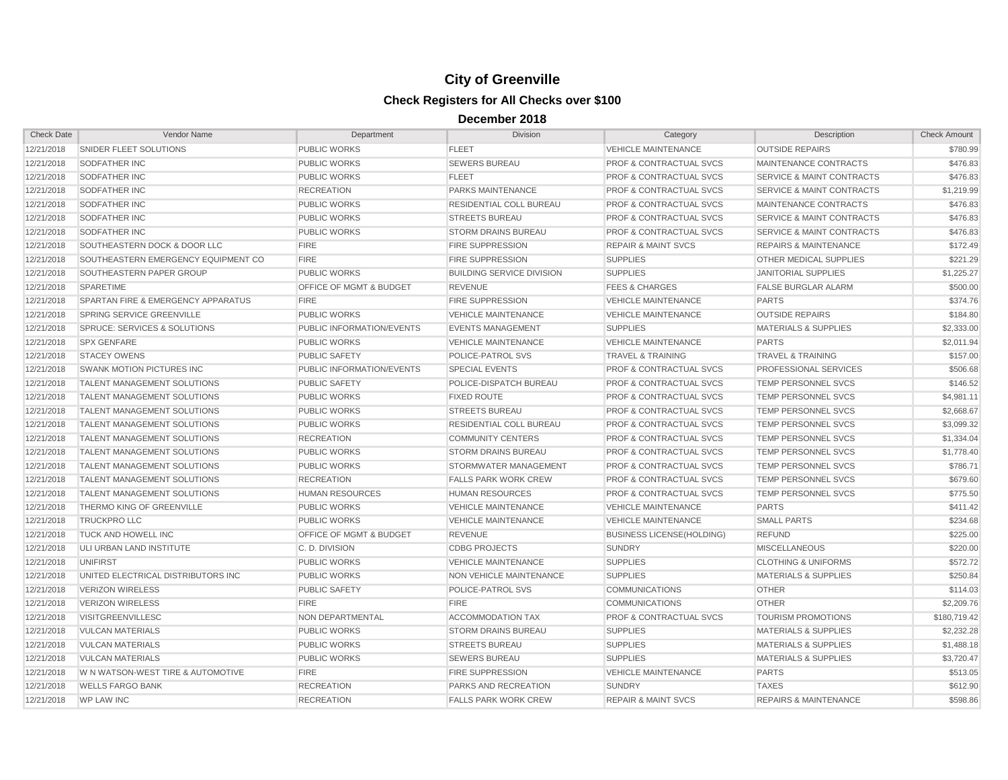| <b>Check Date</b> | Vendor Name                         | Department                         | <b>Division</b>                  | Category                           | Description                          | <b>Check Amount</b> |
|-------------------|-------------------------------------|------------------------------------|----------------------------------|------------------------------------|--------------------------------------|---------------------|
| 12/21/2018        | SNIDER FLEET SOLUTIONS              | <b>PUBLIC WORKS</b>                | <b>FLEET</b>                     | <b>VEHICLE MAINTENANCE</b>         | <b>OUTSIDE REPAIRS</b>               | \$780.99            |
| 12/21/2018        | SODFATHER INC                       | <b>PUBLIC WORKS</b>                | <b>SEWERS BUREAU</b>             | <b>PROF &amp; CONTRACTUAL SVCS</b> | MAINTENANCE CONTRACTS                | \$476.83            |
| 12/21/2018        | SODFATHER INC                       | <b>PUBLIC WORKS</b>                | <b>FLEET</b>                     | <b>PROF &amp; CONTRACTUAL SVCS</b> | <b>SERVICE &amp; MAINT CONTRACTS</b> | \$476.83            |
| 12/21/2018        | SODFATHER INC                       | <b>RECREATION</b>                  | PARKS MAINTENANCE                | <b>PROF &amp; CONTRACTUAL SVCS</b> | <b>SERVICE &amp; MAINT CONTRACTS</b> | \$1,219.99          |
| 12/21/2018        | SODFATHER INC                       | <b>PUBLIC WORKS</b>                | RESIDENTIAL COLL BUREAU          | <b>PROF &amp; CONTRACTUAL SVCS</b> | MAINTENANCE CONTRACTS                | \$476.83            |
| 12/21/2018        | SODFATHER INC                       | <b>PUBLIC WORKS</b>                | <b>STREETS BUREAU</b>            | <b>PROF &amp; CONTRACTUAL SVCS</b> | <b>SERVICE &amp; MAINT CONTRACTS</b> | \$476.83            |
| 12/21/2018        | SODFATHER INC                       | <b>PUBLIC WORKS</b>                | <b>STORM DRAINS BUREAU</b>       | <b>PROF &amp; CONTRACTUAL SVCS</b> | <b>SERVICE &amp; MAINT CONTRACTS</b> | \$476.83            |
| 12/21/2018        | SOUTHEASTERN DOCK & DOOR LLC        | <b>FIRE</b>                        | <b>FIRE SUPPRESSION</b>          | <b>REPAIR &amp; MAINT SVCS</b>     | <b>REPAIRS &amp; MAINTENANCE</b>     | \$172.49            |
| 12/21/2018        | SOUTHEASTERN EMERGENCY EQUIPMENT CO | <b>FIRE</b>                        | FIRE SUPPRESSION                 | <b>SUPPLIES</b>                    | OTHER MEDICAL SUPPLIES               | \$221.29            |
| 12/21/2018        | SOUTHEASTERN PAPER GROUP            | <b>PUBLIC WORKS</b>                | <b>BUILDING SERVICE DIVISION</b> | <b>SUPPLIES</b>                    | <b>JANITORIAL SUPPLIES</b>           | \$1,225.27          |
| 12/21/2018        | SPARETIME                           | OFFICE OF MGMT & BUDGET            | <b>REVENUE</b>                   | <b>FEES &amp; CHARGES</b>          | <b>FALSE BURGLAR ALARM</b>           | \$500.00            |
| 12/21/2018        | SPARTAN FIRE & EMERGENCY APPARATUS  | <b>FIRE</b>                        | <b>FIRE SUPPRESSION</b>          | <b>VEHICLE MAINTENANCE</b>         | <b>PARTS</b>                         | \$374.76            |
| 12/21/2018        | SPRING SERVICE GREENVILLE           | <b>PUBLIC WORKS</b>                | <b>VEHICLE MAINTENANCE</b>       | <b>VEHICLE MAINTENANCE</b>         | <b>OUTSIDE REPAIRS</b>               | \$184.80            |
| 12/21/2018        | SPRUCE: SERVICES & SOLUTIONS        | PUBLIC INFORMATION/EVENTS          | <b>EVENTS MANAGEMENT</b>         | <b>SUPPLIES</b>                    | <b>MATERIALS &amp; SUPPLIES</b>      | \$2,333.00          |
| 12/21/2018        | <b>SPX GENFARE</b>                  | <b>PUBLIC WORKS</b>                | <b>VEHICLE MAINTENANCE</b>       | <b>VEHICLE MAINTENANCE</b>         | <b>PARTS</b>                         | \$2,011.94          |
| 12/21/2018        | <b>STACEY OWENS</b>                 | <b>PUBLIC SAFETY</b>               | POLICE-PATROL SVS                | <b>TRAVEL &amp; TRAINING</b>       | <b>TRAVEL &amp; TRAINING</b>         | \$157.00            |
| 12/21/2018        | <b>SWANK MOTION PICTURES INC</b>    | PUBLIC INFORMATION/EVENTS          | <b>SPECIAL EVENTS</b>            | <b>PROF &amp; CONTRACTUAL SVCS</b> | PROFESSIONAL SERVICES                | \$506.68            |
| 12/21/2018        | TALENT MANAGEMENT SOLUTIONS         | <b>PUBLIC SAFETY</b>               | POLICE-DISPATCH BUREAU           | <b>PROF &amp; CONTRACTUAL SVCS</b> | <b>TEMP PERSONNEL SVCS</b>           | \$146.52            |
| 12/21/2018        | <b>TALENT MANAGEMENT SOLUTIONS</b>  | <b>PUBLIC WORKS</b>                | <b>FIXED ROUTE</b>               | <b>PROF &amp; CONTRACTUAL SVCS</b> | TEMP PERSONNEL SVCS                  | \$4,981.11          |
| 12/21/2018        | <b>TALENT MANAGEMENT SOLUTIONS</b>  | <b>PUBLIC WORKS</b>                | <b>STREETS BUREAU</b>            | <b>PROF &amp; CONTRACTUAL SVCS</b> | <b>TEMP PERSONNEL SVCS</b>           | \$2,668.67          |
| 12/21/2018        | <b>TALENT MANAGEMENT SOLUTIONS</b>  | <b>PUBLIC WORKS</b>                | <b>RESIDENTIAL COLL BUREAU</b>   | <b>PROF &amp; CONTRACTUAL SVCS</b> | <b>TEMP PERSONNEL SVCS</b>           | \$3,099.32          |
| 12/21/2018        | <b>TALENT MANAGEMENT SOLUTIONS</b>  | <b>RECREATION</b>                  | <b>COMMUNITY CENTERS</b>         | <b>PROF &amp; CONTRACTUAL SVCS</b> | <b>TEMP PERSONNEL SVCS</b>           | \$1,334.04          |
| 12/21/2018        | <b>TALENT MANAGEMENT SOLUTIONS</b>  | PUBLIC WORKS                       | <b>STORM DRAINS BUREAU</b>       | <b>PROF &amp; CONTRACTUAL SVCS</b> | TEMP PERSONNEL SVCS                  | \$1,778.40          |
| 12/21/2018        | <b>TALENT MANAGEMENT SOLUTIONS</b>  | <b>PUBLIC WORKS</b>                | STORMWATER MANAGEMENT            | <b>PROF &amp; CONTRACTUAL SVCS</b> | <b>TEMP PERSONNEL SVCS</b>           | \$786.71            |
| 12/21/2018        | TALENT MANAGEMENT SOLUTIONS         | <b>RECREATION</b>                  | <b>FALLS PARK WORK CREW</b>      | <b>PROF &amp; CONTRACTUAL SVCS</b> | <b>TEMP PERSONNEL SVCS</b>           | \$679.60            |
| 12/21/2018        | TALENT MANAGEMENT SOLUTIONS         | <b>HUMAN RESOURCES</b>             | <b>HUMAN RESOURCES</b>           | <b>PROF &amp; CONTRACTUAL SVCS</b> | TEMP PERSONNEL SVCS                  | \$775.50            |
| 12/21/2018        | THERMO KING OF GREENVILLE           | <b>PUBLIC WORKS</b>                | <b>VEHICLE MAINTENANCE</b>       | <b>VEHICLE MAINTENANCE</b>         | <b>PARTS</b>                         | \$411.42            |
| 12/21/2018        | <b>TRUCKPRO LLC</b>                 | <b>PUBLIC WORKS</b>                | <b>VEHICLE MAINTENANCE</b>       | <b>VEHICLE MAINTENANCE</b>         | <b>SMALL PARTS</b>                   | \$234.68            |
| 12/21/2018        | <b>TUCK AND HOWELL INC</b>          | <b>OFFICE OF MGMT &amp; BUDGET</b> | <b>REVENUE</b>                   | <b>BUSINESS LICENSE(HOLDING)</b>   | <b>REFUND</b>                        | \$225.00            |
| 12/21/2018        | ULI URBAN LAND INSTITUTE            | C. D. DIVISION                     | <b>CDBG PROJECTS</b>             | <b>SUNDRY</b>                      | <b>MISCELLANEOUS</b>                 | \$220.00            |
| 12/21/2018        | <b>UNIFIRST</b>                     | <b>PUBLIC WORKS</b>                | <b>VEHICLE MAINTENANCE</b>       | <b>SUPPLIES</b>                    | <b>CLOTHING &amp; UNIFORMS</b>       | \$572.72            |
| 12/21/2018        | UNITED ELECTRICAL DISTRIBUTORS INC  | <b>PUBLIC WORKS</b>                | NON VEHICLE MAINTENANCE          | <b>SUPPLIES</b>                    | <b>MATERIALS &amp; SUPPLIES</b>      | \$250.84            |
| 12/21/2018        | <b>VERIZON WIRELESS</b>             | <b>PUBLIC SAFETY</b>               | POLICE-PATROL SVS                | <b>COMMUNICATIONS</b>              | <b>OTHER</b>                         | \$114.03            |
| 12/21/2018        | <b>VERIZON WIRELESS</b>             | <b>FIRE</b>                        | <b>FIRE</b>                      | <b>COMMUNICATIONS</b>              | <b>OTHER</b>                         | \$2,209.76          |
| 12/21/2018        | <b>VISITGREENVILLESC</b>            | NON DEPARTMENTAL                   | ACCOMMODATION TAX                | <b>PROF &amp; CONTRACTUAL SVCS</b> | <b>TOURISM PROMOTIONS</b>            | \$180,719.42        |
| 12/21/2018        | <b>VULCAN MATERIALS</b>             | PUBLIC WORKS                       | <b>STORM DRAINS BUREAU</b>       | <b>SUPPLIES</b>                    | <b>MATERIALS &amp; SUPPLIES</b>      | \$2,232.28          |
| 12/21/2018        | VULCAN MATERIALS                    | <b>PUBLIC WORKS</b>                | <b>STREETS BUREAU</b>            | <b>SUPPLIES</b>                    | <b>MATERIALS &amp; SUPPLIES</b>      | \$1,488.18          |
| 12/21/2018        | <b>VULCAN MATERIALS</b>             | <b>PUBLIC WORKS</b>                | <b>SEWERS BUREAU</b>             | <b>SUPPLIES</b>                    | <b>MATERIALS &amp; SUPPLIES</b>      | \$3,720.47          |
| 12/21/2018        | W N WATSON-WEST TIRE & AUTOMOTIVE   | <b>FIRE</b>                        | <b>FIRE SUPPRESSION</b>          | <b>VEHICLE MAINTENANCE</b>         | <b>PARTS</b>                         | \$513.05            |
| 12/21/2018        | <b>WELLS FARGO BANK</b>             | <b>RECREATION</b>                  | <b>PARKS AND RECREATION</b>      | <b>SUNDRY</b>                      | <b>TAXES</b>                         | \$612.90            |
| 12/21/2018        | <b>WP LAW INC</b>                   | <b>RECREATION</b>                  | <b>FALLS PARK WORK CREW</b>      | <b>REPAIR &amp; MAINT SVCS</b>     | <b>REPAIRS &amp; MAINTENANCE</b>     | \$598.86            |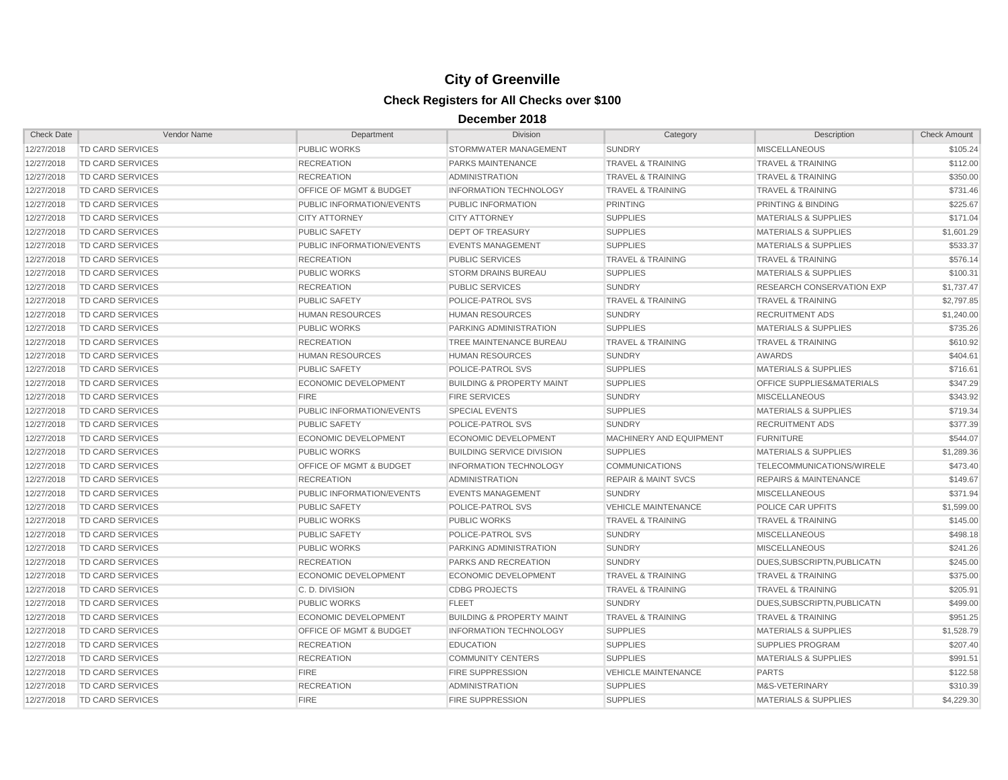| <b>Check Date</b> | Vendor Name             | Department                         | <b>Division</b>                      | Category                       | Description                          | <b>Check Amount</b> |
|-------------------|-------------------------|------------------------------------|--------------------------------------|--------------------------------|--------------------------------------|---------------------|
| 12/27/2018        | <b>TD CARD SERVICES</b> | <b>PUBLIC WORKS</b>                | <b>STORMWATER MANAGEMENT</b>         | <b>SUNDRY</b>                  | <b>MISCELLANEOUS</b>                 | \$105.24            |
| 12/27/2018        | TD CARD SERVICES        | <b>RECREATION</b>                  | PARKS MAINTENANCE                    | <b>TRAVEL &amp; TRAINING</b>   | <b>TRAVEL &amp; TRAINING</b>         | \$112.00            |
| 12/27/2018        | TD CARD SERVICES        | <b>RECREATION</b>                  | ADMINISTRATION                       | <b>TRAVEL &amp; TRAINING</b>   | <b>TRAVEL &amp; TRAINING</b>         | \$350.00            |
| 12/27/2018        | <b>TD CARD SERVICES</b> | OFFICE OF MGMT & BUDGET            | <b>INFORMATION TECHNOLOGY</b>        | <b>TRAVEL &amp; TRAINING</b>   | <b>TRAVEL &amp; TRAINING</b>         | \$731.46            |
| 12/27/2018        | <b>TD CARD SERVICES</b> | PUBLIC INFORMATION/EVENTS          | PUBLIC INFORMATION                   | <b>PRINTING</b>                | PRINTING & BINDING                   | \$225.67            |
| 12/27/2018        | <b>TD CARD SERVICES</b> | <b>CITY ATTORNEY</b>               | <b>CITY ATTORNEY</b>                 | <b>SUPPLIES</b>                | <b>MATERIALS &amp; SUPPLIES</b>      | \$171.04            |
| 12/27/2018        | TD CARD SERVICES        | <b>PUBLIC SAFETY</b>               | <b>DEPT OF TREASURY</b>              | <b>SUPPLIES</b>                | <b>MATERIALS &amp; SUPPLIES</b>      | \$1,601.29          |
| 12/27/2018        | TD CARD SERVICES        | PUBLIC INFORMATION/EVENTS          | <b>EVENTS MANAGEMENT</b>             | <b>SUPPLIES</b>                | <b>MATERIALS &amp; SUPPLIES</b>      | \$533.37            |
| 12/27/2018        | TD CARD SERVICES        | <b>RECREATION</b>                  | <b>PUBLIC SERVICES</b>               | <b>TRAVEL &amp; TRAINING</b>   | <b>TRAVEL &amp; TRAINING</b>         | \$576.14            |
| 12/27/2018        | <b>TD CARD SERVICES</b> | <b>PUBLIC WORKS</b>                | <b>STORM DRAINS BUREAU</b>           | <b>SUPPLIES</b>                | <b>MATERIALS &amp; SUPPLIES</b>      | \$100.31            |
| 12/27/2018        | TD CARD SERVICES        | <b>RECREATION</b>                  | <b>PUBLIC SERVICES</b>               | <b>SUNDRY</b>                  | <b>RESEARCH CONSERVATION EXP</b>     | \$1,737.47          |
| 12/27/2018        | TD CARD SERVICES        | <b>PUBLIC SAFETY</b>               | POLICE-PATROL SVS                    | <b>TRAVEL &amp; TRAINING</b>   | <b>TRAVEL &amp; TRAINING</b>         | \$2,797.85          |
| 12/27/2018        | <b>TD CARD SERVICES</b> | <b>HUMAN RESOURCES</b>             | <b>HUMAN RESOURCES</b>               | <b>SUNDRY</b>                  | <b>RECRUITMENT ADS</b>               | \$1,240.00          |
| 12/27/2018        | TD CARD SERVICES        | <b>PUBLIC WORKS</b>                | PARKING ADMINISTRATION               | <b>SUPPLIES</b>                | <b>MATERIALS &amp; SUPPLIES</b>      | \$735.26            |
| 12/27/2018        | <b>TD CARD SERVICES</b> | <b>RECREATION</b>                  | TREE MAINTENANCE BUREAU              | <b>TRAVEL &amp; TRAINING</b>   | <b>TRAVEL &amp; TRAINING</b>         | \$610.92            |
| 12/27/2018        | TD CARD SERVICES        | <b>HUMAN RESOURCES</b>             | <b>HUMAN RESOURCES</b>               | <b>SUNDRY</b>                  | <b>AWARDS</b>                        | \$404.61            |
| 12/27/2018        | TD CARD SERVICES        | <b>PUBLIC SAFETY</b>               | <b>POLICE-PATROL SVS</b>             | <b>SUPPLIES</b>                | <b>MATERIALS &amp; SUPPLIES</b>      | \$716.61            |
| 12/27/2018        | TD CARD SERVICES        | <b>ECONOMIC DEVELOPMENT</b>        | <b>BUILDING &amp; PROPERTY MAINT</b> | <b>SUPPLIES</b>                | <b>OFFICE SUPPLIES&amp;MATERIALS</b> | \$347.29            |
| 12/27/2018        | <b>TD CARD SERVICES</b> | <b>FIRE</b>                        | <b>FIRE SERVICES</b>                 | <b>SUNDRY</b>                  | <b>MISCELLANEOUS</b>                 | \$343.92            |
| 12/27/2018        | TD CARD SERVICES        | PUBLIC INFORMATION/EVENTS          | <b>SPECIAL EVENTS</b>                | <b>SUPPLIES</b>                | <b>MATERIALS &amp; SUPPLIES</b>      | \$719.34            |
| 12/27/2018        | TD CARD SERVICES        | <b>PUBLIC SAFETY</b>               | POLICE-PATROL SVS                    | <b>SUNDRY</b>                  | <b>RECRUITMENT ADS</b>               | \$377.39            |
| 12/27/2018        | <b>TD CARD SERVICES</b> | ECONOMIC DEVELOPMENT               | ECONOMIC DEVELOPMENT                 | MACHINERY AND EQUIPMENT        | <b>FURNITURE</b>                     | \$544.07            |
| 12/27/2018        | <b>TD CARD SERVICES</b> | <b>PUBLIC WORKS</b>                | <b>BUILDING SERVICE DIVISION</b>     | <b>SUPPLIES</b>                | <b>MATERIALS &amp; SUPPLIES</b>      | \$1,289.36          |
| 12/27/2018        | <b>TD CARD SERVICES</b> | <b>OFFICE OF MGMT &amp; BUDGET</b> | <b>INFORMATION TECHNOLOGY</b>        | <b>COMMUNICATIONS</b>          | TELECOMMUNICATIONS/WIRELE            | \$473.40            |
| 12/27/2018        | TD CARD SERVICES        | <b>RECREATION</b>                  | <b>ADMINISTRATION</b>                | <b>REPAIR &amp; MAINT SVCS</b> | <b>REPAIRS &amp; MAINTENANCE</b>     | \$149.67            |
| 12/27/2018        | TD CARD SERVICES        | PUBLIC INFORMATION/EVENTS          | <b>EVENTS MANAGEMENT</b>             | <b>SUNDRY</b>                  | <b>MISCELLANEOUS</b>                 | \$371.94            |
| 12/27/2018        | TD CARD SERVICES        | <b>PUBLIC SAFETY</b>               | POLICE-PATROL SVS                    | <b>VEHICLE MAINTENANCE</b>     | POLICE CAR UPFITS                    | \$1,599.00          |
| 12/27/2018        | TD CARD SERVICES        | <b>PUBLIC WORKS</b>                | <b>PUBLIC WORKS</b>                  | <b>TRAVEL &amp; TRAINING</b>   | <b>TRAVEL &amp; TRAINING</b>         | \$145.00            |
| 12/27/2018        | TD CARD SERVICES        | <b>PUBLIC SAFETY</b>               | POLICE-PATROL SVS                    | <b>SUNDRY</b>                  | <b>MISCELLANEOUS</b>                 | \$498.18            |
| 12/27/2018        | <b>TD CARD SERVICES</b> | <b>PUBLIC WORKS</b>                | PARKING ADMINISTRATION               | <b>SUNDRY</b>                  | <b>MISCELLANEOUS</b>                 | \$241.26            |
| 12/27/2018        | TD CARD SERVICES        | <b>RECREATION</b>                  | PARKS AND RECREATION                 | <b>SUNDRY</b>                  | DUES, SUBSCRIPTN, PUBLICATN          | \$245.00            |
| 12/27/2018        | <b>TD CARD SERVICES</b> | <b>ECONOMIC DEVELOPMENT</b>        | <b>ECONOMIC DEVELOPMENT</b>          | <b>TRAVEL &amp; TRAINING</b>   | <b>TRAVEL &amp; TRAINING</b>         | \$375.00            |
| 12/27/2018        | <b>TD CARD SERVICES</b> | C. D. DIVISION                     | <b>CDBG PROJECTS</b>                 | <b>TRAVEL &amp; TRAINING</b>   | <b>TRAVEL &amp; TRAINING</b>         | \$205.91            |
| 12/27/2018        | TD CARD SERVICES        | <b>PUBLIC WORKS</b>                | <b>FLEET</b>                         | <b>SUNDRY</b>                  | DUES.SUBSCRIPTN.PUBLICATN            | \$499.00            |
| 12/27/2018        | TD CARD SERVICES        | <b>ECONOMIC DEVELOPMENT</b>        | <b>BUILDING &amp; PROPERTY MAINT</b> | <b>TRAVEL &amp; TRAINING</b>   | <b>TRAVEL &amp; TRAINING</b>         | \$951.25            |
| 12/27/2018        | TD CARD SERVICES        | OFFICE OF MGMT & BUDGET            | <b>INFORMATION TECHNOLOGY</b>        | <b>SUPPLIES</b>                | <b>MATERIALS &amp; SUPPLIES</b>      | \$1,528.79          |
| 12/27/2018        | TD CARD SERVICES        | <b>RECREATION</b>                  | <b>EDUCATION</b>                     | <b>SUPPLIES</b>                | <b>SUPPLIES PROGRAM</b>              | \$207.40            |
| 12/27/2018        | TD CARD SERVICES        | <b>RECREATION</b>                  | <b>COMMUNITY CENTERS</b>             | <b>SUPPLIES</b>                | MATERIALS & SUPPLIES                 | \$991.51            |
| 12/27/2018        | TD CARD SERVICES        | <b>FIRE</b>                        | <b>FIRE SUPPRESSION</b>              | <b>VEHICLE MAINTENANCE</b>     | <b>PARTS</b>                         | \$122.58            |
| 12/27/2018        | <b>TD CARD SERVICES</b> | <b>RECREATION</b>                  | <b>ADMINISTRATION</b>                | <b>SUPPLIES</b>                | M&S-VETERINARY                       | \$310.39            |
| 12/27/2018        | <b>TD CARD SERVICES</b> | <b>FIRE</b>                        | <b>FIRE SUPPRESSION</b>              | <b>SUPPLIES</b>                | <b>MATERIALS &amp; SUPPLIES</b>      | \$4.229.30          |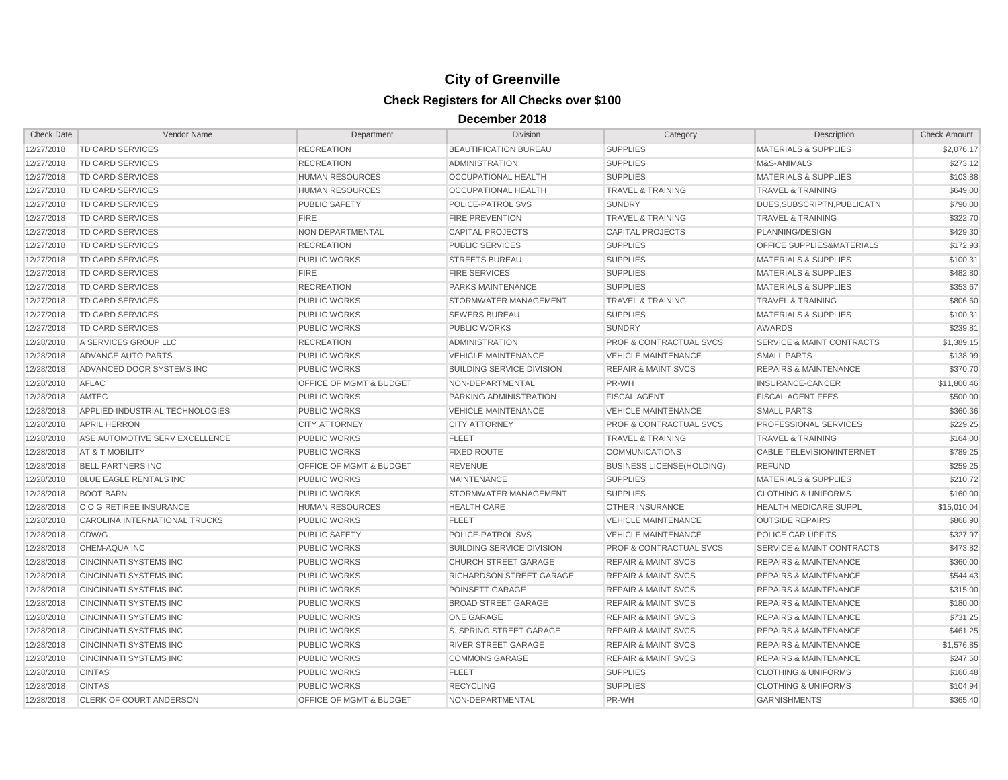| <b>Check Date</b> | Vendor Name                     | Department                         | <b>Division</b>                  | Category                           | <b>Description</b>                   | <b>Check Amount</b> |
|-------------------|---------------------------------|------------------------------------|----------------------------------|------------------------------------|--------------------------------------|---------------------|
| 12/27/2018        | <b>TD CARD SERVICES</b>         | <b>RECREATION</b>                  | <b>BEAUTIFICATION BUREAU</b>     | <b>SUPPLIES</b>                    | <b>MATERIALS &amp; SUPPLIES</b>      | \$2,076.17          |
| 12/27/2018        | <b>TD CARD SERVICES</b>         | <b>RECREATION</b>                  | <b>ADMINISTRATION</b>            | <b>SUPPLIES</b>                    | M&S-ANIMALS                          | \$273.12            |
| 12/27/2018        | TD CARD SERVICES                | <b>HUMAN RESOURCES</b>             | OCCUPATIONAL HEALTH              | <b>SUPPLIES</b>                    | <b>MATERIALS &amp; SUPPLIES</b>      | \$103.88            |
| 12/27/2018        | TD CARD SERVICES                | <b>HUMAN RESOURCES</b>             | OCCUPATIONAL HEALTH              | <b>TRAVEL &amp; TRAINING</b>       | <b>TRAVEL &amp; TRAINING</b>         | \$649.00            |
| 12/27/2018        | TD CARD SERVICES                | <b>PUBLIC SAFETY</b>               | POLICE-PATROL SVS                | <b>SUNDRY</b>                      | DUES.SUBSCRIPTN.PUBLICATN            | \$790.00            |
| 12/27/2018        | TD CARD SERVICES                | <b>FIRE</b>                        | <b>FIRE PREVENTION</b>           | <b>TRAVEL &amp; TRAINING</b>       | <b>TRAVEL &amp; TRAINING</b>         | \$322.70            |
| 12/27/2018        | TD CARD SERVICES                | NON DEPARTMENTAL                   | <b>CAPITAL PROJECTS</b>          | <b>CAPITAL PROJECTS</b>            | PLANNING/DESIGN                      | \$429.30            |
| 12/27/2018        | TD CARD SERVICES                | <b>RECREATION</b>                  | <b>PUBLIC SERVICES</b>           | <b>SUPPLIES</b>                    | <b>OFFICE SUPPLIES&amp;MATERIALS</b> | \$172.93            |
| 12/27/2018        | <b>TD CARD SERVICES</b>         | <b>PUBLIC WORKS</b>                | <b>STREETS BUREAU</b>            | <b>SUPPLIES</b>                    | <b>MATERIALS &amp; SUPPLIES</b>      | \$100.31            |
| 12/27/2018        | TD CARD SERVICES                | <b>FIRE</b>                        | <b>FIRE SERVICES</b>             | <b>SUPPLIES</b>                    | <b>MATERIALS &amp; SUPPLIES</b>      | \$482.80            |
| 12/27/2018        | TD CARD SERVICES                | <b>RECREATION</b>                  | <b>PARKS MAINTENANCE</b>         | <b>SUPPLIES</b>                    | <b>MATERIALS &amp; SUPPLIES</b>      | \$353.67            |
| 12/27/2018        | <b>TD CARD SERVICES</b>         | <b>PUBLIC WORKS</b>                | STORMWATER MANAGEMENT            | <b>TRAVEL &amp; TRAINING</b>       | <b>TRAVEL &amp; TRAINING</b>         | \$806.60            |
| 12/27/2018        | TD CARD SERVICES                | PUBLIC WORKS                       | <b>SEWERS BUREAU</b>             | <b>SUPPLIES</b>                    | <b>MATERIALS &amp; SUPPLIES</b>      | \$100.31            |
| 12/27/2018        | TD CARD SERVICES                | <b>PUBLIC WORKS</b>                | <b>PUBLIC WORKS</b>              | <b>SUNDRY</b>                      | <b>AWARDS</b>                        | \$239.81            |
| 12/28/2018        | A SERVICES GROUP LLC            | <b>RECREATION</b>                  | <b>ADMINISTRATION</b>            | <b>PROF &amp; CONTRACTUAL SVCS</b> | <b>SERVICE &amp; MAINT CONTRACTS</b> | \$1,389.15          |
| 12/28/2018        | <b>ADVANCE AUTO PARTS</b>       | <b>PUBLIC WORKS</b>                | <b>VEHICLE MAINTENANCE</b>       | <b>VEHICLE MAINTENANCE</b>         | <b>SMALL PARTS</b>                   | \$138.99            |
| 12/28/2018        | ADVANCED DOOR SYSTEMS INC       | <b>PUBLIC WORKS</b>                | <b>BUILDING SERVICE DIVISION</b> | <b>REPAIR &amp; MAINT SVCS</b>     | <b>REPAIRS &amp; MAINTENANCE</b>     | \$370.70            |
| 12/28/2018        | <b>AFLAC</b>                    | <b>OFFICE OF MGMT &amp; BUDGET</b> | NON-DEPARTMENTAL                 | PR-WH                              | INSURANCE-CANCER                     | \$11,800.46         |
| 12/28/2018        | AMTEC                           | <b>PUBLIC WORKS</b>                | PARKING ADMINISTRATION           | <b>FISCAL AGENT</b>                | <b>FISCAL AGENT FEES</b>             | \$500.00            |
| 12/28/2018        | APPLIED INDUSTRIAL TECHNOLOGIES | <b>PUBLIC WORKS</b>                | <b>VEHICLE MAINTENANCE</b>       | <b>VEHICLE MAINTENANCE</b>         | <b>SMALL PARTS</b>                   | \$360.36            |
| 12/28/2018        | <b>APRIL HERRON</b>             | <b>CITY ATTORNEY</b>               | <b>CITY ATTORNEY</b>             | <b>PROF &amp; CONTRACTUAL SVCS</b> | PROFESSIONAL SERVICES                | \$229.25            |
| 12/28/2018        | ASE AUTOMOTIVE SERV EXCELLENCE  | PUBLIC WORKS                       | <b>FLEET</b>                     | <b>TRAVEL &amp; TRAINING</b>       | <b>TRAVEL &amp; TRAINING</b>         | \$164.00            |
| 12/28/2018        | AT & T MOBILITY                 | <b>PUBLIC WORKS</b>                | <b>FIXED ROUTE</b>               | <b>COMMUNICATIONS</b>              | <b>CABLE TELEVISION/INTERNET</b>     | \$789.25            |
| 12/28/2018        | <b>BELL PARTNERS INC</b>        | OFFICE OF MGMT & BUDGET            | <b>REVENUE</b>                   | <b>BUSINESS LICENSE(HOLDING)</b>   | <b>REFUND</b>                        | \$259.25            |
| 12/28/2018        | <b>BLUE EAGLE RENTALS INC</b>   | <b>PUBLIC WORKS</b>                | <b>MAINTENANCE</b>               | <b>SUPPLIES</b>                    | MATERIALS & SUPPLIES                 | \$210.72            |
| 12/28/2018        | <b>BOOT BARN</b>                | <b>PUBLIC WORKS</b>                | STORMWATER MANAGEMENT            | <b>SUPPLIES</b>                    | <b>CLOTHING &amp; UNIFORMS</b>       | \$160.00            |
| 12/28/2018        | C O G RETIREE INSURANCE         | <b>HUMAN RESOURCES</b>             | <b>HEALTH CARE</b>               | <b>OTHER INSURANCE</b>             | <b>HEALTH MEDICARE SUPPL</b>         | \$15,010.04         |
| 12/28/2018        | CAROLINA INTERNATIONAL TRUCKS   | <b>PUBLIC WORKS</b>                | <b>FLEET</b>                     | <b>VEHICLE MAINTENANCE</b>         | <b>OUTSIDE REPAIRS</b>               | \$868.90            |
| 12/28/2018        | CDW/G                           | PUBLIC SAFETY                      | POLICE-PATROL SVS                | <b>VEHICLE MAINTENANCE</b>         | POLICE CAR UPFITS                    | \$327.97            |
| 12/28/2018        | <b>CHEM-AQUA INC</b>            | <b>PUBLIC WORKS</b>                | <b>BUILDING SERVICE DIVISION</b> | <b>PROF &amp; CONTRACTUAL SVCS</b> | <b>SERVICE &amp; MAINT CONTRACTS</b> | \$473.82            |
| 12/28/2018        | <b>CINCINNATI SYSTEMS INC</b>   | <b>PUBLIC WORKS</b>                | <b>CHURCH STREET GARAGE</b>      | <b>REPAIR &amp; MAINT SVCS</b>     | <b>REPAIRS &amp; MAINTENANCE</b>     | \$360.00            |
| 12/28/2018        | <b>CINCINNATI SYSTEMS INC</b>   | <b>PUBLIC WORKS</b>                | <b>RICHARDSON STREET GARAGE</b>  | <b>REPAIR &amp; MAINT SVCS</b>     | <b>REPAIRS &amp; MAINTENANCE</b>     | \$544.43            |
| 12/28/2018        | CINCINNATI SYSTEMS INC          | <b>PUBLIC WORKS</b>                | <b>POINSETT GARAGE</b>           | <b>REPAIR &amp; MAINT SVCS</b>     | <b>REPAIRS &amp; MAINTENANCE</b>     | \$315.00            |
| 12/28/2018        | <b>CINCINNATI SYSTEMS INC</b>   | <b>PUBLIC WORKS</b>                | <b>BROAD STREET GARAGE</b>       | <b>REPAIR &amp; MAINT SVCS</b>     | <b>REPAIRS &amp; MAINTENANCE</b>     | \$180.00            |
| 12/28/2018        | <b>CINCINNATI SYSTEMS INC</b>   | PUBLIC WORKS                       | <b>ONE GARAGE</b>                | <b>REPAIR &amp; MAINT SVCS</b>     | <b>REPAIRS &amp; MAINTENANCE</b>     | \$731.25            |
| 12/28/2018        | <b>CINCINNATI SYSTEMS INC</b>   | <b>PUBLIC WORKS</b>                | S. SPRING STREET GARAGE          | <b>REPAIR &amp; MAINT SVCS</b>     | <b>REPAIRS &amp; MAINTENANCE</b>     | \$461.25            |
| 12/28/2018        | <b>CINCINNATI SYSTEMS INC</b>   | PUBLIC WORKS                       | RIVER STREET GARAGE              | <b>REPAIR &amp; MAINT SVCS</b>     | <b>REPAIRS &amp; MAINTENANCE</b>     | \$1,576.85          |
| 12/28/2018        | <b>CINCINNATI SYSTEMS INC</b>   | PUBLIC WORKS                       | <b>COMMONS GARAGE</b>            | <b>REPAIR &amp; MAINT SVCS</b>     | <b>REPAIRS &amp; MAINTENANCE</b>     | \$247.50            |
| 12/28/2018        | <b>CINTAS</b>                   | PUBLIC WORKS                       | <b>FLEET</b>                     | <b>SUPPLIES</b>                    | <b>CLOTHING &amp; UNIFORMS</b>       | \$160.48            |
| 12/28/2018        | <b>CINTAS</b>                   | <b>PUBLIC WORKS</b>                | <b>RECYCLING</b>                 | <b>SUPPLIES</b>                    | <b>CLOTHING &amp; UNIFORMS</b>       | \$104.94            |
| 12/28/2018        | CLERK OF COURT ANDERSON         | <b>OFFICE OF MGMT &amp; BUDGET</b> | NON-DEPARTMENTAL                 | PR-WH                              | <b>GARNISHMENTS</b>                  | \$365.40            |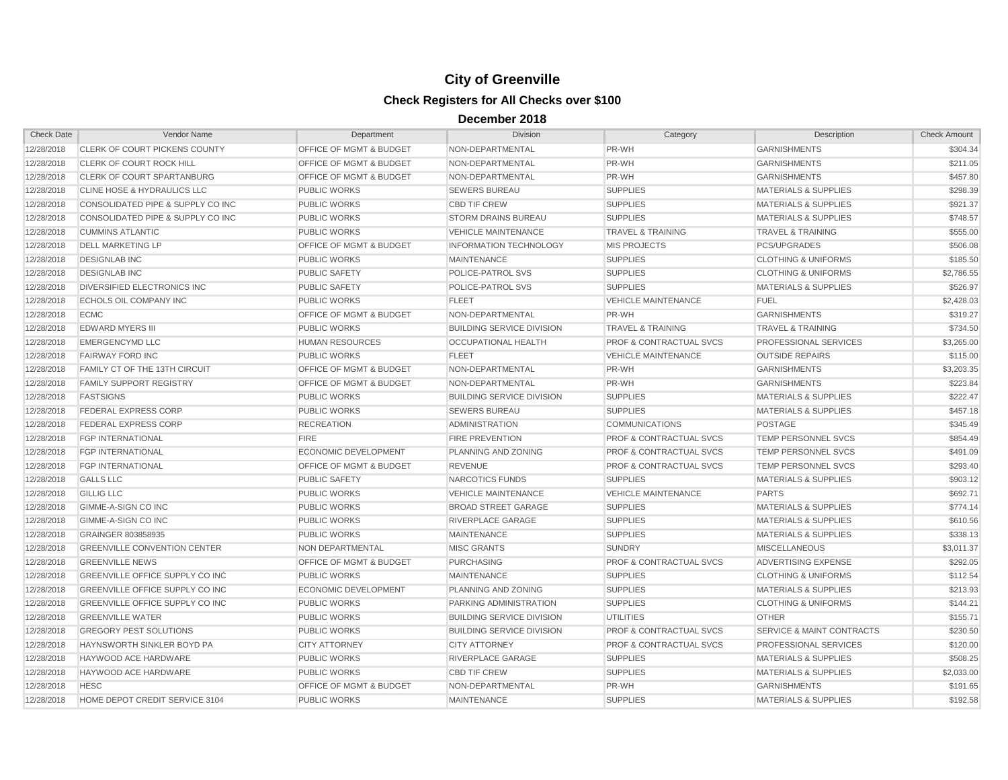| <b>Check Date</b> | Vendor Name                            | Department                         | <b>Division</b>                  | Category                           | Description                          | <b>Check Amount</b> |
|-------------------|----------------------------------------|------------------------------------|----------------------------------|------------------------------------|--------------------------------------|---------------------|
| 12/28/2018        | CLERK OF COURT PICKENS COUNTY          | OFFICE OF MGMT & BUDGET            | NON-DEPARTMENTAL                 | PR-WH                              | <b>GARNISHMENTS</b>                  | \$304.34            |
| 12/28/2018        | <b>CLERK OF COURT ROCK HILL</b>        | <b>OFFICE OF MGMT &amp; BUDGET</b> | NON-DEPARTMENTAL                 | PR-WH                              | <b>GARNISHMENTS</b>                  | \$211.05            |
| 12/28/2018        | CLERK OF COURT SPARTANBURG             | <b>OFFICE OF MGMT &amp; BUDGET</b> | NON-DEPARTMENTAL                 | PR-WH                              | <b>GARNISHMENTS</b>                  | \$457.80            |
| 12/28/2018        | CLINE HOSE & HYDRAULICS LLC            | <b>PUBLIC WORKS</b>                | <b>SEWERS BUREAU</b>             | <b>SUPPLIES</b>                    | <b>MATERIALS &amp; SUPPLIES</b>      | \$298.39            |
| 12/28/2018        | CONSOLIDATED PIPE & SUPPLY CO INC      | <b>PUBLIC WORKS</b>                | <b>CBD TIF CREW</b>              | <b>SUPPLIES</b>                    | <b>MATERIALS &amp; SUPPLIES</b>      | \$921.37            |
| 12/28/2018        | CONSOLIDATED PIPE & SUPPLY CO INC      | PUBLIC WORKS                       | <b>STORM DRAINS BUREAU</b>       | <b>SUPPLIES</b>                    | <b>MATERIALS &amp; SUPPLIES</b>      | \$748.57            |
| 12/28/2018        | <b>CUMMINS ATLANTIC</b>                | <b>PUBLIC WORKS</b>                | <b>VEHICLE MAINTENANCE</b>       | <b>TRAVEL &amp; TRAINING</b>       | <b>TRAVEL &amp; TRAINING</b>         | \$555.00            |
| 12/28/2018        | <b>DELL MARKETING LP</b>               | <b>OFFICE OF MGMT &amp; BUDGET</b> | <b>INFORMATION TECHNOLOGY</b>    | <b>MIS PROJECTS</b>                | <b>PCS/UPGRADES</b>                  | \$506.08            |
| 12/28/2018        | <b>DESIGNLAB INC</b>                   | <b>PUBLIC WORKS</b>                | <b>MAINTENANCE</b>               | <b>SUPPLIES</b>                    | <b>CLOTHING &amp; UNIFORMS</b>       | \$185.50            |
| 12/28/2018        | <b>DESIGNLAB INC</b>                   | <b>PUBLIC SAFETY</b>               | POLICE-PATROL SVS                | <b>SUPPLIES</b>                    | <b>CLOTHING &amp; UNIFORMS</b>       | \$2,786.55          |
| 12/28/2018        | DIVERSIFIED ELECTRONICS INC.           | <b>PUBLIC SAFETY</b>               | POLICE-PATROL SVS                | <b>SUPPLIES</b>                    | <b>MATERIALS &amp; SUPPLIES</b>      | \$526.97            |
| 12/28/2018        | <b>ECHOLS OIL COMPANY INC</b>          | PUBLIC WORKS                       | <b>FLEET</b>                     | <b>VEHICLE MAINTENANCE</b>         | <b>FUEL</b>                          | \$2,428.03          |
| 12/28/2018        | <b>ECMC</b>                            | <b>OFFICE OF MGMT &amp; BUDGET</b> | NON-DEPARTMENTAL                 | PR-WH                              | <b>GARNISHMENTS</b>                  | \$319.27            |
| 12/28/2018        | <b>EDWARD MYERS III</b>                | <b>PUBLIC WORKS</b>                | <b>BUILDING SERVICE DIVISION</b> | <b>TRAVEL &amp; TRAINING</b>       | <b>TRAVEL &amp; TRAINING</b>         | \$734.50            |
| 12/28/2018        | <b>EMERGENCYMD LLC</b>                 | <b>HUMAN RESOURCES</b>             | OCCUPATIONAL HEALTH              | <b>PROF &amp; CONTRACTUAL SVCS</b> | PROFESSIONAL SERVICES                | \$3,265.00          |
| 12/28/2018        | <b>FAIRWAY FORD INC</b>                | <b>PUBLIC WORKS</b>                | <b>FLEET</b>                     | <b>VEHICLE MAINTENANCE</b>         | <b>OUTSIDE REPAIRS</b>               | \$115.00            |
| 12/28/2018        | FAMILY CT OF THE 13TH CIRCUIT          | <b>OFFICE OF MGMT &amp; BUDGET</b> | NON-DEPARTMENTAL                 | PR-WH                              | <b>GARNISHMENTS</b>                  | \$3,203.35          |
| 12/28/2018        | <b>FAMILY SUPPORT REGISTRY</b>         | <b>OFFICE OF MGMT &amp; BUDGET</b> | NON-DEPARTMENTAL                 | PR-WH                              | <b>GARNISHMENTS</b>                  | \$223.84            |
| 12/28/2018        | <b>FASTSIGNS</b>                       | <b>PUBLIC WORKS</b>                | <b>BUILDING SERVICE DIVISION</b> | <b>SUPPLIES</b>                    | <b>MATERIALS &amp; SUPPLIES</b>      | \$222.47            |
| 12/28/2018        | <b>FEDERAL EXPRESS CORP</b>            | <b>PUBLIC WORKS</b>                | <b>SEWERS BUREAU</b>             | <b>SUPPLIES</b>                    | <b>MATERIALS &amp; SUPPLIES</b>      | \$457.18            |
| 12/28/2018        | <b>FEDERAL EXPRESS CORP</b>            | <b>RECREATION</b>                  | <b>ADMINISTRATION</b>            | <b>COMMUNICATIONS</b>              | <b>POSTAGE</b>                       | \$345.49            |
| 12/28/2018        | <b>FGP INTERNATIONAL</b>               | <b>FIRE</b>                        | FIRE PREVENTION                  | PROF & CONTRACTUAL SVCS            | <b>TEMP PERSONNEL SVCS</b>           | \$854.49            |
| 12/28/2018        | <b>FGP INTERNATIONAL</b>               | ECONOMIC DEVELOPMENT               | PLANNING AND ZONING              | <b>PROF &amp; CONTRACTUAL SVCS</b> | <b>TEMP PERSONNEL SVCS</b>           | \$491.09            |
| 12/28/2018        | <b>FGP INTERNATIONAL</b>               | OFFICE OF MGMT & BUDGET            | <b>REVENUE</b>                   | <b>PROF &amp; CONTRACTUAL SVCS</b> | TEMP PERSONNEL SVCS                  | \$293.40            |
| 12/28/2018        | <b>GALLS LLC</b>                       | PUBLIC SAFETY                      | NARCOTICS FUNDS                  | <b>SUPPLIES</b>                    | <b>MATERIALS &amp; SUPPLIES</b>      | \$903.12            |
| 12/28/2018        | <b>GILLIG LLC</b>                      | <b>PUBLIC WORKS</b>                | <b>VEHICLE MAINTENANCE</b>       | <b>VEHICLE MAINTENANCE</b>         | <b>PARTS</b>                         | \$692.71            |
| 12/28/2018        | <b>GIMME-A-SIGN CO INC</b>             | <b>PUBLIC WORKS</b>                | <b>BROAD STREET GARAGE</b>       | <b>SUPPLIES</b>                    | <b>MATERIALS &amp; SUPPLIES</b>      | \$774.14            |
| 12/28/2018        | GIMME-A-SIGN CO INC                    | <b>PUBLIC WORKS</b>                | RIVERPLACE GARAGE                | <b>SUPPLIES</b>                    | <b>MATERIALS &amp; SUPPLIES</b>      | \$610.56            |
| 12/28/2018        | GRAINGER 803858935                     | <b>PUBLIC WORKS</b>                | <b>MAINTENANCE</b>               | <b>SUPPLIES</b>                    | <b>MATERIALS &amp; SUPPLIES</b>      | \$338.13            |
| 12/28/2018        | <b>GREENVILLE CONVENTION CENTER</b>    | NON DEPARTMENTAL                   | <b>MISC GRANTS</b>               | <b>SUNDRY</b>                      | <b>MISCELLANEOUS</b>                 | \$3,011.37          |
| 12/28/2018        | <b>GREENVILLE NEWS</b>                 | OFFICE OF MGMT & BUDGET            | <b>PURCHASING</b>                | <b>PROF &amp; CONTRACTUAL SVCS</b> | ADVERTISING EXPENSE                  | \$292.05            |
| 12/28/2018        | <b>GREENVILLE OFFICE SUPPLY CO INC</b> | <b>PUBLIC WORKS</b>                | <b>MAINTENANCE</b>               | <b>SUPPLIES</b>                    | <b>CLOTHING &amp; UNIFORMS</b>       | \$112.54            |
| 12/28/2018        | GREENVILLE OFFICE SUPPLY CO INC        | ECONOMIC DEVELOPMENT               | PLANNING AND ZONING              | <b>SUPPLIES</b>                    | <b>MATERIALS &amp; SUPPLIES</b>      | \$213.93            |
| 12/28/2018        | <b>GREENVILLE OFFICE SUPPLY CO INC</b> | <b>PUBLIC WORKS</b>                | PARKING ADMINISTRATION           | <b>SUPPLIES</b>                    | <b>CLOTHING &amp; UNIFORMS</b>       | \$144.21            |
| 12/28/2018        | <b>GREENVILLE WATER</b>                | <b>PUBLIC WORKS</b>                | <b>BUILDING SERVICE DIVISION</b> | <b>UTILITIES</b>                   | <b>OTHER</b>                         | \$155.71            |
| 12/28/2018        | <b>GREGORY PEST SOLUTIONS</b>          | <b>PUBLIC WORKS</b>                | <b>BUILDING SERVICE DIVISION</b> | <b>PROF &amp; CONTRACTUAL SVCS</b> | <b>SERVICE &amp; MAINT CONTRACTS</b> | \$230.50            |
| 12/28/2018        | HAYNSWORTH SINKLER BOYD PA             | <b>CITY ATTORNEY</b>               | <b>CITY ATTORNEY</b>             | <b>PROF &amp; CONTRACTUAL SVCS</b> | PROFESSIONAL SERVICES                | \$120.00            |
| 12/28/2018        | HAYWOOD ACE HARDWARE                   | <b>PUBLIC WORKS</b>                | RIVERPLACE GARAGE                | <b>SUPPLIES</b>                    | <b>MATERIALS &amp; SUPPLIES</b>      | \$508.25            |
| 12/28/2018        | HAYWOOD ACE HARDWARE                   | PUBLIC WORKS                       | <b>CBD TIF CREW</b>              | <b>SUPPLIES</b>                    | <b>MATERIALS &amp; SUPPLIES</b>      | \$2,033.00          |
| 12/28/2018        | <b>HESC</b>                            | <b>OFFICE OF MGMT &amp; BUDGET</b> | NON-DEPARTMENTAL                 | PR-WH                              | <b>GARNISHMENTS</b>                  | \$191.65            |
| 12/28/2018        | HOME DEPOT CREDIT SERVICE 3104         | <b>PUBLIC WORKS</b>                | <b>MAINTENANCE</b>               | <b>SUPPLIES</b>                    | <b>MATERIALS &amp; SUPPLIES</b>      | \$192.58            |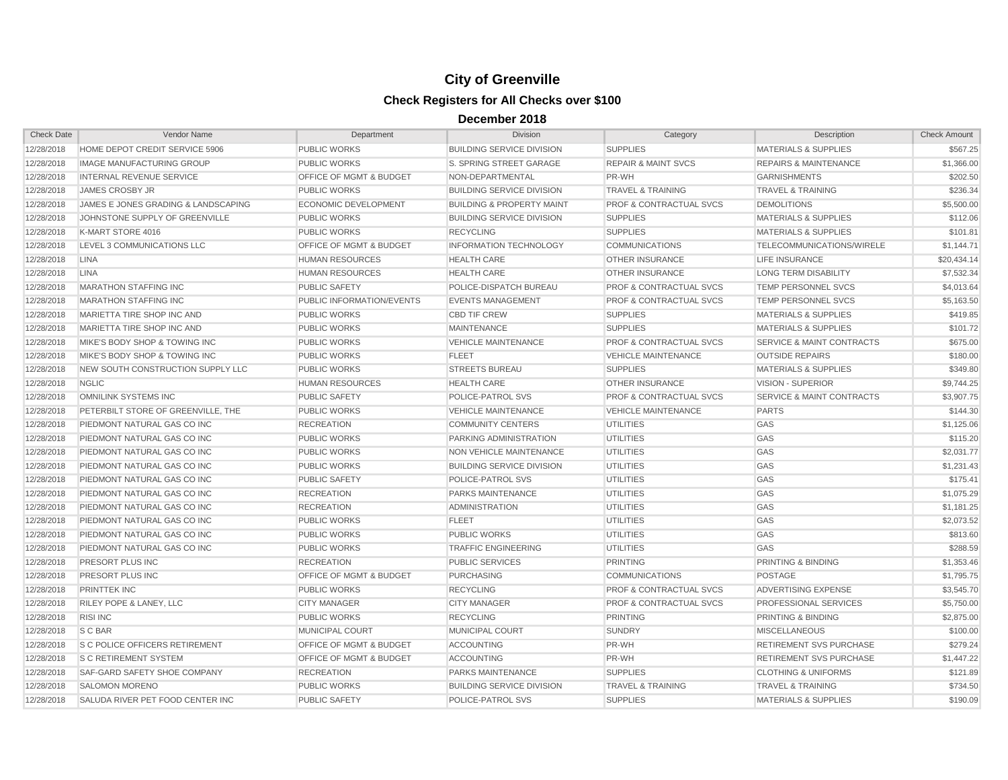| <b>Check Date</b> | Vendor Name                         | Department                         | <b>Division</b>                      | Category                           | Description                          | <b>Check Amount</b> |
|-------------------|-------------------------------------|------------------------------------|--------------------------------------|------------------------------------|--------------------------------------|---------------------|
| 12/28/2018        | HOME DEPOT CREDIT SERVICE 5906      | PUBLIC WORKS                       | <b>BUILDING SERVICE DIVISION</b>     | <b>SUPPLIES</b>                    | <b>MATERIALS &amp; SUPPLIES</b>      | \$567.25            |
| 12/28/2018        | <b>IMAGE MANUFACTURING GROUP</b>    | <b>PUBLIC WORKS</b>                | S. SPRING STREET GARAGE              | <b>REPAIR &amp; MAINT SVCS</b>     | <b>REPAIRS &amp; MAINTENANCE</b>     | \$1,366.00          |
| 12/28/2018        | INTERNAL REVENUE SERVICE            | OFFICE OF MGMT & BUDGET            | NON-DEPARTMENTAL                     | PR-WH                              | <b>GARNISHMENTS</b>                  | \$202.50            |
| 12/28/2018        | <b>JAMES CROSBY JR</b>              | <b>PUBLIC WORKS</b>                | <b>BUILDING SERVICE DIVISION</b>     | <b>TRAVEL &amp; TRAINING</b>       | <b>TRAVEL &amp; TRAINING</b>         | \$236.34            |
| 12/28/2018        | JAMES E JONES GRADING & LANDSCAPING | <b>ECONOMIC DEVELOPMENT</b>        | <b>BUILDING &amp; PROPERTY MAINT</b> | <b>PROF &amp; CONTRACTUAL SVCS</b> | <b>DEMOLITIONS</b>                   | \$5,500.00          |
| 12/28/2018        | JOHNSTONE SUPPLY OF GREENVILLE      | <b>PUBLIC WORKS</b>                | <b>BUILDING SERVICE DIVISION</b>     | <b>SUPPLIES</b>                    | <b>MATERIALS &amp; SUPPLIES</b>      | \$112.06            |
| 12/28/2018        | K-MART STORE 4016                   | <b>PUBLIC WORKS</b>                | <b>RECYCLING</b>                     | <b>SUPPLIES</b>                    | <b>MATERIALS &amp; SUPPLIES</b>      | \$101.81            |
| 12/28/2018        | LEVEL 3 COMMUNICATIONS LLC          | OFFICE OF MGMT & BUDGET            | <b>INFORMATION TECHNOLOGY</b>        | <b>COMMUNICATIONS</b>              | TELECOMMUNICATIONS/WIRELE            | \$1,144.71          |
| 12/28/2018        | <b>LINA</b>                         | <b>HUMAN RESOURCES</b>             | <b>HEALTH CARE</b>                   | <b>OTHER INSURANCE</b>             | <b>LIFE INSURANCE</b>                | \$20,434.14         |
| 12/28/2018        | <b>LINA</b>                         | <b>HUMAN RESOURCES</b>             | <b>HEALTH CARE</b>                   | <b>OTHER INSURANCE</b>             | <b>LONG TERM DISABILITY</b>          | \$7,532.34          |
| 12/28/2018        | <b>MARATHON STAFFING INC</b>        | <b>PUBLIC SAFETY</b>               | POLICE-DISPATCH BUREAU               | <b>PROF &amp; CONTRACTUAL SVCS</b> | <b>TEMP PERSONNEL SVCS</b>           | \$4,013.64          |
| 12/28/2018        | <b>MARATHON STAFFING INC</b>        | PUBLIC INFORMATION/EVENTS          | <b>EVENTS MANAGEMENT</b>             | <b>PROF &amp; CONTRACTUAL SVCS</b> | TEMP PERSONNEL SVCS                  | \$5,163.50          |
| 12/28/2018        | MARIETTA TIRE SHOP INC AND          | PUBLIC WORKS                       | <b>CBD TIF CREW</b>                  | <b>SUPPLIES</b>                    | MATERIALS & SUPPLIES                 | \$419.85            |
| 12/28/2018        | MARIETTA TIRE SHOP INC AND          | <b>PUBLIC WORKS</b>                | <b>MAINTENANCE</b>                   | <b>SUPPLIES</b>                    | <b>MATERIALS &amp; SUPPLIES</b>      | \$101.72            |
| 12/28/2018        | MIKE'S BODY SHOP & TOWING INC       | PUBLIC WORKS                       | <b>VEHICLE MAINTENANCE</b>           | <b>PROF &amp; CONTRACTUAL SVCS</b> | <b>SERVICE &amp; MAINT CONTRACTS</b> | \$675.00            |
| 12/28/2018        | MIKE'S BODY SHOP & TOWING INC       | <b>PUBLIC WORKS</b>                | <b>FLEET</b>                         | <b>VEHICLE MAINTENANCE</b>         | <b>OUTSIDE REPAIRS</b>               | \$180.00            |
| 12/28/2018        | NEW SOUTH CONSTRUCTION SUPPLY LLC   | <b>PUBLIC WORKS</b>                | <b>STREETS BUREAU</b>                | <b>SUPPLIES</b>                    | <b>MATERIALS &amp; SUPPLIES</b>      | \$349.80            |
| 12/28/2018        | <b>NGLIC</b>                        | <b>HUMAN RESOURCES</b>             | <b>HEALTH CARE</b>                   | <b>OTHER INSURANCE</b>             | <b>VISION - SUPERIOR</b>             | \$9.744.25          |
| 12/28/2018        | OMNILINK SYSTEMS INC                | <b>PUBLIC SAFETY</b>               | POLICE-PATROL SVS                    | <b>PROF &amp; CONTRACTUAL SVCS</b> | <b>SERVICE &amp; MAINT CONTRACTS</b> | \$3,907.75          |
| 12/28/2018        | PETERBILT STORE OF GREENVILLE. THE  | <b>PUBLIC WORKS</b>                | <b>VEHICLE MAINTENANCE</b>           | <b>VEHICLE MAINTENANCE</b>         | <b>PARTS</b>                         | \$144.30            |
| 12/28/2018        | PIEDMONT NATURAL GAS CO INC         | <b>RECREATION</b>                  | <b>COMMUNITY CENTERS</b>             | <b>UTILITIES</b>                   | GAS                                  | \$1,125.06          |
| 12/28/2018        | PIEDMONT NATURAL GAS CO INC         | <b>PUBLIC WORKS</b>                | PARKING ADMINISTRATION               | <b>UTILITIES</b>                   | GAS                                  | \$115.20            |
| 12/28/2018        | PIEDMONT NATURAL GAS CO INC         | PUBLIC WORKS                       | NON VEHICLE MAINTENANCE              | <b>UTILITIES</b>                   | GAS                                  | \$2,031.77          |
| 12/28/2018        | PIEDMONT NATURAL GAS CO INC         | <b>PUBLIC WORKS</b>                | <b>BUILDING SERVICE DIVISION</b>     | <b>UTILITIES</b>                   | GAS                                  | \$1,231.43          |
| 12/28/2018        | PIEDMONT NATURAL GAS CO INC         | <b>PUBLIC SAFETY</b>               | POLICE-PATROL SVS                    | <b>UTILITIES</b>                   | GAS                                  | \$175.41            |
| 12/28/2018        | PIEDMONT NATURAL GAS CO INC         | <b>RECREATION</b>                  | PARKS MAINTENANCE                    | <b>UTILITIES</b>                   | GAS                                  | \$1,075.29          |
| 12/28/2018        | PIEDMONT NATURAL GAS CO INC         | <b>RECREATION</b>                  | <b>ADMINISTRATION</b>                | <b>UTILITIES</b>                   | GAS                                  | \$1,181.25          |
| 12/28/2018        | PIEDMONT NATURAL GAS CO INC         | PUBLIC WORKS                       | <b>FLEET</b>                         | <b>UTILITIES</b>                   | GAS                                  | \$2,073.52          |
| 12/28/2018        | PIEDMONT NATURAL GAS CO INC         | <b>PUBLIC WORKS</b>                | <b>PUBLIC WORKS</b>                  | <b>UTILITIES</b>                   | GAS                                  | \$813.60            |
| 12/28/2018        | PIEDMONT NATURAL GAS CO INC         | PUBLIC WORKS                       | <b>TRAFFIC ENGINEERING</b>           | <b>UTILITIES</b>                   | GAS                                  | \$288.59            |
| 12/28/2018        | PRESORT PLUS INC                    | <b>RECREATION</b>                  | <b>PUBLIC SERVICES</b>               | PRINTING                           | PRINTING & BINDING                   | \$1,353.46          |
| 12/28/2018        | PRESORT PLUS INC                    | <b>OFFICE OF MGMT &amp; BUDGET</b> | <b>PURCHASING</b>                    | <b>COMMUNICATIONS</b>              | <b>POSTAGE</b>                       | \$1,795.75          |
| 12/28/2018        | <b>PRINTTEK INC</b>                 | <b>PUBLIC WORKS</b>                | <b>RECYCLING</b>                     | <b>PROF &amp; CONTRACTUAL SVCS</b> | <b>ADVERTISING EXPENSE</b>           | \$3,545.70          |
| 12/28/2018        | RILEY POPE & LANEY, LLC             | <b>CITY MANAGER</b>                | <b>CITY MANAGER</b>                  | <b>PROF &amp; CONTRACTUAL SVCS</b> | PROFESSIONAL SERVICES                | \$5,750.00          |
| 12/28/2018        | <b>RISI INC</b>                     | <b>PUBLIC WORKS</b>                | <b>RECYCLING</b>                     | <b>PRINTING</b>                    | PRINTING & BINDING                   | \$2,875.00          |
| 12/28/2018        | S C BAR                             | MUNICIPAL COURT                    | <b>MUNICIPAL COURT</b>               | <b>SUNDRY</b>                      | <b>MISCELLANEOUS</b>                 | \$100.00            |
| 12/28/2018        | S C POLICE OFFICERS RETIREMENT      | <b>OFFICE OF MGMT &amp; BUDGET</b> | <b>ACCOUNTING</b>                    | PR-WH                              | RETIREMENT SVS PURCHASE              | \$279.24            |
| 12/28/2018        | <b>S C RETIREMENT SYSTEM</b>        | OFFICE OF MGMT & BUDGET            | <b>ACCOUNTING</b>                    | PR-WH                              | RETIREMENT SVS PURCHASE              | \$1,447.22          |
| 12/28/2018        | SAF-GARD SAFETY SHOE COMPANY        | <b>RECREATION</b>                  | <b>PARKS MAINTENANCE</b>             | <b>SUPPLIES</b>                    | <b>CLOTHING &amp; UNIFORMS</b>       | \$121.89            |
| 12/28/2018        | <b>SALOMON MORENO</b>               | <b>PUBLIC WORKS</b>                | <b>BUILDING SERVICE DIVISION</b>     | <b>TRAVEL &amp; TRAINING</b>       | <b>TRAVEL &amp; TRAINING</b>         | \$734.50            |
| 12/28/2018        | SALUDA RIVER PET FOOD CENTER INC.   | <b>PUBLIC SAFETY</b>               | POLICE-PATROL SVS                    | <b>SUPPLIES</b>                    | <b>MATERIALS &amp; SUPPLIES</b>      | \$190.09            |